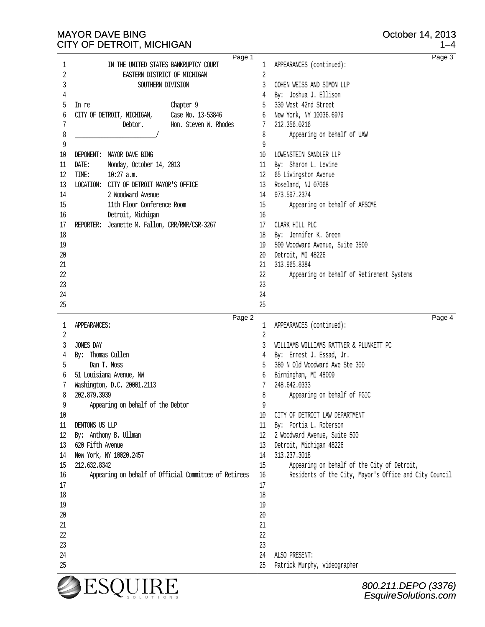1 IN THE UNITED STATES BANKRUPTCY COURT

25

EsquireSolutions.com

| <b>EASTERN DISTRICT OF MICHIGAN</b><br>2<br>3<br>SOUTHERN DIVISION<br>4<br>5 In re<br>Chapter 9<br>6 CITY OF DETROIT, MICHIGAN, Case No. 13-53846<br>Hon. Steven W. Rhodes<br>7<br>Debtor.<br>8<br>9<br>10 DEPONENT: MAYOR DAVE BING<br>11 DATE: Monday, October 14, 2013<br>12 TIME:<br>10:27 a.m.<br>13 LOCATION: CITY OF DETROIT MAYOR'S OFFICE<br>2 Woodward Avenue<br>14<br>11th Floor Conference Room<br>15<br>Detroit, Michigan<br>16<br>17 REPORTER: Jeanette M. Fallon, CRR/RMR/CSR-3267<br>18<br>19<br>20<br>21<br>22<br>23<br>24<br>25 | $\overline{c}$<br>3 COHEN WEISS AND SIMON LLP<br>4 By: Joshua J. Ellison<br>5 330 West 42nd Street<br>6 New York, NY 10036.6979<br>7 212.356.0216<br>8<br>Appearing on behalf of UAW<br>9<br>10 LOWENSTEIN SANDLER LLP<br>11 By: Sharon L. Levine<br>12 65 Livingston Avenue<br>13 Roseland, NJ 07068<br>14 973.597.2374<br>15<br>Appearing on behalf of AFSCME<br>16<br>17 CLARK HILL PLC<br>18 By: Jennifer K. Green<br>19 500 Woodward Avenue, Suite 3500<br>20 Detroit, MI 48226<br>21 313.965.8384<br>22<br>Appearing on behalf of Retirement Systems<br>23<br>24<br>25 |
|---------------------------------------------------------------------------------------------------------------------------------------------------------------------------------------------------------------------------------------------------------------------------------------------------------------------------------------------------------------------------------------------------------------------------------------------------------------------------------------------------------------------------------------------------|------------------------------------------------------------------------------------------------------------------------------------------------------------------------------------------------------------------------------------------------------------------------------------------------------------------------------------------------------------------------------------------------------------------------------------------------------------------------------------------------------------------------------------------------------------------------------|
| Page 2                                                                                                                                                                                                                                                                                                                                                                                                                                                                                                                                            | Page 4                                                                                                                                                                                                                                                                                                                                                                                                                                                                                                                                                                       |
| 1 APPEARANCES:                                                                                                                                                                                                                                                                                                                                                                                                                                                                                                                                    | 1 APPEARANCES (continued):                                                                                                                                                                                                                                                                                                                                                                                                                                                                                                                                                   |
| $\overline{2}$                                                                                                                                                                                                                                                                                                                                                                                                                                                                                                                                    | $\overline{2}$                                                                                                                                                                                                                                                                                                                                                                                                                                                                                                                                                               |
| 3 JONES DAY                                                                                                                                                                                                                                                                                                                                                                                                                                                                                                                                       | 3 WILLIAMS WILLIAMS RATTNER & PLUNKETT PC                                                                                                                                                                                                                                                                                                                                                                                                                                                                                                                                    |
| 4 By: Thomas Cullen                                                                                                                                                                                                                                                                                                                                                                                                                                                                                                                               | 4 By: Ernest J. Essad, Jr.                                                                                                                                                                                                                                                                                                                                                                                                                                                                                                                                                   |
| Dan T. Moss                                                                                                                                                                                                                                                                                                                                                                                                                                                                                                                                       | 5 380 N Old Woodward Ave Ste 300                                                                                                                                                                                                                                                                                                                                                                                                                                                                                                                                             |
| 5                                                                                                                                                                                                                                                                                                                                                                                                                                                                                                                                                 | 6 Birmingham, MI 48009                                                                                                                                                                                                                                                                                                                                                                                                                                                                                                                                                       |
| 6 51 Louisiana Avenue, NW                                                                                                                                                                                                                                                                                                                                                                                                                                                                                                                         | 7 248.642.0333                                                                                                                                                                                                                                                                                                                                                                                                                                                                                                                                                               |
| 7 Washington, D.C. 20001.2113                                                                                                                                                                                                                                                                                                                                                                                                                                                                                                                     | 8                                                                                                                                                                                                                                                                                                                                                                                                                                                                                                                                                                            |
| 8 202.879.3939                                                                                                                                                                                                                                                                                                                                                                                                                                                                                                                                    | Appearing on behalf of FGIC                                                                                                                                                                                                                                                                                                                                                                                                                                                                                                                                                  |
| 9                                                                                                                                                                                                                                                                                                                                                                                                                                                                                                                                                 | 9                                                                                                                                                                                                                                                                                                                                                                                                                                                                                                                                                                            |
| Appearing on behalf of the Debtor                                                                                                                                                                                                                                                                                                                                                                                                                                                                                                                 | 10 CITY OF DETROIT LAW DEPARTMENT                                                                                                                                                                                                                                                                                                                                                                                                                                                                                                                                            |
| 10                                                                                                                                                                                                                                                                                                                                                                                                                                                                                                                                                | 11 By: Portia L. Roberson                                                                                                                                                                                                                                                                                                                                                                                                                                                                                                                                                    |
| 11 DENTONS US LLP                                                                                                                                                                                                                                                                                                                                                                                                                                                                                                                                 | 12 2 Woodward Avenue, Suite 500                                                                                                                                                                                                                                                                                                                                                                                                                                                                                                                                              |
| 12 By: Anthony B. Ullman                                                                                                                                                                                                                                                                                                                                                                                                                                                                                                                          | 13 Detroit, Michigan 48226                                                                                                                                                                                                                                                                                                                                                                                                                                                                                                                                                   |
| 13 620 Fifth Avenue                                                                                                                                                                                                                                                                                                                                                                                                                                                                                                                               | 14 313.237.3018                                                                                                                                                                                                                                                                                                                                                                                                                                                                                                                                                              |
| 14 New York, NY 10020.2457                                                                                                                                                                                                                                                                                                                                                                                                                                                                                                                        | Appearing on behalf of the City of Detroit,                                                                                                                                                                                                                                                                                                                                                                                                                                                                                                                                  |
| 15 212.632.8342                                                                                                                                                                                                                                                                                                                                                                                                                                                                                                                                   | 15                                                                                                                                                                                                                                                                                                                                                                                                                                                                                                                                                                           |
| Appearing on behalf of Official Committee of Retirees                                                                                                                                                                                                                                                                                                                                                                                                                                                                                             | 16                                                                                                                                                                                                                                                                                                                                                                                                                                                                                                                                                                           |
| 16                                                                                                                                                                                                                                                                                                                                                                                                                                                                                                                                                | Residents of the City, Mayor's Office and City Council                                                                                                                                                                                                                                                                                                                                                                                                                                                                                                                       |
| 17                                                                                                                                                                                                                                                                                                                                                                                                                                                                                                                                                | 17                                                                                                                                                                                                                                                                                                                                                                                                                                                                                                                                                                           |
| 18                                                                                                                                                                                                                                                                                                                                                                                                                                                                                                                                                | 18                                                                                                                                                                                                                                                                                                                                                                                                                                                                                                                                                                           |
| 19                                                                                                                                                                                                                                                                                                                                                                                                                                                                                                                                                | 19                                                                                                                                                                                                                                                                                                                                                                                                                                                                                                                                                                           |
| 20                                                                                                                                                                                                                                                                                                                                                                                                                                                                                                                                                | 20                                                                                                                                                                                                                                                                                                                                                                                                                                                                                                                                                                           |
| 21                                                                                                                                                                                                                                                                                                                                                                                                                                                                                                                                                | 21                                                                                                                                                                                                                                                                                                                                                                                                                                                                                                                                                                           |
| 22                                                                                                                                                                                                                                                                                                                                                                                                                                                                                                                                                | 22                                                                                                                                                                                                                                                                                                                                                                                                                                                                                                                                                                           |
| 23                                                                                                                                                                                                                                                                                                                                                                                                                                                                                                                                                | 23                                                                                                                                                                                                                                                                                                                                                                                                                                                                                                                                                                           |
| 24                                                                                                                                                                                                                                                                                                                                                                                                                                                                                                                                                | 24 ALSO PRESENT:                                                                                                                                                                                                                                                                                                                                                                                                                                                                                                                                                             |

25 Patrick Murphy, videographer

Page 1

1 APPEARANCES (continued):

Page 3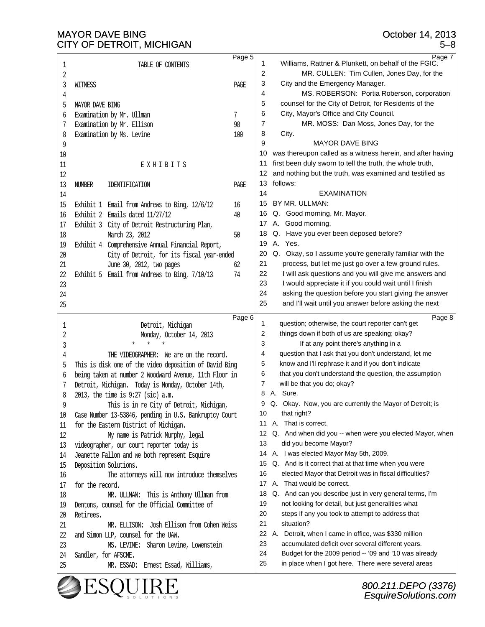| 1       | Page 5<br>TABLE OF CONTENTS                                                                                        | 1        | Page 7<br>Williams, Rattner & Plunkett, on behalf of the FGIC.                                              |
|---------|--------------------------------------------------------------------------------------------------------------------|----------|-------------------------------------------------------------------------------------------------------------|
| 2       |                                                                                                                    | 2        | MR. CULLEN: Tim Cullen, Jones Day, for the                                                                  |
| 3       | PAGE<br><b>WITNESS</b>                                                                                             | 3        | City and the Emergency Manager.                                                                             |
| 4       |                                                                                                                    | 4        | MS. ROBERSON: Portia Roberson, corporation                                                                  |
|         | 5 MAYOR DAVE BING                                                                                                  | 5        | counsel for the City of Detroit, for Residents of the                                                       |
|         | 6 Examination by Mr. Ullman<br>7                                                                                   | 6        | City, Mayor's Office and City Council.                                                                      |
|         | 7 Examination by Mr. Ellison<br>98                                                                                 | 7        | MR. MOSS: Dan Moss, Jones Day, for the                                                                      |
|         | 8 Examination by Ms. Levine<br>100                                                                                 | 8        | City.                                                                                                       |
|         |                                                                                                                    | 9        | <b>MAYOR DAVE BING</b>                                                                                      |
| 9<br>10 |                                                                                                                    | 10       | was thereupon called as a witness herein, and after having                                                  |
| 11      | <b>EXHIBITS</b>                                                                                                    | 11       | first been duly sworn to tell the truth, the whole truth,                                                   |
|         |                                                                                                                    | 12       | and nothing but the truth, was examined and testified as                                                    |
| 12      |                                                                                                                    | 13       | follows:                                                                                                    |
|         | 13 NUMBER IDENTIFICATION<br>PAGE                                                                                   | 14       | <b>EXAMINATION</b>                                                                                          |
| 14      |                                                                                                                    |          | BY MR. ULLMAN:                                                                                              |
|         | 15 Exhibit 1 Email from Andrews to Bing, 12/6/12<br>16                                                             | 15       |                                                                                                             |
|         | 16 Exhibit 2 Emails dated 11/27/12<br>40                                                                           | 16       | Q. Good morning, Mr. Mayor.                                                                                 |
|         | 17 Exhibit 3 City of Detroit Restructuring Plan,                                                                   | 17       | A. Good morning.                                                                                            |
| 18      | March 23, 2012<br>50                                                                                               | 18       | Q.<br>Have you ever been deposed before?<br>A. Yes.                                                         |
|         | 19 Exhibit 4 Comprehensive Annual Financial Report,                                                                | 19       |                                                                                                             |
| 20      | City of Detroit, for its fiscal year-ended                                                                         | 20       | Q. Okay, so I assume you're generally familiar with the                                                     |
| 21      | June 30, 2012, two pages<br>62                                                                                     | 21       | process, but let me just go over a few ground rules.                                                        |
| 22      | Exhibit 5 Email from Andrews to Bing, 7/10/13<br>-74                                                               | 22       | I will ask questions and you will give me answers and                                                       |
| 23      |                                                                                                                    | 23       | I would appreciate it if you could wait until I finish                                                      |
| 24      |                                                                                                                    | 24       | asking the question before you start giving the answer                                                      |
| 25      |                                                                                                                    | 25       | and I'll wait until you answer before asking the next                                                       |
|         | Page 6                                                                                                             | 1        | Page 8<br>question; otherwise, the court reporter can't get                                                 |
| 1       | Detroit, Michigan                                                                                                  | 2        | things down if both of us are speaking; okay?                                                               |
| 2<br>3  | Monday, October 14, 2013                                                                                           | 3        | If at any point there's anything in a                                                                       |
| 4       | THE VIDEOGRAPHER: We are on the record.                                                                            | 4        | question that I ask that you don't understand, let me                                                       |
|         |                                                                                                                    | 5        |                                                                                                             |
| 5       | This is disk one of the video deposition of David Bing<br>6 being taken at number 2 Woodward Avenue, 11th Floor in |          |                                                                                                             |
|         |                                                                                                                    |          | know and I'll rephrase it and if you don't indicate                                                         |
|         |                                                                                                                    | 6        | that you don't understand the question, the assumption                                                      |
|         | 7 Detroit, Michigan. Today is Monday, October 14th,                                                                | 7        | will be that you do; okay?                                                                                  |
|         | 8 2013, the time is 9:27 (sic) a.m.                                                                                | 8        | A. Sure.                                                                                                    |
| 9       | This is in re City of Detroit, Michigan,                                                                           |          | Q. Okay. Now, you are currently the Mayor of Detroit; is                                                    |
|         | 10 Case Number 13-53846, pending in U.S. Bankruptcy Court                                                          | 10       | that right?                                                                                                 |
| 11      | for the Eastern District of Michigan.                                                                              | 11       | A. That is correct.                                                                                         |
| 12      | My name is Patrick Murphy, legal                                                                                   | 12       | Q. And when did you -- when were you elected Mayor, when                                                    |
| 13      | videographer, our court reporter today is                                                                          | 13       | did you become Mayor?                                                                                       |
| 14      | Jeanette Fallon and we both represent Esquire                                                                      | 14       | A. I was elected Mayor May 5th, 2009.                                                                       |
|         | 15 Deposition Solutions.                                                                                           | 15       | Q. And is it correct that at that time when you were                                                        |
| 16      | The attorneys will now introduce themselves                                                                        | 16       | elected Mayor that Detroit was in fiscal difficulties?                                                      |
| 17      | for the record.                                                                                                    | 17       | A. That would be correct.                                                                                   |
| 18      | MR. ULLMAN: This is Anthony Ullman from                                                                            | 18       | Q. And can you describe just in very general terms, I'm                                                     |
| 19      | Dentons, counsel for the Official Committee of                                                                     | 19       | not looking for detail, but just generalities what                                                          |
|         | 20 Retirees.                                                                                                       | 20       | steps if any you took to attempt to address that                                                            |
| 21      | MR. ELLISON: Josh Ellison from Cohen Weiss                                                                         | 21       | situation?                                                                                                  |
|         | 22 and Simon LLP, counsel for the UAW.                                                                             | 22       | A. Detroit, when I came in office, was \$330 million                                                        |
| 23      | MS. LEVINE: Sharon Levine, Lowenstein                                                                              | 23       | accumulated deficit over several different years.                                                           |
| 25      | 24 Sandler, for AFSCME.<br>MR. ESSAD: Ernest Essad, Williams,                                                      | 24<br>25 | Budget for the 2009 period -- '09 and '10 was already<br>in place when I got here. There were several areas |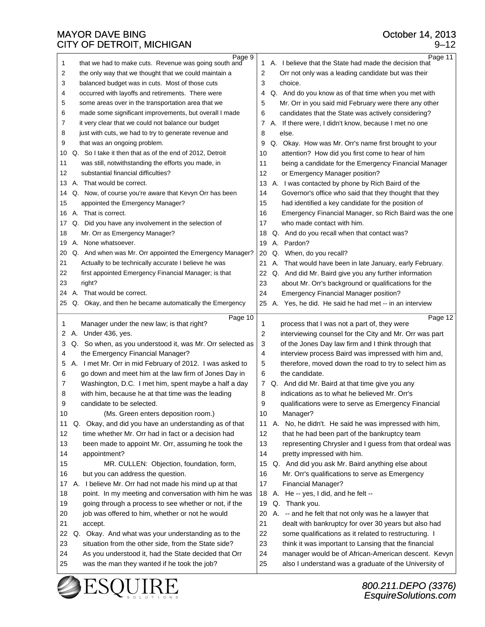| Page 9                                                                | Page 11                                                  |
|-----------------------------------------------------------------------|----------------------------------------------------------|
| that we had to make cuts. Revenue was going south and<br>$\mathbf{1}$ | 1 A. I believe that the State had made the decision that |
| the only way that we thought that we could maintain a                 | 2                                                        |
| 2                                                                     | Orr not only was a leading candidate but was their       |
| 3                                                                     | 3                                                        |
| balanced budget was in cuts. Most of those cuts                       | choice.                                                  |
| occurred with layoffs and retirements. There were                     | Q. And do you know as of that time when you met with     |
| 4                                                                     | 4                                                        |
| 5                                                                     | 5                                                        |
| some areas over in the transportation area that we                    | Mr. Orr in you said mid February were there any other    |
| made some significant improvements, but overall I made                | 6                                                        |
| 6                                                                     | candidates that the State was actively considering?      |
| it very clear that we could not balance our budget                    | A. If there were, I didn't know, because I met no one    |
| 7                                                                     | 7                                                        |
| 8                                                                     | 8                                                        |
| just with cuts, we had to try to generate revenue and                 | else.                                                    |
| 9                                                                     | 9                                                        |
| that was an ongoing problem.                                          | Q. Okay. How was Mr. Orr's name first brought to your    |
| Q. So I take it then that as of the end of 2012, Detroit              | attention? How did you first come to hear of him         |
| 10                                                                    | 10                                                       |
| was still, notwithstanding the efforts you made, in                   | being a candidate for the Emergency Financial Manager    |
| 11                                                                    | 11                                                       |
| 12                                                                    | 12                                                       |
| substantial financial difficulties?                                   | or Emergency Manager position?                           |
| A. That would be correct.<br>13                                       | 13 A. I was contacted by phone by Rich Baird of the      |
| Q. Now, of course you're aware that Kevyn Orr has been                | Governor's office who said that they thought that they   |
| 14                                                                    | 14                                                       |
| appointed the Emergency Manager?                                      | had identified a key candidate for the position of       |
| 15                                                                    | 15                                                       |
| A. That is correct.                                                   | 16                                                       |
| 16                                                                    | Emergency Financial Manager, so Rich Baird was the one   |
| Q. Did you have any involvement in the selection of                   | 17                                                       |
| 17                                                                    | who made contact with him.                               |
| Mr. Orr as Emergency Manager?                                         | Q. And do you recall when that contact was?              |
| 18                                                                    | 18                                                       |
| A. None whatsoever.                                                   | A. Pardon?                                               |
| 19                                                                    | 19                                                       |
| Q. And when was Mr. Orr appointed the Emergency Manager?              | Q. When, do you recall?                                  |
| 20                                                                    | 20                                                       |
| 21                                                                    | A. That would have been in late January, early February. |
| Actually to be technically accurate I believe he was                  | 21                                                       |
| 22                                                                    | 22                                                       |
| first appointed Emergency Financial Manager; is that                  | Q. And did Mr. Baird give you any further information    |
| 23                                                                    | about Mr. Orr's background or qualifications for the     |
| right?                                                                | 23                                                       |
| A. That would be correct.                                             | 24                                                       |
| 24                                                                    | <b>Emergency Financial Manager position?</b>             |
| Q. Okay, and then he became automatically the Emergency<br>25         | 25 A. Yes, he did. He said he had met -- in an interview |
|                                                                       |                                                          |
|                                                                       |                                                          |
| Page 10                                                               | Page 12                                                  |
| Manager under the new law; is that right?                             | 1                                                        |
| 1                                                                     | process that I was not a part of, they were              |
| A. Under 436, yes.                                                    | 2                                                        |
| 2                                                                     | interviewing counsel for the City and Mr. Orr was part   |
| Q. So when, as you understood it, was Mr. Orr selected as             | 3                                                        |
| 3                                                                     | of the Jones Day law firm and I think through that       |
| the Emergency Financial Manager?                                      | 4                                                        |
| 4                                                                     | interview process Baird was impressed with him and,      |
| A. I met Mr. Orr in mid February of 2012. I was asked to              | 5                                                        |
| 5                                                                     | therefore, moved down the road to try to select him as   |
| go down and meet him at the law firm of Jones Day in                  | 6                                                        |
| 6                                                                     | the candidate.                                           |
| Washington, D.C. I met him, spent maybe a half a day                  | $\overline{7}$                                           |
| 7                                                                     | Q. And did Mr. Baird at that time give you any           |
| with him, because he at that time was the leading                     | 8                                                        |
| 8                                                                     | indications as to what he believed Mr. Orr's             |
| 9                                                                     | 9                                                        |
| candidate to be selected.                                             | qualifications were to serve as Emergency Financial      |
| 10                                                                    | 10                                                       |
| (Ms. Green enters deposition room.)                                   | Manager?                                                 |
| Okay, and did you have an understanding as of that                    | No, he didn't. He said he was impressed with him,        |
| 11                                                                    | 11                                                       |
| Q.                                                                    | А.                                                       |
| 12                                                                    | 12                                                       |
| time whether Mr. Orr had in fact or a decision had                    | that he had been part of the bankruptcy team             |
| 13                                                                    | 13                                                       |
| been made to appoint Mr. Orr, assuming he took the                    | representing Chrysler and I guess from that ordeal was   |
| 14                                                                    | 14                                                       |
| appointment?                                                          | pretty impressed with him.                               |
| 15<br>MR. CULLEN: Objection, foundation, form,                        | 15 Q. And did you ask Mr. Baird anything else about      |
| 16                                                                    | Mr. Orr's qualifications to serve as Emergency           |
| but you can address the question.                                     | 16                                                       |
| A. I believe Mr. Orr had not made his mind up at that                 | 17                                                       |
| 17                                                                    | <b>Financial Manager?</b>                                |
| point. In my meeting and conversation with him he was                 | A. He -- yes, I did, and he felt --                      |
| 18                                                                    | 18                                                       |
| going through a process to see whether or not, if the                 | Q. Thank you.                                            |
| 19                                                                    | 19                                                       |
| job was offered to him, whether or not he would                       | A. -- and he felt that not only was he a lawyer that     |
| 20                                                                    | 20                                                       |
| 21                                                                    | 21                                                       |
| accept.                                                               | dealt with bankruptcy for over 30 years but also had     |
| 22                                                                    | 22                                                       |
| Q. Okay. And what was your understanding as to the                    | some qualifications as it related to restructuring. I    |
| 23                                                                    | 23                                                       |
| situation from the other side, from the State side?                   | think it was important to Lansing that the financial     |
| 24                                                                    | 24                                                       |
| As you understood it, had the State decided that Orr                  | manager would be of African-American descent. Kevyn      |
| was the man they wanted if he took the job?                           | 25                                                       |
| 25                                                                    | also I understand was a graduate of the University of    |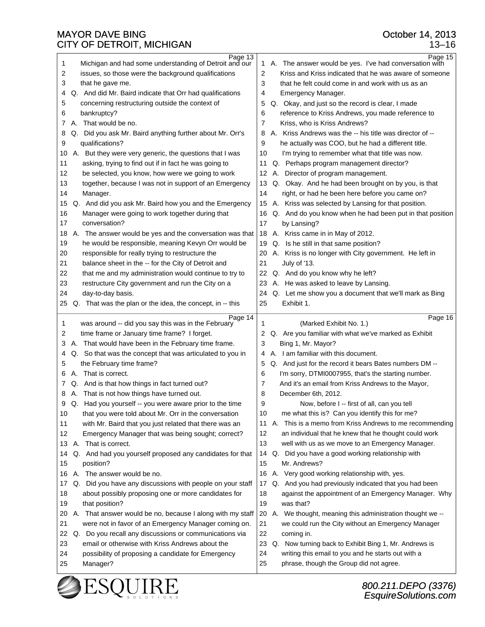| Page 13<br>Michigan and had some understanding of Detroit and our<br>$\mathbf 1$ | Page 15<br>1 A. The answer would be yes. I've had conversation with |
|----------------------------------------------------------------------------------|---------------------------------------------------------------------|
| issues, so those were the background qualifications                              | Kriss and Kriss indicated that he was aware of someone              |
| 2                                                                                | 2                                                                   |
| 3                                                                                | 3                                                                   |
| that he gave me.                                                                 | that he felt could come in and work with us as an                   |
| Q. And did Mr. Baird indicate that Orr had qualifications                        | 4                                                                   |
| 4                                                                                | Emergency Manager.                                                  |
| 5                                                                                | Q. Okay, and just so the record is clear, I made                    |
| concerning restructuring outside the context of                                  | 5                                                                   |
| 6                                                                                | reference to Kriss Andrews, you made reference to                   |
| bankruptcy?                                                                      | 6                                                                   |
| A. That would be no.                                                             | 7                                                                   |
| 7                                                                                | Kriss, who is Kriss Andrews?                                        |
| Q. Did you ask Mr. Baird anything further about Mr. Orr's                        | A. Kriss Andrews was the -- his title was director of --            |
| 8                                                                                | 8                                                                   |
| 9                                                                                | 9                                                                   |
| qualifications?                                                                  | he actually was COO, but he had a different title.                  |
| A. But they were very generic, the questions that I was                          | I'm trying to remember what that title was now.                     |
| 10                                                                               | 10                                                                  |
| asking, trying to find out if in fact he was going to                            | Q. Perhaps program management director?                             |
| 11                                                                               | 11                                                                  |
| 12<br>be selected, you know, how were we going to work                           | 12 A. Director of program management.                               |
| together, because I was not in support of an Emergency                           | Q. Okay. And he had been brought on by you, is that                 |
| 13                                                                               | 13                                                                  |
| 14                                                                               | right, or had he been here before you came on?                      |
| Manager.                                                                         | 14                                                                  |
| Q. And did you ask Mr. Baird how you and the Emergency<br>15                     | 15 A. Kriss was selected by Lansing for that position.              |
| 16                                                                               | Q. And do you know when he had been put in that position            |
| Manager were going to work together during that                                  | 16                                                                  |
| 17                                                                               | 17                                                                  |
| conversation?                                                                    | by Lansing?                                                         |
| 18                                                                               | A. Kriss came in in May of 2012.                                    |
| A. The answer would be yes and the conversation was that                         | 18                                                                  |
| he would be responsible, meaning Kevyn Orr would be<br>19                        | 19 Q. Is he still in that same position?                            |
| 20                                                                               | A. Kriss is no longer with City government. He left in              |
| responsible for really trying to restructure the                                 | 20                                                                  |
| 21                                                                               | 21                                                                  |
| balance sheet in the -- for the City of Detroit and                              | July of '13.                                                        |
| 22                                                                               | 22                                                                  |
| that me and my administration would continue to try to                           | Q. And do you know why he left?                                     |
| 23                                                                               | A. He was asked to leave by Lansing.                                |
| restructure City government and run the City on a                                | 23                                                                  |
| 24<br>day-to-day basis.                                                          | 24 Q. Let me show you a document that we'll mark as Bing            |
| Q. That was the plan or the idea, the concept, in -- this                        | 25                                                                  |
| 25                                                                               | Exhibit 1.                                                          |
|                                                                                  |                                                                     |
|                                                                                  |                                                                     |
| Page 14                                                                          | Page 16                                                             |
| was around -- did you say this was in the February                               | (Marked Exhibit No. 1.)                                             |
| 1                                                                                | 1                                                                   |
| time frame or January time frame? I forget.                                      | Q. Are you familiar with what we've marked as Exhibit               |
| 2                                                                                | 2                                                                   |
| A. That would have been in the February time frame.                              | Bing 1, Mr. Mayor?                                                  |
| 3                                                                                | 3                                                                   |
| Q. So that was the concept that was articulated to you in                        | A. I am familiar with this document.                                |
| 4                                                                                | 4                                                                   |
| 5                                                                                | Q. And just for the record it bears Bates numbers DM --             |
| the February time frame?                                                         | 5                                                                   |
| A. That is correct.                                                              | 6                                                                   |
| 6                                                                                | I'm sorry, DTMI0007955, that's the starting number.                 |
| Q. And is that how things in fact turned out?                                    | And it's an email from Kriss Andrews to the Mayor,                  |
| 7                                                                                | 7                                                                   |
| A. That is not how things have turned out.                                       | December 6th, 2012.                                                 |
| 8                                                                                | 8                                                                   |
| Q. Had you yourself -- you were aware prior to the time                          | 9                                                                   |
| 9                                                                                | Now, before I -- first of all, can you tell                         |
| that you were told about Mr. Orr in the conversation                             | me what this is? Can you identify this for me?                      |
| 10                                                                               | 10                                                                  |
| with Mr. Baird that you just related that there was an                           | A. This is a memo from Kriss Andrews to me recommending             |
| 11                                                                               | 11                                                                  |
| Emergency Manager that was being sought; correct?                                | an individual that he knew that he thought could work               |
| 12                                                                               | 12                                                                  |
| A. That is correct.                                                              | 13                                                                  |
| 13                                                                               | well with us as we move to an Emergency Manager.                    |
| Q. And had you yourself proposed any candidates for that<br>14                   | 14 Q. Did you have a good working relationship with                 |
| position?                                                                        | 15                                                                  |
| 15                                                                               | Mr. Andrews?                                                        |
| A. The answer would be no.<br>16                                                 | 16 A. Very good working relationship with, yes.                     |
| Q. Did you have any discussions with people on your staff<br>17                  | 17 Q. And you had previously indicated that you had been            |
| 18                                                                               | 18                                                                  |
| about possibly proposing one or more candidates for                              | against the appointment of an Emergency Manager. Why                |
| 19                                                                               | 19                                                                  |
| that position?                                                                   | was that?                                                           |
| A. That answer would be no, because I along with my staff<br>20                  | 20 A. We thought, meaning this administration thought we --         |
| 21                                                                               | 21                                                                  |
| were not in favor of an Emergency Manager coming on.                             | we could run the City without an Emergency Manager                  |
| Do you recall any discussions or communications via<br>22<br>Q.                  | 22<br>coming in.                                                    |
| email or otherwise with Kriss Andrews about the                                  | 23                                                                  |
| 23                                                                               | Q. Now turning back to Exhibit Bing 1, Mr. Andrews is               |
| possibility of proposing a candidate for Emergency                               | writing this email to you and he starts out with a                  |
| 24                                                                               | 24                                                                  |
| 25                                                                               | phrase, though the Group did not agree.                             |
| Manager?                                                                         | 25                                                                  |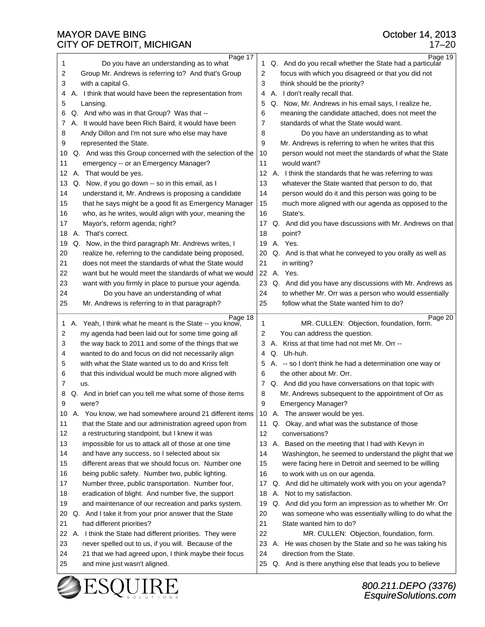| Page 17                                                                                                                      | Page 19                                                                                                  |
|------------------------------------------------------------------------------------------------------------------------------|----------------------------------------------------------------------------------------------------------|
| 1                                                                                                                            | Q. And do you recall whether the State had a particular                                                  |
| Do you have an understanding as to what                                                                                      | 1                                                                                                        |
| 2                                                                                                                            | focus with which you disagreed or that you did not                                                       |
| Group Mr. Andrews is referring to? And that's Group                                                                          | 2                                                                                                        |
| 3                                                                                                                            | 3                                                                                                        |
| with a capital G.                                                                                                            | think should be the priority?                                                                            |
| A. I think that would have been the representation from                                                                      | A. I don't really recall that.                                                                           |
| 4                                                                                                                            | 4                                                                                                        |
| 5                                                                                                                            | Q. Now, Mr. Andrews in his email says, I realize he,                                                     |
| Lansing.                                                                                                                     | 5                                                                                                        |
| Q. And who was in that Group? Was that --                                                                                    | meaning the candidate attached, does not meet the                                                        |
| 6                                                                                                                            | 6                                                                                                        |
| A. It would have been Rich Baird, it would have been                                                                         | 7                                                                                                        |
| 7                                                                                                                            | standards of what the State would want.                                                                  |
| Andy Dillon and I'm not sure who else may have                                                                               | Do you have an understanding as to what                                                                  |
| 8                                                                                                                            | 8                                                                                                        |
| 9                                                                                                                            | 9                                                                                                        |
| represented the State.                                                                                                       | Mr. Andrews is referring to when he writes that this                                                     |
| Q. And was this Group concerned with the selection of the                                                                    | 10                                                                                                       |
| 10                                                                                                                           | person would not meet the standards of what the State                                                    |
| 11                                                                                                                           | 11                                                                                                       |
| emergency -- or an Emergency Manager?                                                                                        | would want?                                                                                              |
| A. That would be yes.                                                                                                        | 12                                                                                                       |
| 12                                                                                                                           | A. I think the standards that he was referring to was                                                    |
| Q. Now, if you go down -- so in this email, as I                                                                             | 13                                                                                                       |
| 13                                                                                                                           | whatever the State wanted that person to do, that                                                        |
| understand it, Mr. Andrews is proposing a candidate                                                                          | 14                                                                                                       |
| 14                                                                                                                           | person would do it and this person was going to be                                                       |
| 15                                                                                                                           | much more aligned with our agenda as opposed to the                                                      |
| that he says might be a good fit as Emergency Manager                                                                        | 15                                                                                                       |
| who, as he writes, would align with your, meaning the                                                                        | 16                                                                                                       |
| 16                                                                                                                           | State's.                                                                                                 |
| 17                                                                                                                           | Q. And did you have discussions with Mr. Andrews on that                                                 |
| Mayor's, reform agenda; right?                                                                                               | 17                                                                                                       |
| A. That's correct.                                                                                                           | 18                                                                                                       |
| 18                                                                                                                           | point?                                                                                                   |
| 19                                                                                                                           | A. Yes.                                                                                                  |
| Q. Now, in the third paragraph Mr. Andrews writes, I                                                                         | 19                                                                                                       |
| 20                                                                                                                           | 20                                                                                                       |
| realize he, referring to the candidate being proposed,                                                                       | Q. And is that what he conveyed to you orally as well as                                                 |
| 21                                                                                                                           | 21                                                                                                       |
| does not meet the standards of what the State would                                                                          | in writing?                                                                                              |
| 22                                                                                                                           | 22                                                                                                       |
| want but he would meet the standards of what we would                                                                        | A. Yes.                                                                                                  |
| 23                                                                                                                           | 23                                                                                                       |
| want with you firmly in place to pursue your agenda.                                                                         | Q. And did you have any discussions with Mr. Andrews as                                                  |
| 24                                                                                                                           | 24                                                                                                       |
| Do you have an understanding of what                                                                                         | to whether Mr. Orr was a person who would essentially                                                    |
| 25                                                                                                                           | 25                                                                                                       |
| Mr. Andrews is referring to in that paragraph?                                                                               | follow what the State wanted him to do?                                                                  |
| Page 18                                                                                                                      | Page 20                                                                                                  |
| A. Yeah, I think what he meant is the State -- you know,                                                                     | MR. CULLEN: Objection, foundation, form.                                                                 |
| 1                                                                                                                            | 1                                                                                                        |
| my agenda had been laid out for some time going all                                                                          | You can address the question.                                                                            |
| 2                                                                                                                            | 2                                                                                                        |
| the way back to 2011 and some of the things that we<br>3                                                                     | 3 A. Kriss at that time had not met Mr. Orr --                                                           |
| 4                                                                                                                            | Q. Uh-huh.                                                                                               |
| wanted to do and focus on did not necessarily align                                                                          | 4                                                                                                        |
| with what the State wanted us to do and Kriss felt                                                                           | A. -- so I don't think he had a determination one way or                                                 |
| 5                                                                                                                            | 5                                                                                                        |
| that this individual would be much more aligned with                                                                         | the other about Mr. Orr.                                                                                 |
| 6                                                                                                                            | 6                                                                                                        |
| 7                                                                                                                            | Q. And did you have conversations on that topic with                                                     |
| us.                                                                                                                          | 7                                                                                                        |
| Q. And in brief can you tell me what some of those items                                                                     | Mr. Andrews subsequent to the appointment of Orr as                                                      |
| 8                                                                                                                            | 8                                                                                                        |
| 9                                                                                                                            | 9                                                                                                        |
| were?                                                                                                                        | Emergency Manager?                                                                                       |
| 10                                                                                                                           | A. The answer would be yes.                                                                              |
| A. You know, we had somewhere around 21 different items                                                                      | 10                                                                                                       |
| 11                                                                                                                           | 11                                                                                                       |
| that the State and our administration agreed upon from                                                                       | Q. Okay, and what was the substance of those                                                             |
| 12                                                                                                                           | 12                                                                                                       |
| a restructuring standpoint, but I knew it was                                                                                | conversations?                                                                                           |
| 13                                                                                                                           | A. Based on the meeting that I had with Kevyn in                                                         |
| impossible for us to attack all of those at one time                                                                         | 13                                                                                                       |
| 14                                                                                                                           | Washington, he seemed to understand the plight that we                                                   |
| and have any success, so I selected about six                                                                                | 14                                                                                                       |
| 15                                                                                                                           | 15                                                                                                       |
| different areas that we should focus on. Number one                                                                          | were facing here in Detroit and seemed to be willing                                                     |
| 16                                                                                                                           | 16                                                                                                       |
| being public safety. Number two, public lighting.                                                                            | to work with us on our agenda.                                                                           |
| 17                                                                                                                           | Q. And did he ultimately work with you on your agenda?                                                   |
| Number three, public transportation. Number four,                                                                            | 17                                                                                                       |
| eradication of blight. And number five, the support                                                                          | A. Not to my satisfaction.                                                                               |
| 18                                                                                                                           | 18                                                                                                       |
| and maintenance of our recreation and parks system.                                                                          | Q. And did you form an impression as to whether Mr. Orr                                                  |
| 19                                                                                                                           | 19                                                                                                       |
|                                                                                                                              |                                                                                                          |
| Q. And I take it from your prior answer that the State                                                                       | 20                                                                                                       |
| 20                                                                                                                           | was someone who was essentially willing to do what the                                                   |
| 21<br>had different priorities?                                                                                              | 21<br>State wanted him to do?<br>22                                                                      |
| A. I think the State had different priorities. They were<br>22<br>23<br>never spelled out to us, if you will. Because of the | MR. CULLEN: Objection, foundation, form.<br>23<br>A. He was chosen by the State and so he was taking his |
| 21 that we had agreed upon, I think maybe their focus                                                                        | direction from the State.                                                                                |
| 24                                                                                                                           | 24                                                                                                       |
|                                                                                                                              | Q. And is there anything else that leads you to believe                                                  |
| 25<br>and mine just wasn't aligned.                                                                                          | 25                                                                                                       |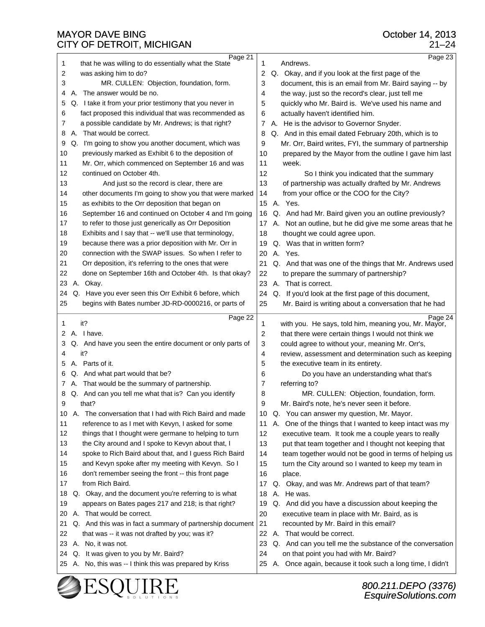| Page 21                                                          | Page 23                                                           |
|------------------------------------------------------------------|-------------------------------------------------------------------|
| that he was willing to do essentially what the State             | Andrews.                                                          |
| 1                                                                | 1                                                                 |
| 2                                                                | 2                                                                 |
| was asking him to do?                                            | Q. Okay, and if you look at the first page of the                 |
| 3                                                                | 3                                                                 |
| MR. CULLEN: Objection, foundation, form.                         | document, this is an email from Mr. Baird saying -- by            |
| The answer would be no.<br>А.<br>4                               | the way, just so the record's clear, just tell me<br>4            |
| Q. I take it from your prior testimony that you never in         | 5                                                                 |
| 5                                                                | quickly who Mr. Baird is. We've used his name and                 |
| fact proposed this individual that was recommended as            | 6                                                                 |
| 6                                                                | actually haven't identified him.                                  |
| 7                                                                | 7                                                                 |
| a possible candidate by Mr. Andrews; is that right?              | A. He is the advisor to Governor Snyder.                          |
| A. That would be correct.                                        | 8                                                                 |
| 8                                                                | Q. And in this email dated February 20th, which is to             |
| Q. I'm going to show you another document, which was             | Mr. Orr, Baird writes, FYI, the summary of partnership            |
| 9                                                                | 9                                                                 |
| previously marked as Exhibit 6 to the deposition of              | 10                                                                |
| 10                                                               | prepared by the Mayor from the outline I gave him last            |
| 11                                                               | 11                                                                |
| Mr. Orr, which commenced on September 16 and was                 | week.                                                             |
| 12                                                               | 12                                                                |
| continued on October 4th.                                        | So I think you indicated that the summary                         |
| 13                                                               | 13                                                                |
| And just so the record is clear, there are                       | of partnership was actually drafted by Mr. Andrews                |
| 14                                                               | from your office or the COO for the City?                         |
| other documents I'm going to show you that were marked           | 14                                                                |
| 15                                                               | A. Yes.                                                           |
| as exhibits to the Orr deposition that began on                  | 15                                                                |
| 16                                                               | Q. And had Mr. Baird given you an outline previously?             |
| September 16 and continued on October 4 and I'm going            | 16                                                                |
| 17                                                               | A. Not an outline, but he did give me some areas that he          |
| to refer to those just generically as Orr Deposition             | 17                                                                |
| 18                                                               | 18                                                                |
| Exhibits and I say that -- we'll use that terminology,           | thought we could agree upon.                                      |
| because there was a prior deposition with Mr. Orr in             | Q. Was that in written form?                                      |
| 19                                                               | 19                                                                |
| connection with the SWAP issues. So when I refer to              | A. Yes.                                                           |
| 20                                                               | 20                                                                |
| 21                                                               | 21                                                                |
| Orr deposition, it's referring to the ones that were             | Q. And that was one of the things that Mr. Andrews used           |
| 22                                                               | 22                                                                |
| done on September 16th and October 4th. Is that okay?            | to prepare the summary of partnership?                            |
| 23                                                               | 23                                                                |
| А.                                                               | That is correct.                                                  |
| Okay.                                                            | А.                                                                |
| Q. Have you ever seen this Orr Exhibit 6 before, which           | Q. If you'd look at the first page of this document,              |
| 24                                                               | 24                                                                |
| begins with Bates number JD-RD-0000216, or parts of              | 25                                                                |
| 25                                                               | Mr. Baird is writing about a conversation that he had             |
|                                                                  |                                                                   |
|                                                                  |                                                                   |
| Page 22                                                          | Page 24                                                           |
| it?                                                              | with you. He says, told him, meaning you, Mr. Mayor,              |
| 1                                                                | 1                                                                 |
| A. I have.                                                       | 2                                                                 |
| 2                                                                | that there were certain things I would not think we               |
| Q. And have you seen the entire document or only parts of        | 3                                                                 |
| 3                                                                | could agree to without your, meaning Mr. Orr's,                   |
| it?                                                              | 4                                                                 |
| 4                                                                | review, assessment and determination such as keeping              |
| A. Parts of it.                                                  | 5                                                                 |
| 5                                                                | the executive team in its entirety.                               |
| Q. And what part would that be?                                  | Do you have an understanding what that's                          |
| 6                                                                | 6                                                                 |
| A. That would be the summary of partnership.                     | referring to?                                                     |
| 7                                                                | 7                                                                 |
| Q. And can you tell me what that is? Can you identify            | 8                                                                 |
| 8                                                                | MR. CULLEN: Objection, foundation, form.                          |
| that?                                                            | 9                                                                 |
| 9                                                                | Mr. Baird's note, he's never seen it before.                      |
| The conversation that I had with Rich Baird and made<br>10<br>A. | Q. You can answer my question, Mr. Mayor.<br>10                   |
| reference to as I met with Kevyn, I asked for some<br>11         | One of the things that I wanted to keep intact was my<br>11<br>А. |
| 12                                                               | 12                                                                |
| things that I thought were germane to helping to turn            | executive team. It took me a couple years to really               |
| 13                                                               | 13                                                                |
| the City around and I spoke to Kevyn about that, I               | put that team together and I thought not keeping that             |
| 14                                                               | team together would not be good in terms of helping us            |
| spoke to Rich Baird about that, and I guess Rich Baird           | 14                                                                |
| 15                                                               | 15                                                                |
| and Kevyn spoke after my meeting with Kevyn. So I                | turn the City around so I wanted to keep my team in               |
| 16                                                               | 16                                                                |
| don't remember seeing the front -- this front page               | place.                                                            |
| from Rich Baird.                                                 | Q. Okay, and was Mr. Andrews part of that team?                   |
| 17                                                               | 17                                                                |
| Q. Okay, and the document you're referring to is what            | 18                                                                |
| 18                                                               | A. He was.                                                        |
| appears on Bates pages 217 and 218; is that right?               | Q. And did you have a discussion about keeping the                |
| 19                                                               | 19                                                                |
| A. That would be correct.                                        | 20                                                                |
| 20                                                               | executive team in place with Mr. Baird, as is                     |
| Q. And this was in fact a summary of partnership document        | 21                                                                |
| 21                                                               | recounted by Mr. Baird in this email?                             |
| 22                                                               | A. That would be correct.                                         |
| that was -- it was not drafted by you; was it?                   | 22                                                                |
| 23                                                               | Q. And can you tell me the substance of the conversation          |
| A. No, it was not.                                               | 23                                                                |
| Q. It was given to you by Mr. Baird?                             | 24                                                                |
| 24                                                               | on that point you had with Mr. Baird?                             |
| A. No, this was -- I think this was prepared by Kriss            | A. Once again, because it took such a long time, I didn't         |
| 25                                                               | 25                                                                |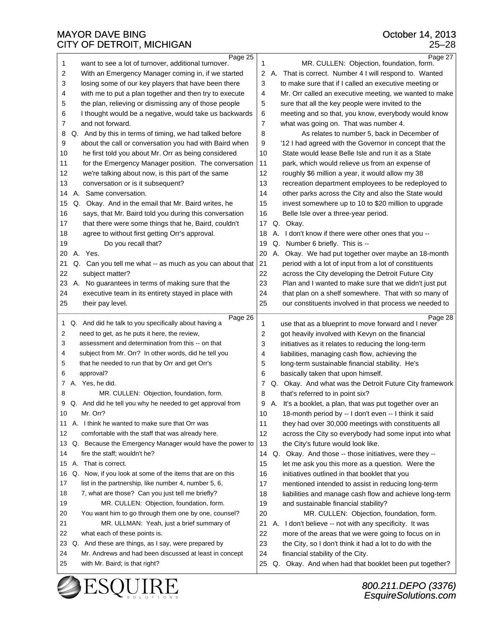|                | Page 25                                                                                           |                | Page 27                                                   |
|----------------|---------------------------------------------------------------------------------------------------|----------------|-----------------------------------------------------------|
| 1              | want to see a lot of turnover, additional turnover.                                               | 1              | MR. CULLEN: Objection, foundation, form.                  |
| 2              | With an Emergency Manager coming in, if we started                                                | 2              | That is correct. Number 4 I will respond to. Wanted<br>А. |
| 3              | losing some of our key players that have been there                                               | 3              | to make sure that if I called an executive meeting or     |
| 4              | with me to put a plan together and then try to execute                                            | 4              | Mr. Orr called an executive meeting, we wanted to make    |
| 5              | the plan, relieving or dismissing any of those people                                             | 5              | sure that all the key people were invited to the          |
| 6              | I thought would be a negative, would take us backwards                                            | 6              | meeting and so that, you know, everybody would know       |
| $\overline{7}$ | and not forward.                                                                                  | $\overline{7}$ | what was going on. That was number 4.                     |
| 8              | Q. And by this in terms of timing, we had talked before                                           | 8              | As relates to number 5, back in December of               |
| 9              | about the call or conversation you had with Baird when                                            | 9              | '12 I had agreed with the Governor in concept that the    |
| 10             | he first told you about Mr. Orr as being considered                                               | 10             | State would lease Belle Isle and run it as a State        |
|                |                                                                                                   |                |                                                           |
| 11             | for the Emergency Manager position. The conversation                                              | 11             | park, which would relieve us from an expense of           |
| 12             | we're talking about now, is this part of the same                                                 | 12             | roughly \$6 million a year, it would allow my 38          |
| 13             | conversation or is it subsequent?                                                                 | 13             | recreation department employees to be redeployed to       |
| 14             | A. Same conversation.                                                                             | 14             | other parks across the City and also the State would      |
| 15             | Q. Okay. And in the email that Mr. Baird writes, he                                               | 15             | invest somewhere up to 10 to \$20 million to upgrade      |
| 16             | says, that Mr. Baird told you during this conversation                                            | 16             | Belle Isle over a three-year period.                      |
| 17             | that there were some things that he, Baird, couldn't                                              | 17             | Q. Okay.                                                  |
| 18             | agree to without first getting Orr's approval.                                                    | 18             | I don't know if there were other ones that you --<br>А.   |
| 19             | Do you recall that?                                                                               | 19             | Number 6 briefly. This is --<br>Q.                        |
| 20             | A. Yes.                                                                                           | 20             | А.<br>Okay. We had put together over maybe an 18-month    |
| 21             | Q. Can you tell me what -- as much as you can about that                                          | 21             | period with a lot of input from a lot of constituents     |
| 22             | subject matter?                                                                                   | 22             | across the City developing the Detroit Future City        |
| 23             | A. No guarantees in terms of making sure that the                                                 | 23             | Plan and I wanted to make sure that we didn't just put    |
| 24             | executive team in its entirety stayed in place with                                               | 24             | that plan on a shelf somewhere. That with so many of      |
| 25             | their pay level.                                                                                  | 25             | our constituents involved in that process we needed to    |
|                |                                                                                                   |                |                                                           |
|                |                                                                                                   |                |                                                           |
| $\mathbf{1}$   | Page 26                                                                                           |                | Page 28                                                   |
|                | Q. And did he talk to you specifically about having a                                             | 1              | use that as a blueprint to move forward and I never       |
| 2              | need to get, as he puts it here, the review,<br>assessment and determination from this -- on that | 2              | got heavily involved with Kevyn on the financial          |
| 3              |                                                                                                   | 3              | initiatives as it relates to reducing the long-term       |
| 4              | subject from Mr. Orr? In other words, did he tell you                                             | 4              | liabilities, managing cash flow, achieving the            |
| 5              | that he needed to run that by Orr and get Orr's                                                   | 5              | long-term sustainable financial stability. He's           |
| 6              | approval?                                                                                         | 6              | basically taken that upon himself.                        |
| 7.             | A. Yes, he did.                                                                                   | 7              | Q. Okay. And what was the Detroit Future City framework   |
| 8              | MR. CULLEN: Objection, foundation, form.                                                          | 8              | that's referred to in point six?                          |
| 9              | Q. And did he tell you why he needed to get approval from                                         | 9              | A. It's a booklet, a plan, that was put together over an  |
| 10             | Mr. Orr?                                                                                          | 10             | 18-month period by -- I don't even -- I think it said     |
| 11             | A. I think he wanted to make sure that Orr was                                                    | 11             | they had over 30,000 meetings with constituents all       |
| 12             | comfortable with the staff that was already here.                                                 | 12             | across the City so everybody had some input into what     |
| 13             | Q. Because the Emergency Manager would have the power to                                          | 13             | the City's future would look like.                        |
| 14             | fire the staff; wouldn't he?                                                                      | 14             | Q. Okay. And those -- those initiatives, were they --     |
| 15             | А.<br>That is correct.                                                                            | 15             | let me ask you this more as a question. Were the          |
| 16             | Q. Now, if you look at some of the items that are on this                                         | 16             | initiatives outlined in that booklet that you             |
| 17             | list in the partnership, like number 4, number 5, 6,                                              | 17             | mentioned intended to assist in reducing long-term        |
| 18             | 7, what are those? Can you just tell me briefly?                                                  | 18             | liabilities and manage cash flow and achieve long-term    |
| 19             | MR. CULLEN: Objection, foundation, form.                                                          | 19             | and sustainable financial stability?                      |
| 20             | You want him to go through them one by one, counsel?                                              | 20             | MR. CULLEN: Objection, foundation, form.                  |
| 21             | MR. ULLMAN: Yeah, just a brief summary of                                                         | 21             | A. I don't believe -- not with any specificity. It was    |
| 22             | what each of these points is.                                                                     | 22             | more of the areas that we were going to focus on in       |
| 23             | Q. And these are things, as I say, were prepared by                                               | 23             | the City, so I don't think it had a lot to do with the    |
| 24             | Mr. Andrews and had been discussed at least in concept                                            | 24             | financial stability of the City.                          |
| 25             | with Mr. Baird; is that right?                                                                    | 25             | Q. Okay. And when had that booklet been put together?     |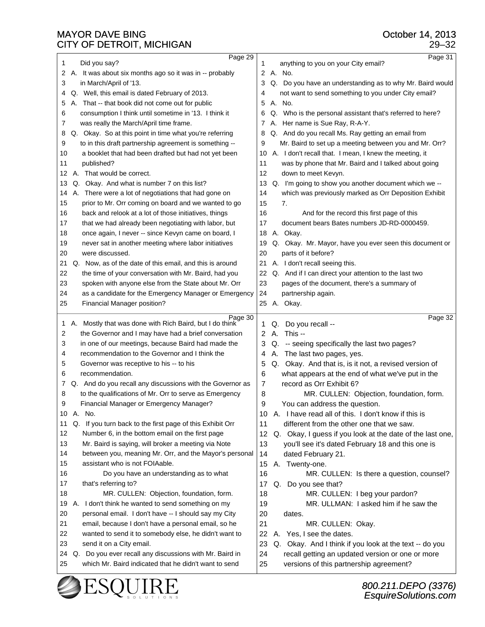| 1  |    | Page 29<br>Did you say?                                                                                          | 1  | Page 31<br>anything to you on your City email?                                              |
|----|----|------------------------------------------------------------------------------------------------------------------|----|---------------------------------------------------------------------------------------------|
| 2  |    | A. It was about six months ago so it was in -- probably                                                          | 2  | A. No.                                                                                      |
| 3  |    | in March/April of '13.                                                                                           | 3  | Q. Do you have an understanding as to why Mr. Baird would                                   |
| 4  |    | Q. Well, this email is dated February of 2013.                                                                   | 4  | not want to send something to you under City email?                                         |
| 5  |    | A. That -- that book did not come out for public                                                                 | 5  | A. No.                                                                                      |
| 6  |    | consumption I think until sometime in '13. I think it                                                            | 6  | Q. Who is the personal assistant that's referred to here?                                   |
| 7  |    | was really the March/April time frame.                                                                           | 7  | A. Her name is Sue Ray, R-A-Y.                                                              |
| 8  |    | Q. Okay. So at this point in time what you're referring                                                          | 8  | Q. And do you recall Ms. Ray getting an email from                                          |
| 9  |    | to in this draft partnership agreement is something --                                                           | 9  | Mr. Baird to set up a meeting between you and Mr. Orr?                                      |
| 10 |    | a booklet that had been drafted but had not yet been                                                             | 10 | A. I don't recall that. I mean, I knew the meeting, it                                      |
| 11 |    | published?                                                                                                       | 11 | was by phone that Mr. Baird and I talked about going                                        |
| 12 | А. | That would be correct.                                                                                           | 12 | down to meet Kevyn.                                                                         |
| 13 |    | Q. Okay. And what is number 7 on this list?                                                                      | 13 | Q. I'm going to show you another document which we --                                       |
| 14 |    | A. There were a lot of negotiations that had gone on                                                             | 14 | which was previously marked as Orr Deposition Exhibit                                       |
| 15 |    | prior to Mr. Orr coming on board and we wanted to go                                                             | 15 | 7.                                                                                          |
| 16 |    | back and relook at a lot of those initiatives, things                                                            | 16 | And for the record this first page of this                                                  |
| 17 |    | that we had already been negotiating with labor, but                                                             | 17 | document bears Bates numbers JD-RD-0000459.                                                 |
| 18 |    | once again, I never -- since Kevyn came on board, I                                                              | 18 | A. Okay.                                                                                    |
| 19 |    | never sat in another meeting where labor initiatives                                                             | 19 | Q. Okay. Mr. Mayor, have you ever seen this document or                                     |
| 20 |    | were discussed.                                                                                                  | 20 | parts of it before?                                                                         |
| 21 |    | Q. Now, as of the date of this email, and this is around                                                         | 21 | A. I don't recall seeing this.                                                              |
| 22 |    | the time of your conversation with Mr. Baird, had you                                                            | 22 | Q. And if I can direct your attention to the last two                                       |
| 23 |    | spoken with anyone else from the State about Mr. Orr                                                             | 23 | pages of the document, there's a summary of                                                 |
| 24 |    | as a candidate for the Emergency Manager or Emergency                                                            | 24 | partnership again.                                                                          |
| 25 |    | Financial Manager position?                                                                                      |    |                                                                                             |
|    |    |                                                                                                                  |    | 25 A. Okay.                                                                                 |
|    |    |                                                                                                                  |    |                                                                                             |
| 1  | Α. | Page 30<br>Mostly that was done with Rich Baird, but I do think                                                  | 1  | Page 32<br>Q. Do you recall --                                                              |
| 2  |    | the Governor and I may have had a brief conversation                                                             | 2  | A. This --                                                                                  |
| 3  |    | in one of our meetings, because Baird had made the                                                               | 3  | Q. -- seeing specifically the last two pages?                                               |
| 4  |    | recommendation to the Governor and I think the                                                                   | 4  | The last two pages, yes.<br>Α.                                                              |
| 5  |    | Governor was receptive to his -- to his                                                                          | 5  | Q. Okay. And that is, is it not, a revised version of                                       |
| 6  |    | recommendation.                                                                                                  | 6  | what appears at the end of what we've put in the                                            |
| 7  |    | Q. And do you recall any discussions with the Governor as                                                        | 7  | record as Orr Exhibit 6?                                                                    |
| 8  |    | to the qualifications of Mr. Orr to serve as Emergency                                                           | 8  | MR. CULLEN: Objection, foundation, form.                                                    |
| 9  |    | Financial Manager or Emergency Manager?                                                                          | a  | You can address the question.                                                               |
| 10 |    | A. No.                                                                                                           | 10 | A. I have read all of this. I don't know if this is                                         |
| 11 |    | Q. If you turn back to the first page of this Exhibit Orr                                                        | 11 | different from the other one that we saw.                                                   |
| 12 |    | Number 6, in the bottom email on the first page                                                                  | 12 | Q. Okay, I guess if you look at the date of the last one,                                   |
| 13 |    | Mr. Baird is saying, will broker a meeting via Note                                                              | 13 | you'll see it's dated February 18 and this one is                                           |
| 14 |    | between you, meaning Mr. Orr, and the Mayor's personal                                                           | 14 | dated February 21.                                                                          |
| 15 |    | assistant who is not FOIAable.                                                                                   | 15 | A. Twenty-one.                                                                              |
| 16 |    | Do you have an understanding as to what                                                                          | 16 | MR. CULLEN: Is there a question, counsel?                                                   |
| 17 |    | that's referring to?                                                                                             | 17 | Q. Do you see that?                                                                         |
| 18 |    | MR. CULLEN: Objection, foundation, form.                                                                         | 18 | MR. CULLEN: I beg your pardon?                                                              |
| 19 |    | A. I don't think he wanted to send something on my                                                               | 19 | MR. ULLMAN: I asked him if he saw the                                                       |
| 20 |    | personal email. I don't have -- I should say my City                                                             | 20 | dates.                                                                                      |
| 21 |    | email, because I don't have a personal email, so he                                                              | 21 | MR. CULLEN: Okay.                                                                           |
| 22 |    | wanted to send it to somebody else, he didn't want to                                                            | 22 | A. Yes, I see the dates.                                                                    |
| 23 |    | send it on a City email.                                                                                         | 23 | Q. Okay. And I think if you look at the text -- do you                                      |
| 24 |    | Q. Do you ever recall any discussions with Mr. Baird in<br>which Mr. Baird indicated that he didn't want to send | 24 | recall getting an updated version or one or more<br>versions of this partnership agreement? |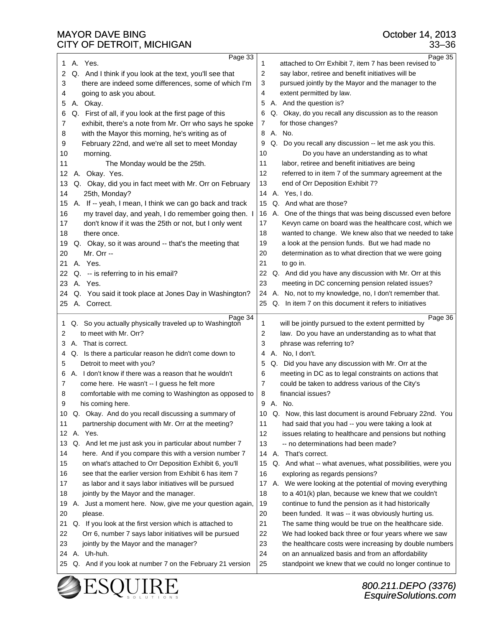25 Q. And if you look at number 7 on the February 21 version

 $\vert$  25 standpoint we knew that we could no longer continue to

| עוויו טוויין, ויווערו ווערו ווט                              | ∪∪−ບບ                                                             |
|--------------------------------------------------------------|-------------------------------------------------------------------|
| Page 33                                                      | Page 35                                                           |
| A. Yes.                                                      | attached to Orr Exhibit 7, item 7 has been revised to             |
| 1.                                                           | $\mathbf{1}$                                                      |
| 2                                                            | $\overline{2}$                                                    |
| Q. And I think if you look at the text, you'll see that      | say labor, retiree and benefit initiatives will be                |
| 3                                                            | 3                                                                 |
| there are indeed some differences, some of which I'm         | pursued jointly by the Mayor and the manager to the               |
| 4                                                            | $\overline{4}$                                                    |
| going to ask you about.                                      | extent permitted by law.                                          |
| 5                                                            | A. And the question is?                                           |
| A. Okay.                                                     | 5                                                                 |
| 6                                                            | Q. Okay, do you recall any discussion as to the reason            |
| Q. First of all, if you look at the first page of this       | 6                                                                 |
| exhibit, there's a note from Mr. Orr who says he spoke       | for those changes?                                                |
| 7                                                            | 7                                                                 |
| with the Mayor this morning, he's writing as of              | A. No.                                                            |
| 8                                                            | 8                                                                 |
| February 22nd, and we're all set to meet Monday              | Q. Do you recall any discussion -- let me ask you this.           |
| 9                                                            | 9                                                                 |
| 10                                                           | Do you have an understanding as to what                           |
| morning.                                                     | 10                                                                |
| 11                                                           | 11                                                                |
| The Monday would be the 25th.                                | labor, retiree and benefit initiatives are being                  |
| A. Okay. Yes.                                                | 12                                                                |
| 12                                                           | referred to in item 7 of the summary agreement at the             |
| 13                                                           | 13                                                                |
| Q. Okay, did you in fact meet with Mr. Orr on February       | end of Orr Deposition Exhibit 7?                                  |
| 14<br>25th, Monday?                                          | 14 A. Yes, I do.                                                  |
| 15                                                           | Q. And what are those?                                            |
| A. If -- yeah, I mean, I think we can go back and track      | 15                                                                |
| 16<br>my travel day, and yeah, I do remember going then. I   | 16 A. One of the things that was being discussed even before      |
| don't know if it was the 25th or not, but I only went        | Kevyn came on board was the healthcare cost, which we             |
| 17                                                           | 17                                                                |
| 18                                                           | wanted to change. We knew also that we needed to take             |
| there once.                                                  | 18                                                                |
| 19                                                           | 19                                                                |
| Q. Okay, so it was around -- that's the meeting that         | a look at the pension funds. But we had made no                   |
| Mr. Orr --                                                   | 20                                                                |
| 20                                                           | determination as to what direction that we were going             |
| 21                                                           | 21                                                                |
| A. Yes.                                                      | to go in.                                                         |
| 22<br>Q. -- is referring to in his email?                    | 22 Q. And did you have any discussion with Mr. Orr at this        |
| 23                                                           | 23                                                                |
| A. Yes.                                                      | meeting in DC concerning pension related issues?                  |
| Q. You said it took place at Jones Day in Washington?        | A. No, not to my knowledge, no, I don't remember that.            |
| 24                                                           | 24                                                                |
| A. Correct.                                                  | Q. In item 7 on this document it refers to initiatives            |
| 25                                                           | 25                                                                |
| Page 34                                                      | Page 36                                                           |
| Q. So you actually physically traveled up to Washington      | will be jointly pursued to the extent permitted by                |
| 1                                                            | $\mathbf{1}$                                                      |
| to meet with Mr. Orr?                                        | law. Do you have an understanding as to what that                 |
| 2                                                            | 2                                                                 |
| A. That is correct.                                          | 3                                                                 |
| 3                                                            | phrase was referring to?                                          |
| Q. Is there a particular reason he didn't come down to       | A. No, I don't.                                                   |
| 4                                                            | 4                                                                 |
| Detroit to meet with you?                                    | 5                                                                 |
| 5                                                            | Q. Did you have any discussion with Mr. Orr at the                |
| A. I don't know if there was a reason that he wouldn't       | meeting in DC as to legal constraints on actions that             |
| 6                                                            | 6                                                                 |
| 7                                                            | 7                                                                 |
| come here. He wasn't -- I guess he felt more                 | could be taken to address various of the City's                   |
| comfortable with me coming to Washington as opposed to       | 8                                                                 |
| 8                                                            | financial issues?                                                 |
| 9                                                            | 9                                                                 |
| his coming here.                                             | A. No.                                                            |
| Q. Okay. And do you recall discussing a summary of           | Q. Now, this last document is around February 22nd. You           |
| 10                                                           | 10                                                                |
| 11                                                           | 11                                                                |
| partnership document with Mr. Orr at the meeting?            | had said that you had -- you were taking a look at                |
| A. Yes.                                                      | 12                                                                |
| 12                                                           | issues relating to healthcare and pensions but nothing            |
| 13                                                           | 13                                                                |
| Q. And let me just ask you in particular about number 7      | -- no determinations had been made?                               |
| 14                                                           | A. That's correct.                                                |
| here. And if you compare this with a version number 7        | 14                                                                |
| 15                                                           | 15                                                                |
| on what's attached to Orr Deposition Exhibit 6, you'll       | Q. And what -- what avenues, what possibilities, were you         |
| 16                                                           | 16                                                                |
| see that the earlier version from Exhibit 6 has item 7       | exploring as regards pensions?                                    |
| 17<br>as labor and it says labor initiatives will be pursued | We were looking at the potential of moving everything<br>17<br>А. |
| 18                                                           | 18                                                                |
| jointly by the Mayor and the manager.                        | to a 401(k) plan, because we knew that we couldn't                |
| A. Just a moment here. Now, give me your question again,     | 19                                                                |
| 19                                                           | continue to fund the pension as it had historically               |
| 20                                                           | 20                                                                |
| please.                                                      | been funded. It was -- it was obviously hurting us.               |
| Q. If you look at the first version which is attached to     | The same thing would be true on the healthcare side.              |
| 21                                                           | 21                                                                |
| Orr 6, number 7 says labor initiatives will be pursued       | We had looked back three or four years where we saw               |
| 22                                                           | 22                                                                |
| 23                                                           | 23                                                                |
| jointly by the Mayor and the manager?                        | the healthcare costs were increasing by double numbers            |
| 24 A. Uh-huh.                                                | 24<br>on an annualized basis and from an affordability            |

October 14, 2013 33–36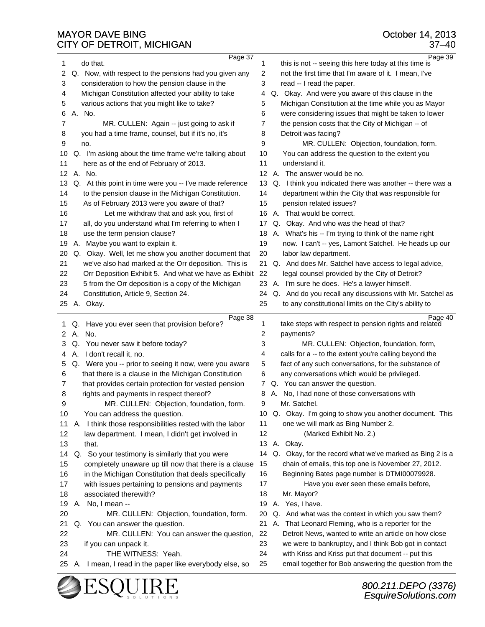| do that.<br>1<br>this is not -- seeing this here today at this time is<br>1<br>2<br>2<br>Q. Now, with respect to the pensions had you given any<br>not the first time that I'm aware of it. I mean, I've<br>consideration to how the pension clause in the<br>3<br>read -- I read the paper.<br>3<br>Michigan Constitution affected your ability to take<br>Q. Okay. And were you aware of this clause in the<br>4<br>4<br>various actions that you might like to take?<br>5<br>Michigan Constitution at the time while you as Mayor<br>5<br>6<br>were considering issues that might be taken to lower<br>A. No.<br>6<br>7<br>MR. CULLEN: Again -- just going to ask if<br>7<br>the pension costs that the City of Michigan -- of<br>you had a time frame, counsel, but if it's no, it's<br>Detroit was facing?<br>8<br>8<br>9<br>MR. CULLEN: Objection, foundation, form.<br>9<br>no.<br>Q. I'm asking about the time frame we're talking about<br>You can address the question to the extent you<br>10<br>10<br>here as of the end of February of 2013.<br>11<br>11<br>understand it.<br>12 A. No.<br>12 A. The answer would be no.<br>Q. At this point in time were you -- I've made reference<br>Q. I think you indicated there was another -- there was a<br>13<br>13<br>14<br>to the pension clause in the Michigan Constitution.<br>department within the City that was responsible for<br>14<br>As of February 2013 were you aware of that?<br>15<br>15<br>pension related issues?<br>16<br>Let me withdraw that and ask you, first of<br>A. That would be correct.<br>16<br>17<br>all, do you understand what I'm referring to when I<br>17 Q. Okay. And who was the head of that?<br>18<br>use the term pension clause?<br>A. What's his -- I'm trying to think of the name right<br>18<br>19<br>A. Maybe you want to explain it.<br>now. I can't -- yes, Lamont Satchel. He heads up our<br>19<br>20<br>Q. Okay. Well, let me show you another document that<br>20<br>labor law department.<br>21<br>21<br>we've also had marked at the Orr deposition. This is<br>Q. And does Mr. Satchel have access to legal advice,<br>Orr Deposition Exhibit 5. And what we have as Exhibit<br>22<br>22<br>legal counsel provided by the City of Detroit?<br>23<br>5 from the Orr deposition is a copy of the Michigan<br>23<br>A. I'm sure he does. He's a lawyer himself.<br>24<br>Constitution, Article 9, Section 24.<br>Q. And do you recall any discussions with Mr. Satchel as<br>24<br>25 A. Okay.<br>25<br>to any constitutional limits on the City's ability to<br>Page 38<br>Page 40<br>Q. Have you ever seen that provision before?<br>take steps with respect to pension rights and related<br>1<br>1<br>2<br>A.<br>No.<br>payments?<br>2<br>3<br>MR. CULLEN: Objection, foundation, form,<br>3<br>Q. You never saw it before today?<br>A. I don't recall it, no.<br>calls for a -- to the extent you're calling beyond the<br>4<br>4<br>fact of any such conversations, for the substance of<br>Q. Were you -- prior to seeing it now, were you aware<br>5<br>5<br>that there is a clause in the Michigan Constitution<br>6<br>any conversations which would be privileged.<br>6<br>that provides certain protection for vested pension<br>Q. You can answer the question.<br>7<br>7<br>A. No, I had none of those conversations with<br>rights and payments in respect thereof?<br>8<br>8<br>MR. CULLEN: Objection, foundation, form.<br>9<br>Mr. Satchel.<br>9<br>Q. Okay. I'm going to show you another document. This<br>10<br>You can address the question.<br>10<br>one we will mark as Bing Number 2.<br>A. I think those responsibilities rested with the labor<br>11<br>11<br>12<br>law department. I mean, I didn't get involved in<br>12<br>(Marked Exhibit No. 2.)<br>13<br>A. Okay.<br>that.<br>13<br>Q. So your testimony is similarly that you were<br>Q. Okay, for the record what we've marked as Bing 2 is a<br>14<br>14<br>chain of emails, this top one is November 27, 2012.<br>completely unaware up till now that there is a clause<br>15<br>15<br>16<br>in the Michigan Constitution that deals specifically<br>16<br>Beginning Bates page number is DTMI00079928.<br>with issues pertaining to pensions and payments<br>17<br>Have you ever seen these emails before,<br>17<br>associated therewith?<br>18<br>Mr. Mayor?<br>18<br>A. Yes, I have.<br>19<br>A. No, I mean --<br>19<br>20<br>Q. And what was the context in which you saw them?<br>MR. CULLEN: Objection, foundation, form.<br>20<br>You can answer the question.<br>21<br>That Leonard Fleming, who is a reporter for the<br>21<br>А.<br>Q.<br>22<br>MR. CULLEN: You can answer the question,<br>22<br>Detroit News, wanted to write an article on how close<br>23<br>we were to bankruptcy, and I think Bob got in contact<br>23<br>if you can unpack it.<br>THE WITNESS: Yeah.<br>24<br>with Kriss and Kriss put that document -- put this<br>24<br>email together for Bob answering the question from the<br>25<br>I mean, I read in the paper like everybody else, so<br>25<br>Α. |  |         |         |
|---------------------------------------------------------------------------------------------------------------------------------------------------------------------------------------------------------------------------------------------------------------------------------------------------------------------------------------------------------------------------------------------------------------------------------------------------------------------------------------------------------------------------------------------------------------------------------------------------------------------------------------------------------------------------------------------------------------------------------------------------------------------------------------------------------------------------------------------------------------------------------------------------------------------------------------------------------------------------------------------------------------------------------------------------------------------------------------------------------------------------------------------------------------------------------------------------------------------------------------------------------------------------------------------------------------------------------------------------------------------------------------------------------------------------------------------------------------------------------------------------------------------------------------------------------------------------------------------------------------------------------------------------------------------------------------------------------------------------------------------------------------------------------------------------------------------------------------------------------------------------------------------------------------------------------------------------------------------------------------------------------------------------------------------------------------------------------------------------------------------------------------------------------------------------------------------------------------------------------------------------------------------------------------------------------------------------------------------------------------------------------------------------------------------------------------------------------------------------------------------------------------------------------------------------------------------------------------------------------------------------------------------------------------------------------------------------------------------------------------------------------------------------------------------------------------------------------------------------------------------------------------------------------------------------------------------------------------------------------------------------------------------------------------------------------------------------------------------------------------------------------------------------------------------------------------------------------------------------------------------------------------------------------------------------------------------------------------------------------------------------------------------------------------------------------------------------------------------------------------------------------------------------------------------------------------------------------------------------------------------------------------------------------------------------------------------------------------------------------------------------------------------------------------------------------------------------------------------------------------------------------------------------------------------------------------------------------------------------------------------------------------------------------------------------------------------------------------------------------------------------------------------------------------------------------------------------------------------------------------------------------------------------------------------------------------------------------------------------------------------------------------------------------------------------------------------------------------------------------------------------------------------------------------------------------------------------------------------------------------------------------------------------------------------------------------------------------------------------------------------------------------------------------------------------------------------------------------------------------------------------------------------------------------------------------------------------------------------------------------------------------------------------------------------------------------------------------------------|--|---------|---------|
|                                                                                                                                                                                                                                                                                                                                                                                                                                                                                                                                                                                                                                                                                                                                                                                                                                                                                                                                                                                                                                                                                                                                                                                                                                                                                                                                                                                                                                                                                                                                                                                                                                                                                                                                                                                                                                                                                                                                                                                                                                                                                                                                                                                                                                                                                                                                                                                                                                                                                                                                                                                                                                                                                                                                                                                                                                                                                                                                                                                                                                                                                                                                                                                                                                                                                                                                                                                                                                                                                                                                                                                                                                                                                                                                                                                                                                                                                                                                                                                                                                                                                                                                                                                                                                                                                                                                                                                                                                                                                                                                                                                                                                                                                                                                                                                                                                                                                                                                                                                                                                                                                             |  | Page 37 | Page 39 |
|                                                                                                                                                                                                                                                                                                                                                                                                                                                                                                                                                                                                                                                                                                                                                                                                                                                                                                                                                                                                                                                                                                                                                                                                                                                                                                                                                                                                                                                                                                                                                                                                                                                                                                                                                                                                                                                                                                                                                                                                                                                                                                                                                                                                                                                                                                                                                                                                                                                                                                                                                                                                                                                                                                                                                                                                                                                                                                                                                                                                                                                                                                                                                                                                                                                                                                                                                                                                                                                                                                                                                                                                                                                                                                                                                                                                                                                                                                                                                                                                                                                                                                                                                                                                                                                                                                                                                                                                                                                                                                                                                                                                                                                                                                                                                                                                                                                                                                                                                                                                                                                                                             |  |         |         |
|                                                                                                                                                                                                                                                                                                                                                                                                                                                                                                                                                                                                                                                                                                                                                                                                                                                                                                                                                                                                                                                                                                                                                                                                                                                                                                                                                                                                                                                                                                                                                                                                                                                                                                                                                                                                                                                                                                                                                                                                                                                                                                                                                                                                                                                                                                                                                                                                                                                                                                                                                                                                                                                                                                                                                                                                                                                                                                                                                                                                                                                                                                                                                                                                                                                                                                                                                                                                                                                                                                                                                                                                                                                                                                                                                                                                                                                                                                                                                                                                                                                                                                                                                                                                                                                                                                                                                                                                                                                                                                                                                                                                                                                                                                                                                                                                                                                                                                                                                                                                                                                                                             |  |         |         |
|                                                                                                                                                                                                                                                                                                                                                                                                                                                                                                                                                                                                                                                                                                                                                                                                                                                                                                                                                                                                                                                                                                                                                                                                                                                                                                                                                                                                                                                                                                                                                                                                                                                                                                                                                                                                                                                                                                                                                                                                                                                                                                                                                                                                                                                                                                                                                                                                                                                                                                                                                                                                                                                                                                                                                                                                                                                                                                                                                                                                                                                                                                                                                                                                                                                                                                                                                                                                                                                                                                                                                                                                                                                                                                                                                                                                                                                                                                                                                                                                                                                                                                                                                                                                                                                                                                                                                                                                                                                                                                                                                                                                                                                                                                                                                                                                                                                                                                                                                                                                                                                                                             |  |         |         |
|                                                                                                                                                                                                                                                                                                                                                                                                                                                                                                                                                                                                                                                                                                                                                                                                                                                                                                                                                                                                                                                                                                                                                                                                                                                                                                                                                                                                                                                                                                                                                                                                                                                                                                                                                                                                                                                                                                                                                                                                                                                                                                                                                                                                                                                                                                                                                                                                                                                                                                                                                                                                                                                                                                                                                                                                                                                                                                                                                                                                                                                                                                                                                                                                                                                                                                                                                                                                                                                                                                                                                                                                                                                                                                                                                                                                                                                                                                                                                                                                                                                                                                                                                                                                                                                                                                                                                                                                                                                                                                                                                                                                                                                                                                                                                                                                                                                                                                                                                                                                                                                                                             |  |         |         |
|                                                                                                                                                                                                                                                                                                                                                                                                                                                                                                                                                                                                                                                                                                                                                                                                                                                                                                                                                                                                                                                                                                                                                                                                                                                                                                                                                                                                                                                                                                                                                                                                                                                                                                                                                                                                                                                                                                                                                                                                                                                                                                                                                                                                                                                                                                                                                                                                                                                                                                                                                                                                                                                                                                                                                                                                                                                                                                                                                                                                                                                                                                                                                                                                                                                                                                                                                                                                                                                                                                                                                                                                                                                                                                                                                                                                                                                                                                                                                                                                                                                                                                                                                                                                                                                                                                                                                                                                                                                                                                                                                                                                                                                                                                                                                                                                                                                                                                                                                                                                                                                                                             |  |         |         |
|                                                                                                                                                                                                                                                                                                                                                                                                                                                                                                                                                                                                                                                                                                                                                                                                                                                                                                                                                                                                                                                                                                                                                                                                                                                                                                                                                                                                                                                                                                                                                                                                                                                                                                                                                                                                                                                                                                                                                                                                                                                                                                                                                                                                                                                                                                                                                                                                                                                                                                                                                                                                                                                                                                                                                                                                                                                                                                                                                                                                                                                                                                                                                                                                                                                                                                                                                                                                                                                                                                                                                                                                                                                                                                                                                                                                                                                                                                                                                                                                                                                                                                                                                                                                                                                                                                                                                                                                                                                                                                                                                                                                                                                                                                                                                                                                                                                                                                                                                                                                                                                                                             |  |         |         |
|                                                                                                                                                                                                                                                                                                                                                                                                                                                                                                                                                                                                                                                                                                                                                                                                                                                                                                                                                                                                                                                                                                                                                                                                                                                                                                                                                                                                                                                                                                                                                                                                                                                                                                                                                                                                                                                                                                                                                                                                                                                                                                                                                                                                                                                                                                                                                                                                                                                                                                                                                                                                                                                                                                                                                                                                                                                                                                                                                                                                                                                                                                                                                                                                                                                                                                                                                                                                                                                                                                                                                                                                                                                                                                                                                                                                                                                                                                                                                                                                                                                                                                                                                                                                                                                                                                                                                                                                                                                                                                                                                                                                                                                                                                                                                                                                                                                                                                                                                                                                                                                                                             |  |         |         |
|                                                                                                                                                                                                                                                                                                                                                                                                                                                                                                                                                                                                                                                                                                                                                                                                                                                                                                                                                                                                                                                                                                                                                                                                                                                                                                                                                                                                                                                                                                                                                                                                                                                                                                                                                                                                                                                                                                                                                                                                                                                                                                                                                                                                                                                                                                                                                                                                                                                                                                                                                                                                                                                                                                                                                                                                                                                                                                                                                                                                                                                                                                                                                                                                                                                                                                                                                                                                                                                                                                                                                                                                                                                                                                                                                                                                                                                                                                                                                                                                                                                                                                                                                                                                                                                                                                                                                                                                                                                                                                                                                                                                                                                                                                                                                                                                                                                                                                                                                                                                                                                                                             |  |         |         |
|                                                                                                                                                                                                                                                                                                                                                                                                                                                                                                                                                                                                                                                                                                                                                                                                                                                                                                                                                                                                                                                                                                                                                                                                                                                                                                                                                                                                                                                                                                                                                                                                                                                                                                                                                                                                                                                                                                                                                                                                                                                                                                                                                                                                                                                                                                                                                                                                                                                                                                                                                                                                                                                                                                                                                                                                                                                                                                                                                                                                                                                                                                                                                                                                                                                                                                                                                                                                                                                                                                                                                                                                                                                                                                                                                                                                                                                                                                                                                                                                                                                                                                                                                                                                                                                                                                                                                                                                                                                                                                                                                                                                                                                                                                                                                                                                                                                                                                                                                                                                                                                                                             |  |         |         |
|                                                                                                                                                                                                                                                                                                                                                                                                                                                                                                                                                                                                                                                                                                                                                                                                                                                                                                                                                                                                                                                                                                                                                                                                                                                                                                                                                                                                                                                                                                                                                                                                                                                                                                                                                                                                                                                                                                                                                                                                                                                                                                                                                                                                                                                                                                                                                                                                                                                                                                                                                                                                                                                                                                                                                                                                                                                                                                                                                                                                                                                                                                                                                                                                                                                                                                                                                                                                                                                                                                                                                                                                                                                                                                                                                                                                                                                                                                                                                                                                                                                                                                                                                                                                                                                                                                                                                                                                                                                                                                                                                                                                                                                                                                                                                                                                                                                                                                                                                                                                                                                                                             |  |         |         |
|                                                                                                                                                                                                                                                                                                                                                                                                                                                                                                                                                                                                                                                                                                                                                                                                                                                                                                                                                                                                                                                                                                                                                                                                                                                                                                                                                                                                                                                                                                                                                                                                                                                                                                                                                                                                                                                                                                                                                                                                                                                                                                                                                                                                                                                                                                                                                                                                                                                                                                                                                                                                                                                                                                                                                                                                                                                                                                                                                                                                                                                                                                                                                                                                                                                                                                                                                                                                                                                                                                                                                                                                                                                                                                                                                                                                                                                                                                                                                                                                                                                                                                                                                                                                                                                                                                                                                                                                                                                                                                                                                                                                                                                                                                                                                                                                                                                                                                                                                                                                                                                                                             |  |         |         |
|                                                                                                                                                                                                                                                                                                                                                                                                                                                                                                                                                                                                                                                                                                                                                                                                                                                                                                                                                                                                                                                                                                                                                                                                                                                                                                                                                                                                                                                                                                                                                                                                                                                                                                                                                                                                                                                                                                                                                                                                                                                                                                                                                                                                                                                                                                                                                                                                                                                                                                                                                                                                                                                                                                                                                                                                                                                                                                                                                                                                                                                                                                                                                                                                                                                                                                                                                                                                                                                                                                                                                                                                                                                                                                                                                                                                                                                                                                                                                                                                                                                                                                                                                                                                                                                                                                                                                                                                                                                                                                                                                                                                                                                                                                                                                                                                                                                                                                                                                                                                                                                                                             |  |         |         |
|                                                                                                                                                                                                                                                                                                                                                                                                                                                                                                                                                                                                                                                                                                                                                                                                                                                                                                                                                                                                                                                                                                                                                                                                                                                                                                                                                                                                                                                                                                                                                                                                                                                                                                                                                                                                                                                                                                                                                                                                                                                                                                                                                                                                                                                                                                                                                                                                                                                                                                                                                                                                                                                                                                                                                                                                                                                                                                                                                                                                                                                                                                                                                                                                                                                                                                                                                                                                                                                                                                                                                                                                                                                                                                                                                                                                                                                                                                                                                                                                                                                                                                                                                                                                                                                                                                                                                                                                                                                                                                                                                                                                                                                                                                                                                                                                                                                                                                                                                                                                                                                                                             |  |         |         |
|                                                                                                                                                                                                                                                                                                                                                                                                                                                                                                                                                                                                                                                                                                                                                                                                                                                                                                                                                                                                                                                                                                                                                                                                                                                                                                                                                                                                                                                                                                                                                                                                                                                                                                                                                                                                                                                                                                                                                                                                                                                                                                                                                                                                                                                                                                                                                                                                                                                                                                                                                                                                                                                                                                                                                                                                                                                                                                                                                                                                                                                                                                                                                                                                                                                                                                                                                                                                                                                                                                                                                                                                                                                                                                                                                                                                                                                                                                                                                                                                                                                                                                                                                                                                                                                                                                                                                                                                                                                                                                                                                                                                                                                                                                                                                                                                                                                                                                                                                                                                                                                                                             |  |         |         |
|                                                                                                                                                                                                                                                                                                                                                                                                                                                                                                                                                                                                                                                                                                                                                                                                                                                                                                                                                                                                                                                                                                                                                                                                                                                                                                                                                                                                                                                                                                                                                                                                                                                                                                                                                                                                                                                                                                                                                                                                                                                                                                                                                                                                                                                                                                                                                                                                                                                                                                                                                                                                                                                                                                                                                                                                                                                                                                                                                                                                                                                                                                                                                                                                                                                                                                                                                                                                                                                                                                                                                                                                                                                                                                                                                                                                                                                                                                                                                                                                                                                                                                                                                                                                                                                                                                                                                                                                                                                                                                                                                                                                                                                                                                                                                                                                                                                                                                                                                                                                                                                                                             |  |         |         |
|                                                                                                                                                                                                                                                                                                                                                                                                                                                                                                                                                                                                                                                                                                                                                                                                                                                                                                                                                                                                                                                                                                                                                                                                                                                                                                                                                                                                                                                                                                                                                                                                                                                                                                                                                                                                                                                                                                                                                                                                                                                                                                                                                                                                                                                                                                                                                                                                                                                                                                                                                                                                                                                                                                                                                                                                                                                                                                                                                                                                                                                                                                                                                                                                                                                                                                                                                                                                                                                                                                                                                                                                                                                                                                                                                                                                                                                                                                                                                                                                                                                                                                                                                                                                                                                                                                                                                                                                                                                                                                                                                                                                                                                                                                                                                                                                                                                                                                                                                                                                                                                                                             |  |         |         |
|                                                                                                                                                                                                                                                                                                                                                                                                                                                                                                                                                                                                                                                                                                                                                                                                                                                                                                                                                                                                                                                                                                                                                                                                                                                                                                                                                                                                                                                                                                                                                                                                                                                                                                                                                                                                                                                                                                                                                                                                                                                                                                                                                                                                                                                                                                                                                                                                                                                                                                                                                                                                                                                                                                                                                                                                                                                                                                                                                                                                                                                                                                                                                                                                                                                                                                                                                                                                                                                                                                                                                                                                                                                                                                                                                                                                                                                                                                                                                                                                                                                                                                                                                                                                                                                                                                                                                                                                                                                                                                                                                                                                                                                                                                                                                                                                                                                                                                                                                                                                                                                                                             |  |         |         |
|                                                                                                                                                                                                                                                                                                                                                                                                                                                                                                                                                                                                                                                                                                                                                                                                                                                                                                                                                                                                                                                                                                                                                                                                                                                                                                                                                                                                                                                                                                                                                                                                                                                                                                                                                                                                                                                                                                                                                                                                                                                                                                                                                                                                                                                                                                                                                                                                                                                                                                                                                                                                                                                                                                                                                                                                                                                                                                                                                                                                                                                                                                                                                                                                                                                                                                                                                                                                                                                                                                                                                                                                                                                                                                                                                                                                                                                                                                                                                                                                                                                                                                                                                                                                                                                                                                                                                                                                                                                                                                                                                                                                                                                                                                                                                                                                                                                                                                                                                                                                                                                                                             |  |         |         |
|                                                                                                                                                                                                                                                                                                                                                                                                                                                                                                                                                                                                                                                                                                                                                                                                                                                                                                                                                                                                                                                                                                                                                                                                                                                                                                                                                                                                                                                                                                                                                                                                                                                                                                                                                                                                                                                                                                                                                                                                                                                                                                                                                                                                                                                                                                                                                                                                                                                                                                                                                                                                                                                                                                                                                                                                                                                                                                                                                                                                                                                                                                                                                                                                                                                                                                                                                                                                                                                                                                                                                                                                                                                                                                                                                                                                                                                                                                                                                                                                                                                                                                                                                                                                                                                                                                                                                                                                                                                                                                                                                                                                                                                                                                                                                                                                                                                                                                                                                                                                                                                                                             |  |         |         |
|                                                                                                                                                                                                                                                                                                                                                                                                                                                                                                                                                                                                                                                                                                                                                                                                                                                                                                                                                                                                                                                                                                                                                                                                                                                                                                                                                                                                                                                                                                                                                                                                                                                                                                                                                                                                                                                                                                                                                                                                                                                                                                                                                                                                                                                                                                                                                                                                                                                                                                                                                                                                                                                                                                                                                                                                                                                                                                                                                                                                                                                                                                                                                                                                                                                                                                                                                                                                                                                                                                                                                                                                                                                                                                                                                                                                                                                                                                                                                                                                                                                                                                                                                                                                                                                                                                                                                                                                                                                                                                                                                                                                                                                                                                                                                                                                                                                                                                                                                                                                                                                                                             |  |         |         |
|                                                                                                                                                                                                                                                                                                                                                                                                                                                                                                                                                                                                                                                                                                                                                                                                                                                                                                                                                                                                                                                                                                                                                                                                                                                                                                                                                                                                                                                                                                                                                                                                                                                                                                                                                                                                                                                                                                                                                                                                                                                                                                                                                                                                                                                                                                                                                                                                                                                                                                                                                                                                                                                                                                                                                                                                                                                                                                                                                                                                                                                                                                                                                                                                                                                                                                                                                                                                                                                                                                                                                                                                                                                                                                                                                                                                                                                                                                                                                                                                                                                                                                                                                                                                                                                                                                                                                                                                                                                                                                                                                                                                                                                                                                                                                                                                                                                                                                                                                                                                                                                                                             |  |         |         |
|                                                                                                                                                                                                                                                                                                                                                                                                                                                                                                                                                                                                                                                                                                                                                                                                                                                                                                                                                                                                                                                                                                                                                                                                                                                                                                                                                                                                                                                                                                                                                                                                                                                                                                                                                                                                                                                                                                                                                                                                                                                                                                                                                                                                                                                                                                                                                                                                                                                                                                                                                                                                                                                                                                                                                                                                                                                                                                                                                                                                                                                                                                                                                                                                                                                                                                                                                                                                                                                                                                                                                                                                                                                                                                                                                                                                                                                                                                                                                                                                                                                                                                                                                                                                                                                                                                                                                                                                                                                                                                                                                                                                                                                                                                                                                                                                                                                                                                                                                                                                                                                                                             |  |         |         |
|                                                                                                                                                                                                                                                                                                                                                                                                                                                                                                                                                                                                                                                                                                                                                                                                                                                                                                                                                                                                                                                                                                                                                                                                                                                                                                                                                                                                                                                                                                                                                                                                                                                                                                                                                                                                                                                                                                                                                                                                                                                                                                                                                                                                                                                                                                                                                                                                                                                                                                                                                                                                                                                                                                                                                                                                                                                                                                                                                                                                                                                                                                                                                                                                                                                                                                                                                                                                                                                                                                                                                                                                                                                                                                                                                                                                                                                                                                                                                                                                                                                                                                                                                                                                                                                                                                                                                                                                                                                                                                                                                                                                                                                                                                                                                                                                                                                                                                                                                                                                                                                                                             |  |         |         |
|                                                                                                                                                                                                                                                                                                                                                                                                                                                                                                                                                                                                                                                                                                                                                                                                                                                                                                                                                                                                                                                                                                                                                                                                                                                                                                                                                                                                                                                                                                                                                                                                                                                                                                                                                                                                                                                                                                                                                                                                                                                                                                                                                                                                                                                                                                                                                                                                                                                                                                                                                                                                                                                                                                                                                                                                                                                                                                                                                                                                                                                                                                                                                                                                                                                                                                                                                                                                                                                                                                                                                                                                                                                                                                                                                                                                                                                                                                                                                                                                                                                                                                                                                                                                                                                                                                                                                                                                                                                                                                                                                                                                                                                                                                                                                                                                                                                                                                                                                                                                                                                                                             |  |         |         |
|                                                                                                                                                                                                                                                                                                                                                                                                                                                                                                                                                                                                                                                                                                                                                                                                                                                                                                                                                                                                                                                                                                                                                                                                                                                                                                                                                                                                                                                                                                                                                                                                                                                                                                                                                                                                                                                                                                                                                                                                                                                                                                                                                                                                                                                                                                                                                                                                                                                                                                                                                                                                                                                                                                                                                                                                                                                                                                                                                                                                                                                                                                                                                                                                                                                                                                                                                                                                                                                                                                                                                                                                                                                                                                                                                                                                                                                                                                                                                                                                                                                                                                                                                                                                                                                                                                                                                                                                                                                                                                                                                                                                                                                                                                                                                                                                                                                                                                                                                                                                                                                                                             |  |         |         |
|                                                                                                                                                                                                                                                                                                                                                                                                                                                                                                                                                                                                                                                                                                                                                                                                                                                                                                                                                                                                                                                                                                                                                                                                                                                                                                                                                                                                                                                                                                                                                                                                                                                                                                                                                                                                                                                                                                                                                                                                                                                                                                                                                                                                                                                                                                                                                                                                                                                                                                                                                                                                                                                                                                                                                                                                                                                                                                                                                                                                                                                                                                                                                                                                                                                                                                                                                                                                                                                                                                                                                                                                                                                                                                                                                                                                                                                                                                                                                                                                                                                                                                                                                                                                                                                                                                                                                                                                                                                                                                                                                                                                                                                                                                                                                                                                                                                                                                                                                                                                                                                                                             |  |         |         |
|                                                                                                                                                                                                                                                                                                                                                                                                                                                                                                                                                                                                                                                                                                                                                                                                                                                                                                                                                                                                                                                                                                                                                                                                                                                                                                                                                                                                                                                                                                                                                                                                                                                                                                                                                                                                                                                                                                                                                                                                                                                                                                                                                                                                                                                                                                                                                                                                                                                                                                                                                                                                                                                                                                                                                                                                                                                                                                                                                                                                                                                                                                                                                                                                                                                                                                                                                                                                                                                                                                                                                                                                                                                                                                                                                                                                                                                                                                                                                                                                                                                                                                                                                                                                                                                                                                                                                                                                                                                                                                                                                                                                                                                                                                                                                                                                                                                                                                                                                                                                                                                                                             |  |         |         |
|                                                                                                                                                                                                                                                                                                                                                                                                                                                                                                                                                                                                                                                                                                                                                                                                                                                                                                                                                                                                                                                                                                                                                                                                                                                                                                                                                                                                                                                                                                                                                                                                                                                                                                                                                                                                                                                                                                                                                                                                                                                                                                                                                                                                                                                                                                                                                                                                                                                                                                                                                                                                                                                                                                                                                                                                                                                                                                                                                                                                                                                                                                                                                                                                                                                                                                                                                                                                                                                                                                                                                                                                                                                                                                                                                                                                                                                                                                                                                                                                                                                                                                                                                                                                                                                                                                                                                                                                                                                                                                                                                                                                                                                                                                                                                                                                                                                                                                                                                                                                                                                                                             |  |         |         |
|                                                                                                                                                                                                                                                                                                                                                                                                                                                                                                                                                                                                                                                                                                                                                                                                                                                                                                                                                                                                                                                                                                                                                                                                                                                                                                                                                                                                                                                                                                                                                                                                                                                                                                                                                                                                                                                                                                                                                                                                                                                                                                                                                                                                                                                                                                                                                                                                                                                                                                                                                                                                                                                                                                                                                                                                                                                                                                                                                                                                                                                                                                                                                                                                                                                                                                                                                                                                                                                                                                                                                                                                                                                                                                                                                                                                                                                                                                                                                                                                                                                                                                                                                                                                                                                                                                                                                                                                                                                                                                                                                                                                                                                                                                                                                                                                                                                                                                                                                                                                                                                                                             |  |         |         |
|                                                                                                                                                                                                                                                                                                                                                                                                                                                                                                                                                                                                                                                                                                                                                                                                                                                                                                                                                                                                                                                                                                                                                                                                                                                                                                                                                                                                                                                                                                                                                                                                                                                                                                                                                                                                                                                                                                                                                                                                                                                                                                                                                                                                                                                                                                                                                                                                                                                                                                                                                                                                                                                                                                                                                                                                                                                                                                                                                                                                                                                                                                                                                                                                                                                                                                                                                                                                                                                                                                                                                                                                                                                                                                                                                                                                                                                                                                                                                                                                                                                                                                                                                                                                                                                                                                                                                                                                                                                                                                                                                                                                                                                                                                                                                                                                                                                                                                                                                                                                                                                                                             |  |         |         |
|                                                                                                                                                                                                                                                                                                                                                                                                                                                                                                                                                                                                                                                                                                                                                                                                                                                                                                                                                                                                                                                                                                                                                                                                                                                                                                                                                                                                                                                                                                                                                                                                                                                                                                                                                                                                                                                                                                                                                                                                                                                                                                                                                                                                                                                                                                                                                                                                                                                                                                                                                                                                                                                                                                                                                                                                                                                                                                                                                                                                                                                                                                                                                                                                                                                                                                                                                                                                                                                                                                                                                                                                                                                                                                                                                                                                                                                                                                                                                                                                                                                                                                                                                                                                                                                                                                                                                                                                                                                                                                                                                                                                                                                                                                                                                                                                                                                                                                                                                                                                                                                                                             |  |         |         |
|                                                                                                                                                                                                                                                                                                                                                                                                                                                                                                                                                                                                                                                                                                                                                                                                                                                                                                                                                                                                                                                                                                                                                                                                                                                                                                                                                                                                                                                                                                                                                                                                                                                                                                                                                                                                                                                                                                                                                                                                                                                                                                                                                                                                                                                                                                                                                                                                                                                                                                                                                                                                                                                                                                                                                                                                                                                                                                                                                                                                                                                                                                                                                                                                                                                                                                                                                                                                                                                                                                                                                                                                                                                                                                                                                                                                                                                                                                                                                                                                                                                                                                                                                                                                                                                                                                                                                                                                                                                                                                                                                                                                                                                                                                                                                                                                                                                                                                                                                                                                                                                                                             |  |         |         |
|                                                                                                                                                                                                                                                                                                                                                                                                                                                                                                                                                                                                                                                                                                                                                                                                                                                                                                                                                                                                                                                                                                                                                                                                                                                                                                                                                                                                                                                                                                                                                                                                                                                                                                                                                                                                                                                                                                                                                                                                                                                                                                                                                                                                                                                                                                                                                                                                                                                                                                                                                                                                                                                                                                                                                                                                                                                                                                                                                                                                                                                                                                                                                                                                                                                                                                                                                                                                                                                                                                                                                                                                                                                                                                                                                                                                                                                                                                                                                                                                                                                                                                                                                                                                                                                                                                                                                                                                                                                                                                                                                                                                                                                                                                                                                                                                                                                                                                                                                                                                                                                                                             |  |         |         |
|                                                                                                                                                                                                                                                                                                                                                                                                                                                                                                                                                                                                                                                                                                                                                                                                                                                                                                                                                                                                                                                                                                                                                                                                                                                                                                                                                                                                                                                                                                                                                                                                                                                                                                                                                                                                                                                                                                                                                                                                                                                                                                                                                                                                                                                                                                                                                                                                                                                                                                                                                                                                                                                                                                                                                                                                                                                                                                                                                                                                                                                                                                                                                                                                                                                                                                                                                                                                                                                                                                                                                                                                                                                                                                                                                                                                                                                                                                                                                                                                                                                                                                                                                                                                                                                                                                                                                                                                                                                                                                                                                                                                                                                                                                                                                                                                                                                                                                                                                                                                                                                                                             |  |         |         |
|                                                                                                                                                                                                                                                                                                                                                                                                                                                                                                                                                                                                                                                                                                                                                                                                                                                                                                                                                                                                                                                                                                                                                                                                                                                                                                                                                                                                                                                                                                                                                                                                                                                                                                                                                                                                                                                                                                                                                                                                                                                                                                                                                                                                                                                                                                                                                                                                                                                                                                                                                                                                                                                                                                                                                                                                                                                                                                                                                                                                                                                                                                                                                                                                                                                                                                                                                                                                                                                                                                                                                                                                                                                                                                                                                                                                                                                                                                                                                                                                                                                                                                                                                                                                                                                                                                                                                                                                                                                                                                                                                                                                                                                                                                                                                                                                                                                                                                                                                                                                                                                                                             |  |         |         |
|                                                                                                                                                                                                                                                                                                                                                                                                                                                                                                                                                                                                                                                                                                                                                                                                                                                                                                                                                                                                                                                                                                                                                                                                                                                                                                                                                                                                                                                                                                                                                                                                                                                                                                                                                                                                                                                                                                                                                                                                                                                                                                                                                                                                                                                                                                                                                                                                                                                                                                                                                                                                                                                                                                                                                                                                                                                                                                                                                                                                                                                                                                                                                                                                                                                                                                                                                                                                                                                                                                                                                                                                                                                                                                                                                                                                                                                                                                                                                                                                                                                                                                                                                                                                                                                                                                                                                                                                                                                                                                                                                                                                                                                                                                                                                                                                                                                                                                                                                                                                                                                                                             |  |         |         |
|                                                                                                                                                                                                                                                                                                                                                                                                                                                                                                                                                                                                                                                                                                                                                                                                                                                                                                                                                                                                                                                                                                                                                                                                                                                                                                                                                                                                                                                                                                                                                                                                                                                                                                                                                                                                                                                                                                                                                                                                                                                                                                                                                                                                                                                                                                                                                                                                                                                                                                                                                                                                                                                                                                                                                                                                                                                                                                                                                                                                                                                                                                                                                                                                                                                                                                                                                                                                                                                                                                                                                                                                                                                                                                                                                                                                                                                                                                                                                                                                                                                                                                                                                                                                                                                                                                                                                                                                                                                                                                                                                                                                                                                                                                                                                                                                                                                                                                                                                                                                                                                                                             |  |         |         |
|                                                                                                                                                                                                                                                                                                                                                                                                                                                                                                                                                                                                                                                                                                                                                                                                                                                                                                                                                                                                                                                                                                                                                                                                                                                                                                                                                                                                                                                                                                                                                                                                                                                                                                                                                                                                                                                                                                                                                                                                                                                                                                                                                                                                                                                                                                                                                                                                                                                                                                                                                                                                                                                                                                                                                                                                                                                                                                                                                                                                                                                                                                                                                                                                                                                                                                                                                                                                                                                                                                                                                                                                                                                                                                                                                                                                                                                                                                                                                                                                                                                                                                                                                                                                                                                                                                                                                                                                                                                                                                                                                                                                                                                                                                                                                                                                                                                                                                                                                                                                                                                                                             |  |         |         |
|                                                                                                                                                                                                                                                                                                                                                                                                                                                                                                                                                                                                                                                                                                                                                                                                                                                                                                                                                                                                                                                                                                                                                                                                                                                                                                                                                                                                                                                                                                                                                                                                                                                                                                                                                                                                                                                                                                                                                                                                                                                                                                                                                                                                                                                                                                                                                                                                                                                                                                                                                                                                                                                                                                                                                                                                                                                                                                                                                                                                                                                                                                                                                                                                                                                                                                                                                                                                                                                                                                                                                                                                                                                                                                                                                                                                                                                                                                                                                                                                                                                                                                                                                                                                                                                                                                                                                                                                                                                                                                                                                                                                                                                                                                                                                                                                                                                                                                                                                                                                                                                                                             |  |         |         |
|                                                                                                                                                                                                                                                                                                                                                                                                                                                                                                                                                                                                                                                                                                                                                                                                                                                                                                                                                                                                                                                                                                                                                                                                                                                                                                                                                                                                                                                                                                                                                                                                                                                                                                                                                                                                                                                                                                                                                                                                                                                                                                                                                                                                                                                                                                                                                                                                                                                                                                                                                                                                                                                                                                                                                                                                                                                                                                                                                                                                                                                                                                                                                                                                                                                                                                                                                                                                                                                                                                                                                                                                                                                                                                                                                                                                                                                                                                                                                                                                                                                                                                                                                                                                                                                                                                                                                                                                                                                                                                                                                                                                                                                                                                                                                                                                                                                                                                                                                                                                                                                                                             |  |         |         |
|                                                                                                                                                                                                                                                                                                                                                                                                                                                                                                                                                                                                                                                                                                                                                                                                                                                                                                                                                                                                                                                                                                                                                                                                                                                                                                                                                                                                                                                                                                                                                                                                                                                                                                                                                                                                                                                                                                                                                                                                                                                                                                                                                                                                                                                                                                                                                                                                                                                                                                                                                                                                                                                                                                                                                                                                                                                                                                                                                                                                                                                                                                                                                                                                                                                                                                                                                                                                                                                                                                                                                                                                                                                                                                                                                                                                                                                                                                                                                                                                                                                                                                                                                                                                                                                                                                                                                                                                                                                                                                                                                                                                                                                                                                                                                                                                                                                                                                                                                                                                                                                                                             |  |         |         |
|                                                                                                                                                                                                                                                                                                                                                                                                                                                                                                                                                                                                                                                                                                                                                                                                                                                                                                                                                                                                                                                                                                                                                                                                                                                                                                                                                                                                                                                                                                                                                                                                                                                                                                                                                                                                                                                                                                                                                                                                                                                                                                                                                                                                                                                                                                                                                                                                                                                                                                                                                                                                                                                                                                                                                                                                                                                                                                                                                                                                                                                                                                                                                                                                                                                                                                                                                                                                                                                                                                                                                                                                                                                                                                                                                                                                                                                                                                                                                                                                                                                                                                                                                                                                                                                                                                                                                                                                                                                                                                                                                                                                                                                                                                                                                                                                                                                                                                                                                                                                                                                                                             |  |         |         |
|                                                                                                                                                                                                                                                                                                                                                                                                                                                                                                                                                                                                                                                                                                                                                                                                                                                                                                                                                                                                                                                                                                                                                                                                                                                                                                                                                                                                                                                                                                                                                                                                                                                                                                                                                                                                                                                                                                                                                                                                                                                                                                                                                                                                                                                                                                                                                                                                                                                                                                                                                                                                                                                                                                                                                                                                                                                                                                                                                                                                                                                                                                                                                                                                                                                                                                                                                                                                                                                                                                                                                                                                                                                                                                                                                                                                                                                                                                                                                                                                                                                                                                                                                                                                                                                                                                                                                                                                                                                                                                                                                                                                                                                                                                                                                                                                                                                                                                                                                                                                                                                                                             |  |         |         |
|                                                                                                                                                                                                                                                                                                                                                                                                                                                                                                                                                                                                                                                                                                                                                                                                                                                                                                                                                                                                                                                                                                                                                                                                                                                                                                                                                                                                                                                                                                                                                                                                                                                                                                                                                                                                                                                                                                                                                                                                                                                                                                                                                                                                                                                                                                                                                                                                                                                                                                                                                                                                                                                                                                                                                                                                                                                                                                                                                                                                                                                                                                                                                                                                                                                                                                                                                                                                                                                                                                                                                                                                                                                                                                                                                                                                                                                                                                                                                                                                                                                                                                                                                                                                                                                                                                                                                                                                                                                                                                                                                                                                                                                                                                                                                                                                                                                                                                                                                                                                                                                                                             |  |         |         |
|                                                                                                                                                                                                                                                                                                                                                                                                                                                                                                                                                                                                                                                                                                                                                                                                                                                                                                                                                                                                                                                                                                                                                                                                                                                                                                                                                                                                                                                                                                                                                                                                                                                                                                                                                                                                                                                                                                                                                                                                                                                                                                                                                                                                                                                                                                                                                                                                                                                                                                                                                                                                                                                                                                                                                                                                                                                                                                                                                                                                                                                                                                                                                                                                                                                                                                                                                                                                                                                                                                                                                                                                                                                                                                                                                                                                                                                                                                                                                                                                                                                                                                                                                                                                                                                                                                                                                                                                                                                                                                                                                                                                                                                                                                                                                                                                                                                                                                                                                                                                                                                                                             |  |         |         |
|                                                                                                                                                                                                                                                                                                                                                                                                                                                                                                                                                                                                                                                                                                                                                                                                                                                                                                                                                                                                                                                                                                                                                                                                                                                                                                                                                                                                                                                                                                                                                                                                                                                                                                                                                                                                                                                                                                                                                                                                                                                                                                                                                                                                                                                                                                                                                                                                                                                                                                                                                                                                                                                                                                                                                                                                                                                                                                                                                                                                                                                                                                                                                                                                                                                                                                                                                                                                                                                                                                                                                                                                                                                                                                                                                                                                                                                                                                                                                                                                                                                                                                                                                                                                                                                                                                                                                                                                                                                                                                                                                                                                                                                                                                                                                                                                                                                                                                                                                                                                                                                                                             |  |         |         |
|                                                                                                                                                                                                                                                                                                                                                                                                                                                                                                                                                                                                                                                                                                                                                                                                                                                                                                                                                                                                                                                                                                                                                                                                                                                                                                                                                                                                                                                                                                                                                                                                                                                                                                                                                                                                                                                                                                                                                                                                                                                                                                                                                                                                                                                                                                                                                                                                                                                                                                                                                                                                                                                                                                                                                                                                                                                                                                                                                                                                                                                                                                                                                                                                                                                                                                                                                                                                                                                                                                                                                                                                                                                                                                                                                                                                                                                                                                                                                                                                                                                                                                                                                                                                                                                                                                                                                                                                                                                                                                                                                                                                                                                                                                                                                                                                                                                                                                                                                                                                                                                                                             |  |         |         |
|                                                                                                                                                                                                                                                                                                                                                                                                                                                                                                                                                                                                                                                                                                                                                                                                                                                                                                                                                                                                                                                                                                                                                                                                                                                                                                                                                                                                                                                                                                                                                                                                                                                                                                                                                                                                                                                                                                                                                                                                                                                                                                                                                                                                                                                                                                                                                                                                                                                                                                                                                                                                                                                                                                                                                                                                                                                                                                                                                                                                                                                                                                                                                                                                                                                                                                                                                                                                                                                                                                                                                                                                                                                                                                                                                                                                                                                                                                                                                                                                                                                                                                                                                                                                                                                                                                                                                                                                                                                                                                                                                                                                                                                                                                                                                                                                                                                                                                                                                                                                                                                                                             |  |         |         |
|                                                                                                                                                                                                                                                                                                                                                                                                                                                                                                                                                                                                                                                                                                                                                                                                                                                                                                                                                                                                                                                                                                                                                                                                                                                                                                                                                                                                                                                                                                                                                                                                                                                                                                                                                                                                                                                                                                                                                                                                                                                                                                                                                                                                                                                                                                                                                                                                                                                                                                                                                                                                                                                                                                                                                                                                                                                                                                                                                                                                                                                                                                                                                                                                                                                                                                                                                                                                                                                                                                                                                                                                                                                                                                                                                                                                                                                                                                                                                                                                                                                                                                                                                                                                                                                                                                                                                                                                                                                                                                                                                                                                                                                                                                                                                                                                                                                                                                                                                                                                                                                                                             |  |         |         |
|                                                                                                                                                                                                                                                                                                                                                                                                                                                                                                                                                                                                                                                                                                                                                                                                                                                                                                                                                                                                                                                                                                                                                                                                                                                                                                                                                                                                                                                                                                                                                                                                                                                                                                                                                                                                                                                                                                                                                                                                                                                                                                                                                                                                                                                                                                                                                                                                                                                                                                                                                                                                                                                                                                                                                                                                                                                                                                                                                                                                                                                                                                                                                                                                                                                                                                                                                                                                                                                                                                                                                                                                                                                                                                                                                                                                                                                                                                                                                                                                                                                                                                                                                                                                                                                                                                                                                                                                                                                                                                                                                                                                                                                                                                                                                                                                                                                                                                                                                                                                                                                                                             |  |         |         |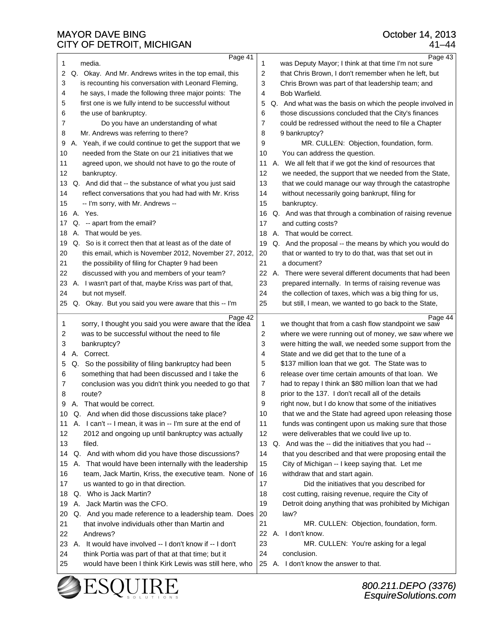|          | - <del>- .</del>                                          |         |                                                                                                                |
|----------|-----------------------------------------------------------|---------|----------------------------------------------------------------------------------------------------------------|
| 1        | Page 41<br>media.                                         | 1       | Page 43<br>was Deputy Mayor; I think at that time I'm not sure                                                 |
| 2        | Q. Okay. And Mr. Andrews writes in the top email, this    | 2       | that Chris Brown, I don't remember when he left, but                                                           |
| 3        | is recounting his conversation with Leonard Fleming,      | 3       | Chris Brown was part of that leadership team; and                                                              |
| 4        | he says, I made the following three major points: The     | 4       | Bob Warfield.                                                                                                  |
| 5        | first one is we fully intend to be successful without     | 5       | Q. And what was the basis on which the people involved in                                                      |
| 6        | the use of bankruptcy.                                    | 6       | those discussions concluded that the City's finances                                                           |
| 7        | Do you have an understanding of what                      | 7       | could be redressed without the need to file a Chapter                                                          |
| 8        | Mr. Andrews was referring to there?                       | 8       | 9 bankruptcy?                                                                                                  |
| 9        | A. Yeah, if we could continue to get the support that we  | 9       | MR. CULLEN: Objection, foundation, form.                                                                       |
| 10       | needed from the State on our 21 initiatives that we       | 10      | You can address the question.                                                                                  |
| 11       | agreed upon, we should not have to go the route of        | 11      | A. We all felt that if we got the kind of resources that                                                       |
| 12       | bankruptcy.                                               | 12      | we needed, the support that we needed from the State,                                                          |
| 13       | Q. And did that -- the substance of what you just said    | 13      | that we could manage our way through the catastrophe                                                           |
| 14       | reflect conversations that you had had with Mr. Kriss     | 14      | without necessarily going bankrupt, filing for                                                                 |
| 15       | -- I'm sorry, with Mr. Andrews --                         | 15      | bankruptcy.                                                                                                    |
| 16       | A. Yes.                                                   | 16      | Q. And was that through a combination of raising revenue                                                       |
| 17       | Q. -- apart from the email?                               | 17      | and cutting costs?                                                                                             |
| 18       | A. That would be yes.                                     | 18      | That would be correct.<br>А.                                                                                   |
| 19       | Q. So is it correct then that at least as of the date of  | 19      | Q. And the proposal -- the means by which you would do                                                         |
| 20       | this email, which is November 2012, November 27, 2012,    | 20      | that or wanted to try to do that, was that set out in                                                          |
| 21       | the possibility of filing for Chapter 9 had been          | 21      | a document?                                                                                                    |
| 22       | discussed with you and members of your team?              | 22      | A. There were several different documents that had been                                                        |
| 23       | A. I wasn't part of that, maybe Kriss was part of that,   | 23      | prepared internally. In terms of raising revenue was                                                           |
| 24       | but not myself.                                           | 24      | the collection of taxes, which was a big thing for us,                                                         |
| 25       | Q. Okay. But you said you were aware that this -- I'm     | 25      | but still, I mean, we wanted to go back to the State,                                                          |
|          | Page 42                                                   |         | Page 44                                                                                                        |
| 1        | sorry, I thought you said you were aware that the idea    | 1       | we thought that from a cash flow standpoint we saw                                                             |
| 2        | was to be successful without the need to file             | 2       | where we were running out of money, we saw where we                                                            |
| 3        | bankruptcy?                                               | 3       | were hitting the wall, we needed some support from the                                                         |
| 4        | A. Correct.                                               | 4       | State and we did get that to the tune of a                                                                     |
| 5        | Q. So the possibility of filing bankruptcy had been       | 5       | \$137 million loan that we got. The State was to                                                               |
| 6        | something that had been discussed and I take the          | 6       | release over time certain amounts of that loan. We                                                             |
| 7        | conclusion was you didn't think you needed to go that     | 7       | had to repay I think an \$80 million loan that we had                                                          |
| 8        | route?<br>A. That would be correct.                       | 8       | prior to the 137. I don't recall all of the details                                                            |
|          | Q. And when did those discussions take place?             | 9<br>10 | right now, but I do know that some of the initiatives<br>that we and the State had agreed upon releasing those |
| 10       | A. I can't -- I mean, it was in -- I'm sure at the end of | 11      | funds was contingent upon us making sure that those                                                            |
| 11<br>12 | 2012 and ongoing up until bankruptcy was actually         | 12      | were deliverables that we could live up to.                                                                    |
| 13       | filed.                                                    | 13      | Q. And was the -- did the initiatives that you had --                                                          |
| 14       | Q. And with whom did you have those discussions?          | 14      | that you described and that were proposing entail the                                                          |
| 15       | A. That would have been internally with the leadership    | 15      | City of Michigan -- I keep saying that. Let me                                                                 |
| 16       | team, Jack Martin, Kriss, the executive team. None of     | 16      | withdraw that and start again.                                                                                 |
| 17       | us wanted to go in that direction.                        | 17      | Did the initiatives that you described for                                                                     |
| 18       | Q. Who is Jack Martin?                                    | 18      | cost cutting, raising revenue, require the City of                                                             |
| 19       | A. Jack Martin was the CFO.                               | 19      | Detroit doing anything that was prohibited by Michigan                                                         |
| 20       | Q. And you made reference to a leadership team. Does      | 20      | law?                                                                                                           |
| 21       | that involve individuals other than Martin and            | 21      | MR. CULLEN: Objection, foundation, form.                                                                       |
| 22       | Andrews?                                                  | 22      | A. I don't know.                                                                                               |
| 23       | A. It would have involved -- I don't know if -- I don't   | 23      | MR. CULLEN: You're asking for a legal                                                                          |
| 24       | think Portia was part of that at that time; but it        | 24      | conclusion.                                                                                                    |
| 25       | would have been I think Kirk Lewis was still here, who    |         | 25 A. I don't know the answer to that.                                                                         |
|          |                                                           |         |                                                                                                                |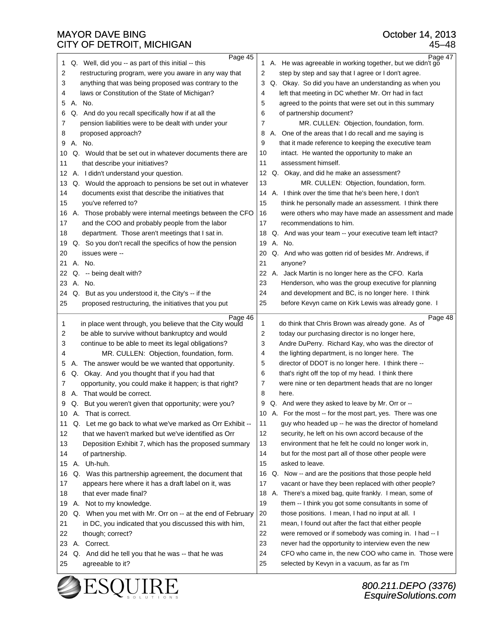25 agreeable to it?

 $\vert$  1 Q. Well, did you -- as part of this initial -- this

| 2<br>3<br>4<br>5<br>6<br>7<br>8<br>9<br>10<br>11<br>12<br>13 | restructuring program, were you aware in any way that<br>anything that was being proposed was contrary to the<br>laws or Constitution of the State of Michigan?<br>A. No.<br>Q. And do you recall specifically how if at all the<br>pension liabilities were to be dealt with under your<br>proposed approach?<br>A. No.<br>Q. Would that be set out in whatever documents there are<br>that describe your initiatives?<br>A. I didn't understand your question.<br>Q. Would the approach to pensions be set out in whatever | 2<br>step by step and say that I agree or I don't agree.<br>Q. Okay. So did you have an understanding as when you<br>3<br>left that meeting in DC whether Mr. Orr had in fact<br>4<br>5<br>agreed to the points that were set out in this summary<br>of partnership document?<br>6<br>7<br>MR. CULLEN: Objection, foundation, form.<br>A. One of the areas that I do recall and me saying is<br>8<br>9<br>that it made reference to keeping the executive team<br>10<br>intact. He wanted the opportunity to make an<br>11<br>assessment himself.<br>12<br>Q. Okay, and did he make an assessment?<br>13<br>MR. CULLEN: Objection, foundation, form. |
|--------------------------------------------------------------|------------------------------------------------------------------------------------------------------------------------------------------------------------------------------------------------------------------------------------------------------------------------------------------------------------------------------------------------------------------------------------------------------------------------------------------------------------------------------------------------------------------------------|------------------------------------------------------------------------------------------------------------------------------------------------------------------------------------------------------------------------------------------------------------------------------------------------------------------------------------------------------------------------------------------------------------------------------------------------------------------------------------------------------------------------------------------------------------------------------------------------------------------------------------------------------|
| 14<br>15<br>16<br>17<br>18<br>19<br>20                       | documents exist that describe the initiatives that<br>you've referred to?<br>A. Those probably were internal meetings between the CFO<br>and the COO and probably people from the labor<br>department. Those aren't meetings that I sat in.<br>Q. So you don't recall the specifics of how the pension<br>issues were --                                                                                                                                                                                                     | A. I think over the time that he's been here, I don't<br>14<br>15<br>think he personally made an assessment. I think there<br>16<br>were others who may have made an assessment and made<br>17<br>recommendations to him.<br>Q. And was your team -- your executive team left intact?<br>18<br>19<br>A. No.<br>20<br>Q. And who was gotten rid of besides Mr. Andrews, if                                                                                                                                                                                                                                                                            |
| 21<br>22<br>23<br>24<br>25                                   | А.<br>No.<br>Q.<br>-- being dealt with?<br>A. No.<br>Q. But as you understood it, the City's -- if the<br>proposed restructuring, the initiatives that you put                                                                                                                                                                                                                                                                                                                                                               | 21<br>anyone?<br>22<br>А.<br>Jack Martin is no longer here as the CFO. Karla<br>23<br>Henderson, who was the group executive for planning<br>24<br>and development and BC, is no longer here. I think<br>before Kevyn came on Kirk Lewis was already gone. I<br>25                                                                                                                                                                                                                                                                                                                                                                                   |
|                                                              |                                                                                                                                                                                                                                                                                                                                                                                                                                                                                                                              |                                                                                                                                                                                                                                                                                                                                                                                                                                                                                                                                                                                                                                                      |
| 1<br>2<br>3<br>4<br>5<br>6<br>7<br>8                         | Page 46<br>in place went through, you believe that the City would<br>be able to survive without bankruptcy and would<br>continue to be able to meet its legal obligations?<br>MR. CULLEN: Objection, foundation, form.<br>A. The answer would be we wanted that opportunity.<br>Q. Okay. And you thought that if you had that<br>opportunity, you could make it happen; is that right?<br>A. That would be correct.                                                                                                          | Page 48<br>do think that Chris Brown was already gone. As of<br>1<br>2<br>today our purchasing director is no longer here,<br>3<br>Andre DuPerry. Richard Kay, who was the director of<br>the lighting department, is no longer here. The<br>4<br>director of DDOT is no longer here. I think there --<br>5<br>that's right off the top of my head. I think there<br>6<br>were nine or ten department heads that are no longer<br>7<br>8<br>here.                                                                                                                                                                                                    |
| 9<br>10<br>11<br>12<br>13<br>14<br>15<br>16                  | Q. But you weren't given that opportunity; were you?<br>A. That is correct.<br>Q. Let me go back to what we've marked as Orr Exhibit --<br>that we haven't marked but we've identified as Orr<br>Deposition Exhibit 7, which has the proposed summary<br>of partnership.<br>A. Uh-huh.<br>Q. Was this partnership agreement, the document that                                                                                                                                                                               | Q. And were they asked to leave by Mr. Orr or --<br>9<br>A. For the most -- for the most part, yes. There was one<br>10<br>11<br>guy who headed up -- he was the director of homeland<br>12<br>security, he left on his own accord because of the<br>13<br>environment that he felt he could no longer work in,<br>14<br>but for the most part all of those other people were<br>15<br>asked to leave.<br>16 Q. Now -- and are the positions that those people held                                                                                                                                                                                  |

25 selected by Kevyn in a vacuum, as far as I'm

# October 14, 2013

Page 45 Page 47 ·1· ·A.· ·He was agreeable in working together, but we didn't go

45–48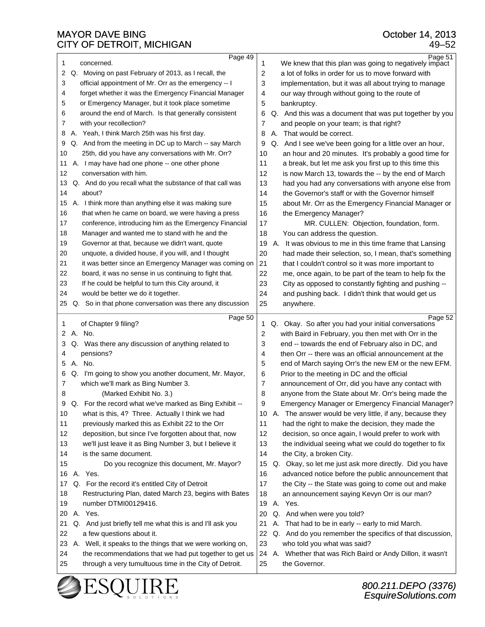| 1  |      | Page 49<br>concerned.                                     | 1     | Page 51<br>We knew that this plan was going to negatively impact |
|----|------|-----------------------------------------------------------|-------|------------------------------------------------------------------|
| 2  |      | Q. Moving on past February of 2013, as I recall, the      | 2     | a lot of folks in order for us to move forward with              |
| 3  |      | official appointment of Mr. Orr as the emergency -- I     | 3     | implementation, but it was all about trying to manage            |
| 4  |      | forget whether it was the Emergency Financial Manager     | 4     | our way through without going to the route of                    |
| 5  |      | or Emergency Manager, but it took place sometime          | 5     | bankruptcy.                                                      |
| 6  |      | around the end of March. Is that generally consistent     | 6     | Q. And this was a document that was put together by you          |
| 7  |      | with your recollection?                                   | 7     | and people on your team; is that right?                          |
| 8  |      | A. Yeah, I think March 25th was his first day.            | 8     | That would be correct.<br>А.                                     |
| 9  |      | Q. And from the meeting in DC up to March -- say March    | 9     | Q. And I see we've been going for a little over an hour,         |
| 10 |      | 25th, did you have any conversations with Mr. Orr?        | 10    | an hour and 20 minutes. It's probably a good time for            |
| 11 |      | A. I may have had one phone -- one other phone            | 11    | a break, but let me ask you first up to this time this           |
| 12 |      | conversation with him.                                    | 12    | is now March 13, towards the -- by the end of March              |
| 13 |      | Q. And do you recall what the substance of that call was  | 13    | had you had any conversations with anyone else from              |
| 14 |      | about?                                                    | 14    | the Governor's staff or with the Governor himself                |
|    |      |                                                           |       |                                                                  |
| 15 |      | A. I think more than anything else it was making sure     | 15    | about Mr. Orr as the Emergency Financial Manager or              |
| 16 |      | that when he came on board, we were having a press        | 16    | the Emergency Manager?                                           |
| 17 |      | conference, introducing him as the Emergency Financial    | 17    | MR. CULLEN: Objection, foundation, form.                         |
| 18 |      | Manager and wanted me to stand with he and the            | 18    | You can address the question.                                    |
| 19 |      | Governor at that, because we didn't want, quote           | 19    | Α.<br>It was obvious to me in this time frame that Lansing       |
| 20 |      | unquote, a divided house, if you will, and I thought      | 20    | had made their selection, so, I mean, that's something           |
| 21 |      | it was better since an Emergency Manager was coming on    | 21    | that I couldn't control so it was more important to              |
| 22 |      | board, it was no sense in us continuing to fight that.    | 22    | me, once again, to be part of the team to help fix the           |
| 23 |      | If he could be helpful to turn this City around, it       | 23    | City as opposed to constantly fighting and pushing --            |
| 24 |      | would be better we do it together.                        | 24    | and pushing back. I didn't think that would get us               |
| 25 |      | Q. So in that phone conversation was there any discussion | 25    | anywhere.                                                        |
|    |      |                                                           |       |                                                                  |
|    |      |                                                           |       |                                                                  |
| 1  |      | Page 50<br>of Chapter 9 filing?                           | 1     | Page 52<br>Q. Okay. So after you had your initial conversations  |
| 2  |      | A. No.                                                    | 2     | with Baird in February, you then met with Orr in the             |
| 3  |      | Q. Was there any discussion of anything related to        | 3     | end -- towards the end of February also in DC, and               |
| 4  |      | pensions?                                                 | 4     | then Orr -- there was an official announcement at the            |
| 5  |      | A. No.                                                    | 5     | end of March saying Orr's the new EM or the new EFM.             |
| 6  |      | Q. I'm going to show you another document, Mr. Mayor,     | 6     | Prior to the meeting in DC and the official                      |
| 7  |      | which we'll mark as Bing Number 3.                        | 7     | announcement of Orr, did you have any contact with               |
| 8  |      | (Marked Exhibit No. 3.)                                   | 8     | anyone from the State about Mr. Orr's being made the             |
|    | 9 Q. | For the record what we've marked as Bing Exhibit --       | 9     | Emergency Manager or Emergency Financial Manager?                |
| 10 |      | what is this, 4? Three. Actually I think we had           | 10    | A. The answer would be very little, if any, because they         |
| 11 |      | previously marked this as Exhibit 22 to the Orr           | 11    | had the right to make the decision, they made the                |
| 12 |      | deposition, but since I've forgotten about that, now      | 12    | decision, so once again, I would prefer to work with             |
| 13 |      | we'll just leave it as Bing Number 3, but I believe it    | 13    | the individual seeing what we could do together to fix           |
| 14 |      | is the same document.                                     | 14    | the City, a broken City.                                         |
| 15 |      | Do you recognize this document, Mr. Mayor?                | 15    | Q. Okay, so let me just ask more directly. Did you have          |
| 16 |      | A. Yes.                                                   | 16    | advanced notice before the public announcement that              |
| 17 |      | Q. For the record it's entitled City of Detroit           | 17    | the City -- the State was going to come out and make             |
| 18 |      | Restructuring Plan, dated March 23, begins with Bates     | 18    | an announcement saying Kevyn Orr is our man?                     |
| 19 |      | number DTMI00129416.                                      | 19    | A. Yes.                                                          |
| 20 |      | A. Yes.                                                   | 20    | Q. And when were you told?                                       |
| 21 |      | Q. And just briefly tell me what this is and I'll ask you | 21    | That had to be in early -- early to mid March.<br>А.             |
| 22 |      | a few questions about it.                                 | 22    | Q. And do you remember the specifics of that discussion,         |
| 23 |      | A. Well, it speaks to the things that we were working on, | 23    | who told you what was said?                                      |
| 24 |      | the recommendations that we had put together to get us    | 24 A. | Whether that was Rich Baird or Andy Dillon, it wasn't            |
| 25 |      | through a very tumultuous time in the City of Detroit.    | 25    | the Governor.                                                    |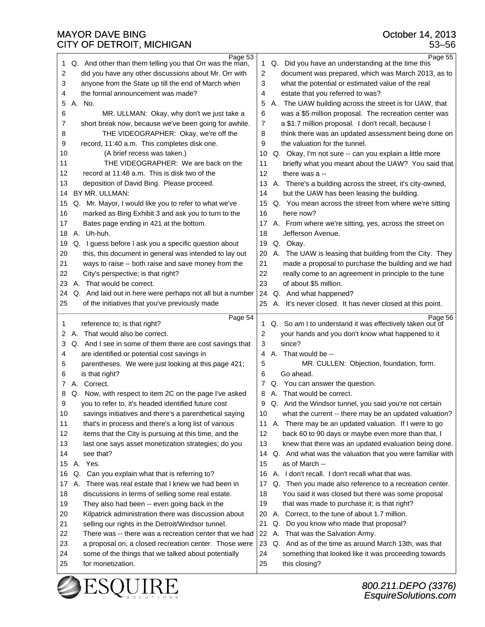| Page 53                                                      | Page 55                                                      |
|--------------------------------------------------------------|--------------------------------------------------------------|
| Q. And other than them telling you that Orr was the man,     | Q. Did you have an understanding at the time this            |
| 1                                                            | 1.                                                           |
| 2                                                            | $\overline{c}$                                               |
| did you have any other discussions about Mr. Orr with        | document was prepared, which was March 2013, as to           |
| anyone from the State up till the end of March when          | 3                                                            |
| 3                                                            | what the potential or estimated value of the real            |
| the formal announcement was made?                            | estate that you referred to was?                             |
| 4                                                            | 4                                                            |
| A. No.                                                       | 5                                                            |
| 5                                                            | A. The UAW building across the street is for UAW, that       |
| 6                                                            | was a \$5 million proposal. The recreation center was        |
| MR. ULLMAN: Okay, why don't we just take a                   | 6                                                            |
| short break now, because we've been going for awhile.        | a \$1.7 million proposal. I don't recall, because I          |
| 7                                                            | $\overline{7}$                                               |
| THE VIDEOGRAPHER: Okay, we're off the                        | 8                                                            |
| 8                                                            | think there was an updated assessment being done on          |
| 9                                                            | 9                                                            |
| record, 11:40 a.m. This completes disk one.                  | the valuation for the tunnel.                                |
| (A brief recess was taken.)                                  |                                                              |
| 10                                                           | Q. Okay, I'm not sure -- can you explain a little more<br>10 |
| THE VIDEOGRAPHER: We are back on the                         | 11                                                           |
| 11                                                           | briefly what you meant about the UAW? You said that          |
| 12                                                           | 12                                                           |
| record at 11:48 a.m. This is disk two of the                 | there was a $-$                                              |
| 13                                                           | 13                                                           |
| deposition of David Bing. Please proceed.                    | A. There's a building across the street, it's city-owned,    |
| BY MR. ULLMAN:                                               | but the UAW has been leasing the building.                   |
| 14                                                           | 14                                                           |
| Q. Mr. Mayor, I would like you to refer to what we've        | Q. You mean across the street from where we're sitting       |
| 15                                                           | 15                                                           |
| marked as Bing Exhibit 3 and ask you to turn to the          | 16                                                           |
| 16                                                           | here now?                                                    |
| Bates page ending in 421 at the bottom.                      | A. From where we're sitting, yes, across the street on       |
| 17                                                           | 17                                                           |
| A. Uh-huh.                                                   | 18                                                           |
| 18                                                           | Jefferson Avenue.                                            |
| Q. I guess before I ask you a specific question about        | Q. Okay.                                                     |
| 19                                                           | 19                                                           |
| 20                                                           | 20                                                           |
| this, this document in general was intended to lay out       | A. The UAW is leasing that building from the City. They      |
| 21                                                           | 21                                                           |
| ways to raise -- both raise and save money from the          | made a proposal to purchase the building and we had          |
| 22                                                           | 22                                                           |
| City's perspective; is that right?                           | really come to an agreement in principle to the tune         |
| 23                                                           | 23                                                           |
| A. That would be correct.                                    | of about \$5 million.                                        |
| Q. And laid out in here were perhaps not all but a number    | 24                                                           |
| 24                                                           | Q. And what happened?                                        |
| of the initiatives that you've previously made               | 25                                                           |
| 25                                                           | A. It's never closed. It has never closed at this point.     |
|                                                              |                                                              |
|                                                              |                                                              |
| Page 54                                                      | Page 56<br>1                                                 |
| reference to; is that right?<br>1                            | Q. So am I to understand it was effectively taken out of     |
| A. That would also be correct.                               | 2                                                            |
| 2                                                            | your hands and you don't know what happened to it            |
| Q. And I see in some of them there are cost savings that     | since?                                                       |
| 3                                                            | 3                                                            |
| are identified or potential cost savings in                  | A. That would be --                                          |
| 4                                                            | 4                                                            |
| 5                                                            | 5                                                            |
| parentheses. We were just looking at this page 421;          | MR. CULLEN: Objection, foundation, form.                     |
| is that right?                                               | Go ahead.                                                    |
| 6                                                            | 6                                                            |
| A. Correct.                                                  | Q. You can answer the question.                              |
| 7                                                            | 7                                                            |
| Q. Now, with respect to item 2C on the page I've asked       | A. That would be correct.                                    |
| 8                                                            | 8                                                            |
| 9                                                            | 9                                                            |
| you to refer to, it's headed identified future cost          | Q. And the Windsor tunnel, you said you're not certain       |
| 10                                                           | what the current -- there may be an updated valuation?       |
| savings initiatives and there's a parenthetical saying       | 10                                                           |
| 11                                                           | A. There may be an updated valuation. If I were to go        |
| that's in process and there's a long list of various         | 11                                                           |
| 12                                                           | 12                                                           |
| items that the City is pursuing at this time, and the        | back 60 to 90 days or maybe even more than that, I           |
| 13                                                           | 13                                                           |
| last one says asset monetization strategies; do you          | knew that there was an updated evaluation being done.        |
| 14                                                           | Q. And what was the valuation that you were familiar with    |
| see that?                                                    | 14                                                           |
| A. Yes.                                                      | as of March --                                               |
| 15                                                           | 15                                                           |
| Q. Can you explain what that is referring to?                | A. I don't recall. I don't recall what that was.             |
| 16                                                           | 16                                                           |
| A. There was real estate that I knew we had been in          | Q. Then you made also reference to a recreation center.      |
| 17                                                           | 17                                                           |
| 18                                                           | 18                                                           |
| discussions in terms of selling some real estate.            | You said it was closed but there was some proposal           |
| 19                                                           | 19                                                           |
| They also had been -- even going back in the                 | that was made to purchase it; is that right?                 |
| 20                                                           | A. Correct, to the tune of about 1.7 million.                |
| Kilpatrick administration there was discussion about         | 20                                                           |
| 21<br>selling our rights in the Detroit/Windsor tunnel.      | Do you know who made that proposal?<br>21<br>Q.              |
| 22<br>There was -- there was a recreation center that we had | 22<br>That was the Salvation Army.<br>А.                     |
| 23                                                           | 23                                                           |
| a proposal on, a closed recreation center. Those were        | Q. And as of the time as around March 13th, was that         |
| 24                                                           | 24                                                           |
| some of the things that we talked about potentially          | something that looked like it was proceeding towards         |
| 25                                                           | 25                                                           |
| for monetization.                                            | this closing?                                                |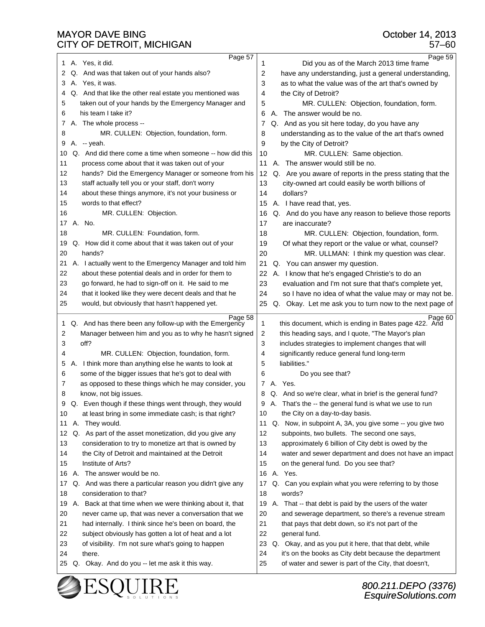| Page 57                                                         | Page 59                                                      |
|-----------------------------------------------------------------|--------------------------------------------------------------|
| A. Yes, it did.                                                 | Did you as of the March 2013 time frame                      |
| 1                                                               | 1                                                            |
| Q. And was that taken out of your hands also?                   | 2                                                            |
| 2                                                               | have any understanding, just a general understanding,        |
| A. Yes, it was.                                                 | 3                                                            |
| 3                                                               | as to what the value was of the art that's owned by          |
| Q. And that like the other real estate you mentioned was        | the City of Detroit?                                         |
| 4                                                               | 4                                                            |
| taken out of your hands by the Emergency Manager and            | 5                                                            |
| 5                                                               | MR. CULLEN: Objection, foundation, form.                     |
| his team I take it?                                             | A. The answer would be no.                                   |
| 6                                                               | 6                                                            |
| A. The whole process --                                         | Q. And as you sit here today, do you have any                |
| 7                                                               | 7                                                            |
| MR. CULLEN: Objection, foundation, form.                        | 8                                                            |
| 8                                                               | understanding as to the value of the art that's owned        |
| A. -- yeah.                                                     | 9                                                            |
| 9                                                               | by the City of Detroit?                                      |
| Q. And did there come a time when someone -- how did this       | 10                                                           |
| 10                                                              | MR. CULLEN: Same objection.                                  |
| process come about that it was taken out of your                | A. The answer would still be no.                             |
| 11                                                              | 11                                                           |
| 12                                                              | 12                                                           |
| hands? Did the Emergency Manager or someone from his            | Q. Are you aware of reports in the press stating that the    |
| 13                                                              | 13                                                           |
| staff actually tell you or your staff, don't worry              | city-owned art could easily be worth billions of             |
| 14                                                              | dollars?                                                     |
| about these things anymore, it's not your business or           | 14                                                           |
| words to that effect?<br>15                                     | 15 A. I have read that, yes.                                 |
| 16                                                              | Q. And do you have any reason to believe those reports       |
| MR. CULLEN: Objection.                                          | 16                                                           |
| A. No.                                                          | 17                                                           |
| 17                                                              | are inaccurate?                                              |
| 18                                                              | 18                                                           |
| MR. CULLEN: Foundation, form.                                   | MR. CULLEN: Objection, foundation, form.                     |
| Q. How did it come about that it was taken out of your          | 19                                                           |
| 19                                                              | Of what they report or the value or what, counsel?           |
| 20                                                              | 20                                                           |
| hands?                                                          | MR. ULLMAN: I think my question was clear.                   |
| 21                                                              | 21                                                           |
| A. I actually went to the Emergency Manager and told him        | Q. You can answer my question.                               |
| about these potential deals and in order for them to            | 22                                                           |
| 22                                                              | A. I know that he's engaged Christie's to do an              |
| 23                                                              | 23                                                           |
| go forward, he had to sign-off on it. He said to me             | evaluation and I'm not sure that that's complete yet,        |
| 24                                                              | 24                                                           |
| that it looked like they were decent deals and that he          | so I have no idea of what the value may or may not be.       |
| 25                                                              | 25                                                           |
| would, but obviously that hasn't happened yet.                  | Q. Okay. Let me ask you to turn now to the next page of      |
|                                                                 |                                                              |
| Page 58                                                         | Page 60                                                      |
| Q. And has there been any follow-up with the Emergency          | 1                                                            |
| 1                                                               | this document, which is ending in Bates page 422. And        |
| Manager between him and you as to why he hasn't signed          | $\overline{c}$                                               |
| 2                                                               | this heading says, and I quote, "The Mayor's plan            |
| off?                                                            | 3                                                            |
| 3                                                               | includes strategies to implement changes that will           |
| 4                                                               | significantly reduce general fund long-term                  |
| MR. CULLEN: Objection, foundation, form.                        | 4                                                            |
| A. I think more than anything else he wants to look at          | 5                                                            |
| 5                                                               | liabilities."                                                |
| some of the bigger issues that he's got to deal with            | Do you see that?                                             |
| 6                                                               | 6                                                            |
| as opposed to these things which he may consider, you<br>7      | 7 A. Yes.                                                    |
| 8                                                               | Q. And so we're clear, what in brief is the general fund?    |
| know, not big issues.                                           | 8                                                            |
| 9<br>Even though if these things went through, they would<br>Q. | 9<br>A. That's the -- the general fund is what we use to run |
| at least bring in some immediate cash; is that right?           | the City on a day-to-day basis.                              |
| 10                                                              | 10                                                           |
| A. They would.                                                  | Q. Now, in subpoint A, 3A, you give some -- you give two     |
| 11                                                              | 11                                                           |
| Q. As part of the asset monetization, did you give any          | 12                                                           |
| 12                                                              | subpoints, two bullets. The second one says,                 |
| consideration to try to monetize art that is owned by           | approximately 6 billion of City debt is owed by the          |
| 13                                                              | 13                                                           |
| 14                                                              | 14                                                           |
| the City of Detroit and maintained at the Detroit               | water and sewer department and does not have an impact       |
| Institute of Arts?                                              | 15                                                           |
| 15                                                              | on the general fund. Do you see that?                        |
| A. The answer would be no.                                      | A. Yes.                                                      |
| 16                                                              | 16                                                           |
| Q. And was there a particular reason you didn't give any        | Q. Can you explain what you were referring to by those       |
| 17                                                              | 17                                                           |
| 18                                                              | words?                                                       |
| consideration to that?                                          | 18                                                           |
| A. Back at that time when we were thinking about it, that       | A. That -- that debt is paid by the users of the water       |
| 19                                                              | 19                                                           |
| 20                                                              | and sewerage department, so there's a revenue stream         |
| never came up, that was never a conversation that we            | 20                                                           |
| 21                                                              | 21                                                           |
| had internally. I think since he's been on board, the           | that pays that debt down, so it's not part of the            |
| 22                                                              | 22                                                           |
| subject obviously has gotten a lot of heat and a lot            | general fund.                                                |
| 23                                                              | 23                                                           |
| of visibility. I'm not sure what's going to happen              | Q. Okay, and as you put it here, that that debt, while       |
| 24                                                              | it's on the books as City debt because the department        |
| there.                                                          | 24                                                           |
| 25 Q. Okay. And do you -- let me ask it this way.               | 25<br>of water and sewer is part of the City, that doesn't,  |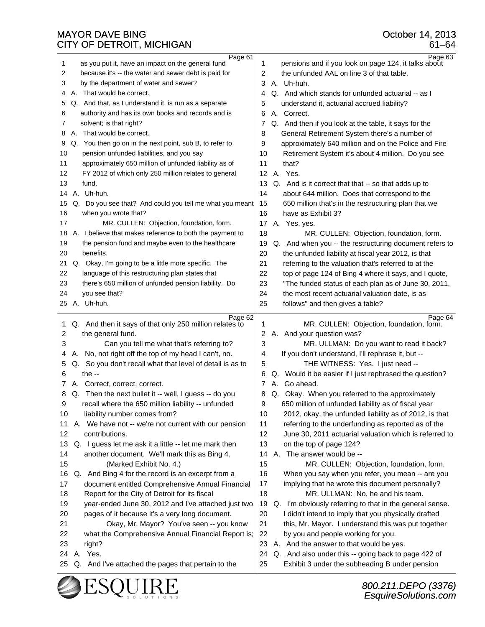| 1        | Page 61<br>as you put it, have an impact on the general fund                                          | 1        | Page 63<br>pensions and if you look on page 124, it talks about                                      |
|----------|-------------------------------------------------------------------------------------------------------|----------|------------------------------------------------------------------------------------------------------|
| 2        | because it's -- the water and sewer debt is paid for                                                  | 2        | the unfunded AAL on line 3 of that table.                                                            |
| 3        | by the department of water and sewer?                                                                 | 3        | A. Uh-huh.                                                                                           |
| 4        | A. That would be correct.                                                                             | 4        | Q. And which stands for unfunded actuarial -- as I                                                   |
| 5        | Q. And that, as I understand it, is run as a separate                                                 | 5        | understand it, actuarial accrued liability?                                                          |
| 6        | authority and has its own books and records and is                                                    | 6        | A. Correct.                                                                                          |
| 7        | solvent; is that right?                                                                               | 7        | Q. And then if you look at the table, it says for the                                                |
| 8        | A. That would be correct.                                                                             | 8        | General Retirement System there's a number of                                                        |
| 9        | Q. You then go on in the next point, sub B, to refer to                                               | 9        | approximately 640 million and on the Police and Fire                                                 |
| 10       | pension unfunded liabilities, and you say                                                             | 10       | Retirement System it's about 4 million. Do you see                                                   |
| 11       | approximately 650 million of unfunded liability as of                                                 | 11       | that?                                                                                                |
| 12       | FY 2012 of which only 250 million relates to general                                                  | 12       | A. Yes.                                                                                              |
| 13       | fund.                                                                                                 | 13       | Q. And is it correct that that -- so that adds up to                                                 |
| 14       | A. Uh-huh.                                                                                            | 14       | about 644 million. Does that correspond to the                                                       |
| 15       | Q. Do you see that? And could you tell me what you meant                                              | 15       | 650 million that's in the restructuring plan that we                                                 |
| 16       | when you wrote that?                                                                                  | 16       | have as Exhibit 3?                                                                                   |
| 17       | MR. CULLEN: Objection, foundation, form.                                                              | 17       | A. Yes, yes.                                                                                         |
| 18       | A. I believe that makes reference to both the payment to                                              | 18       | MR. CULLEN: Objection, foundation, form.                                                             |
| 19       | the pension fund and maybe even to the healthcare                                                     | 19       | Q. And when you -- the restructuring document refers to                                              |
| 20       | benefits.                                                                                             | 20       | the unfunded liability at fiscal year 2012, is that                                                  |
| 21       | Q. Okay, I'm going to be a little more specific. The                                                  | 21       | referring to the valuation that's referred to at the                                                 |
| 22       | language of this restructuring plan states that                                                       | 22       | top of page 124 of Bing 4 where it says, and I quote,                                                |
| 23       | there's 650 million of unfunded pension liability. Do                                                 | 23       | "The funded status of each plan as of June 30, 2011,                                                 |
| 24       | you see that?                                                                                         | 24       | the most recent actuarial valuation date, is as                                                      |
| 25       | A. Uh-huh.                                                                                            | 25       | follows" and then gives a table?                                                                     |
|          | Page 62                                                                                               |          | Page 64                                                                                              |
| 1        | Q. And then it says of that only 250 million relates to                                               | 1        | MR. CULLEN: Objection, foundation, form.                                                             |
| 2        | the general fund.                                                                                     | 2        | A. And your question was?                                                                            |
| 3        | Can you tell me what that's referring to?                                                             | 3        | MR. ULLMAN: Do you want to read it back?                                                             |
| 4        | A. No, not right off the top of my head I can't, no.                                                  | 4        | If you don't understand, I'll rephrase it, but --                                                    |
| 5        | Q. So you don't recall what that level of detail is as to                                             | 5        | THE WITNESS: Yes. I just need --                                                                     |
| 6        | the $-$                                                                                               | 6        | Q. Would it be easier if I just rephrased the question?                                              |
| 7        | A. Correct, correct, correct.                                                                         |          | 7 A. Go ahead.                                                                                       |
| 8        | Q. Then the next bullet it -- well, I guess -- do you                                                 | 8        | Q. Okay. When you referred to the approximately                                                      |
| 9        | recall where the 650 million liability -- unfunded                                                    | 9        | 650 million of unfunded liability as of fiscal year                                                  |
| 10       | liability number comes from?                                                                          | 10       | 2012, okay, the unfunded liability as of 2012, is that                                               |
| 11       | A. We have not -- we're not current with our pension                                                  | 11       | referring to the underfunding as reported as of the                                                  |
| 12       | contributions.                                                                                        | 12       | June 30, 2011 actuarial valuation which is referred to                                               |
| 13       | Q. I guess let me ask it a little -- let me mark then                                                 | 13       | on the top of page 124?                                                                              |
| 14       | another document. We'll mark this as Bing 4.                                                          | 14       | A. The answer would be --                                                                            |
| 15       | (Marked Exhibit No. 4.)                                                                               | 15       | MR. CULLEN: Objection, foundation, form.                                                             |
| 16       | Q. And Bing 4 for the record is an excerpt from a<br>document entitled Comprehensive Annual Financial | 16       | When you say when you refer, you mean -- are you<br>implying that he wrote this document personally? |
| 17       |                                                                                                       | 17       |                                                                                                      |
| 18<br>19 | Report for the City of Detroit for its fiscal<br>year-ended June 30, 2012 and I've attached just two  | 18<br>19 | MR. ULLMAN: No, he and his team.<br>Q. I'm obviously referring to that in the general sense.         |
| 20       | pages of it because it's a very long document.                                                        | 20       | I didn't intend to imply that you physically drafted                                                 |
| 21       | Okay, Mr. Mayor? You've seen -- you know                                                              | 21       | this, Mr. Mayor. I understand this was put together                                                  |
| 22       | what the Comprehensive Annual Financial Report is;                                                    | 22       | by you and people working for you.                                                                   |
| 23       | right?                                                                                                | 23       | A. And the answer to that would be yes.                                                              |
| 24       | A. Yes.                                                                                               | 24       | Q. And also under this -- going back to page 422 of                                                  |
| 25       | Q. And I've attached the pages that pertain to the                                                    | 25       | Exhibit 3 under the subheading B under pension                                                       |
|          |                                                                                                       |          |                                                                                                      |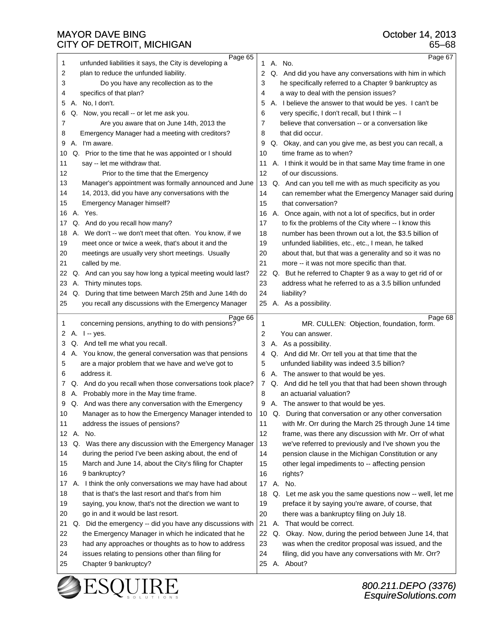| Page 65                                                         | Page 67                                                   |
|-----------------------------------------------------------------|-----------------------------------------------------------|
| unfunded liabilities it says, the City is developing a<br>1     | 1 A. No.                                                  |
| 2                                                               | 2                                                         |
| plan to reduce the unfunded liability.                          | Q. And did you have any conversations with him in which   |
| Do you have any recollection as to the                          | he specifically referred to a Chapter 9 bankruptcy as     |
| 3                                                               | 3                                                         |
| specifics of that plan?                                         | a way to deal with the pension issues?                    |
| 4                                                               | 4                                                         |
| A. No, I don't.                                                 | A. I believe the answer to that would be yes. I can't be  |
| 5                                                               | 5                                                         |
| Q. Now, you recall -- or let me ask you.                        | very specific, I don't recall, but I think -- I           |
| 6                                                               | 6                                                         |
| 7                                                               | believe that conversation -- or a conversation like       |
| Are you aware that on June 14th, 2013 the                       | 7                                                         |
| Emergency Manager had a meeting with creditors?                 | that did occur.                                           |
| 8                                                               | 8                                                         |
| A. I'm aware.                                                   | Q. Okay, and can you give me, as best you can recall, a   |
| 9                                                               | 9                                                         |
| Q. Prior to the time that he was appointed or I should          | time frame as to when?                                    |
| 10                                                              | 10                                                        |
| 11                                                              | A. I think it would be in that same May time frame in one |
| say -- let me withdraw that.                                    | 11                                                        |
| 12                                                              | 12                                                        |
| Prior to the time that the Emergency                            | of our discussions.                                       |
| 13                                                              | 13                                                        |
| Manager's appointment was formally announced and June           | Q. And can you tell me with as much specificity as you    |
| 14, 2013, did you have any conversations with the               | 14                                                        |
| 14                                                              | can remember what the Emergency Manager said during       |
| 15                                                              | 15                                                        |
| Emergency Manager himself?                                      | that conversation?                                        |
| 16                                                              | A. Once again, with not a lot of specifics, but in order  |
| A. Yes.                                                         | 16                                                        |
| Q. And do you recall how many?                                  | to fix the problems of the City where -- I know this      |
| 17                                                              | 17                                                        |
| A. We don't -- we don't meet that often. You know, if we        | number has been thrown out a lot, the \$3.5 billion of    |
| 18                                                              | 18                                                        |
| 19                                                              | unfunded liabilities, etc., etc., I mean, he talked       |
| meet once or twice a week, that's about it and the              | 19                                                        |
| 20                                                              | 20                                                        |
| meetings are usually very short meetings. Usually               | about that, but that was a generality and so it was no    |
| 21                                                              | 21                                                        |
| called by me.                                                   | more -- it was not more specific than that.               |
| Q. And can you say how long a typical meeting would last?       | Q. But he referred to Chapter 9 as a way to get rid of or |
| 22                                                              | 22                                                        |
| A. Thirty minutes tops.                                         | 23                                                        |
| 23                                                              | address what he referred to as a 3.5 billion unfunded     |
| Q. During that time between March 25th and June 14th do         | 24                                                        |
| 24                                                              | liability?                                                |
| 25<br>you recall any discussions with the Emergency Manager     | 25 A. As a possibility.                                   |
|                                                                 |                                                           |
| Page 66                                                         |                                                           |
| concerning pensions, anything to do with pensions?<br>1         | Page 68<br>MR. CULLEN: Objection, foundation, form.<br>1  |
| A. I -- yes.                                                    | 2                                                         |
| 2                                                               | You can answer.                                           |
| Q. And tell me what you recall.                                 | 3                                                         |
| 3                                                               | A. As a possibility.                                      |
| A. You know, the general conversation was that pensions         | Q. And did Mr. Orr tell you at that time that the         |
| 4                                                               | 4                                                         |
| are a major problem that we have and we've got to               | unfunded liability was indeed 3.5 billion?                |
| 5                                                               | 5                                                         |
| address it.                                                     | A. The answer to that would be yes.                       |
| 6                                                               | 6                                                         |
| Q. And do you recall when those conversations took place?       | Q. And did he tell you that that had been shown through   |
| 7                                                               | 7                                                         |
| A. Probably more in the May time frame.                         | an actuarial valuation?                                   |
| 8                                                               | 8                                                         |
| Q. And was there any conversation with the Emergency            | A. The answer to that would be yes.                       |
| 9                                                               | 9                                                         |
| $10$                                                            | 10                                                        |
| Manager as to how the Emergency Manager intended to             | Q. During that conversation or any other conversation     |
| 11                                                              | 11                                                        |
| address the issues of pensions?                                 | with Mr. Orr during the March 25 through June 14 time     |
| A. No.                                                          | 12                                                        |
| 12                                                              | frame, was there any discussion with Mr. Orr of what      |
| Q. Was there any discussion with the Emergency Manager          | 13                                                        |
| 13                                                              | we've referred to previously and I've shown you the       |
| during the period I've been asking about, the end of            | 14                                                        |
| 14                                                              | pension clause in the Michigan Constitution or any        |
| 15                                                              | other legal impediments to -- affecting pension           |
| March and June 14, about the City's filing for Chapter          | 15                                                        |
| 16                                                              | 16                                                        |
| 9 bankruptcy?                                                   | rights?                                                   |
| 17                                                              | 17 <sup>2</sup>                                           |
| A. I think the only conversations we may have had about         | A. No.                                                    |
| 18                                                              | Q. Let me ask you the same questions now -- well, let me  |
| that is that's the last resort and that's from him              | 18                                                        |
| 19                                                              | 19                                                        |
| saying, you know, that's not the direction we want to           | preface it by saying you're aware, of course, that        |
| 20                                                              | 20                                                        |
| go in and it would be last resort.                              | there was a bankruptcy filing on July 18.                 |
| 21<br>Q. Did the emergency -- did you have any discussions with | 21<br>That would be correct.<br>А.                        |
| 22                                                              | Q. Okay. Now, during the period between June 14, that     |
| the Emergency Manager in which he indicated that he             | 22                                                        |
| 23                                                              | 23                                                        |
| had any approaches or thoughts as to how to address             | was when the creditor proposal was issued, and the        |
| issues relating to pensions other than filing for               | 24                                                        |
| 24                                                              | filing, did you have any conversations with Mr. Orr?      |
| 25                                                              | A. About?                                                 |
| Chapter 9 bankruptcy?                                           | 25                                                        |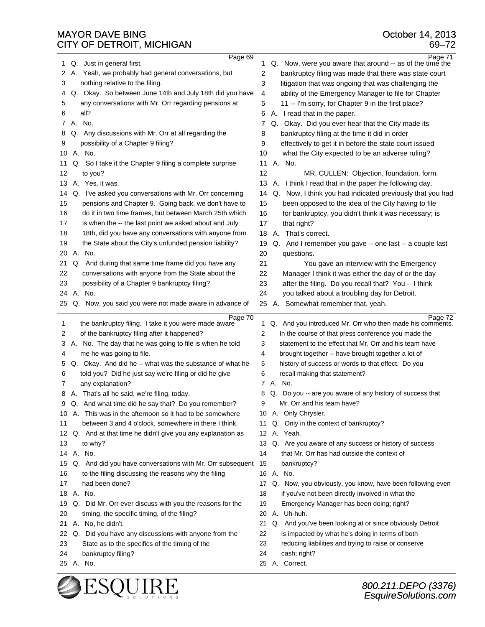| Page 69                                                         | Page 71                                                         |
|-----------------------------------------------------------------|-----------------------------------------------------------------|
| Q. Just in general first.                                       | Q. Now, were you aware that around -- as of the time the        |
| 1                                                               | 1.                                                              |
| A. Yeah, we probably had general conversations, but             | 2                                                               |
| 2                                                               | bankruptcy filing was made that there was state court           |
| nothing relative to the filing.                                 | 3                                                               |
| 3                                                               | litigation that was ongoing that was challenging the            |
| Q. Okay. So between June 14th and July 18th did you have        | ability of the Emergency Manager to file for Chapter            |
| 4                                                               | 4                                                               |
| any conversations with Mr. Orr regarding pensions at            | 5                                                               |
| 5                                                               | 11 -- I'm sorry, for Chapter 9 in the first place?              |
| all?                                                            | A. I read that in the paper.                                    |
| 6                                                               | 6                                                               |
| A. No.                                                          | Q. Okay. Did you ever hear that the City made its               |
| 7                                                               | 7                                                               |
| Q. Any discussions with Mr. Orr at all regarding the            | bankruptcy filing at the time it did in order                   |
| 8                                                               | 8                                                               |
| 9                                                               | 9<br>effectively to get it in before the state court issued     |
| possibility of a Chapter 9 filing?<br>A. No.<br>10              |                                                                 |
| Q. So I take it the Chapter 9 filing a complete surprise        | what the City expected to be an adverse ruling?<br>10<br>A. No. |
| 11                                                              | 11                                                              |
| to you?                                                         | 12                                                              |
| 12                                                              | MR. CULLEN: Objection, foundation, form.                        |
| A. Yes, it was.<br>13                                           | 13 A. I think I read that in the paper the following day.       |
| Q. I've asked you conversations with Mr. Orr concerning         | Q. Now, I think you had indicated previously that you had       |
| 14                                                              | 14                                                              |
| 15                                                              | 15                                                              |
| pensions and Chapter 9. Going back, we don't have to            | been opposed to the idea of the City having to file             |
| do it in two time frames, but between March 25th which          | 16                                                              |
| 16                                                              | for bankruptcy, you didn't think it was necessary; is           |
| 17                                                              | 17                                                              |
| is when the -- the last point we asked about and July           | that right?                                                     |
| 18th, did you have any conversations with anyone from<br>18     | That's correct.<br>18<br>А.                                     |
| 19                                                              | 19                                                              |
| the State about the City's unfunded pension liability?          | Q. And I remember you gave -- one last -- a couple last         |
| A. No.                                                          | 20                                                              |
| 20                                                              | questions.                                                      |
| 21                                                              | 21                                                              |
| Q. And during that same time frame did you have any             | You gave an interview with the Emergency                        |
| conversations with anyone from the State about the              | 22                                                              |
| 22                                                              | Manager I think it was either the day of or the day             |
| 23                                                              | 23                                                              |
| possibility of a Chapter 9 bankruptcy filing?                   | after the filing. Do you recall that? You -- I think            |
| A. No.                                                          | 24                                                              |
| 24                                                              | you talked about a troubling day for Detroit.                   |
| Q. Now, you said you were not made aware in advance of          | 25                                                              |
| 25                                                              | A. Somewhat remember that, yeah.                                |
| Page 70                                                         | Page 72                                                         |
| the bankruptcy filing. I take it you were made aware            | Q. And you introduced Mr. Orr who then made his comments.       |
| 1                                                               | 1.                                                              |
| of the bankruptcy filing after it happened?                     | $\overline{2}$                                                  |
| 2                                                               | In the course of that press conference you made the             |
| A. No. The day that he was going to file is when he told        | statement to the effect that Mr. Orr and his team have          |
| 3                                                               | 3                                                               |
| me he was going to file.                                        | brought together -- have brought together a lot of              |
| 4                                                               | 4                                                               |
| Q. Okay. And did he -- what was the substance of what he        | 5                                                               |
| 5                                                               | history of success or words to that effect. Do you              |
| told you? Did he just say we're filing or did he give           | 6                                                               |
| 6                                                               | recall making that statement?                                   |
| 7<br>any explanation?                                           | 7 A. No.                                                        |
| A. That's all he said, we're filing, today.                     | Q. Do you -- are you aware of any history of success that       |
| 8                                                               | 8                                                               |
| Q. And what time did he say that? Do you remember?              | Mr. Orr and his team have?                                      |
| 9                                                               | a                                                               |
| 10 A. This was in the afternoon so it had to be somewhere       | 10 A. Only Chrysler.                                            |
| between 3 and 4 o'clock, somewhere in there I think.            | Q. Only in the context of bankruptcy?                           |
| 11                                                              | 11                                                              |
| Q. And at that time he didn't give you any explanation as<br>12 | 12 A. Yeah.                                                     |
| 13                                                              | Q. Are you aware of any success or history of success           |
| to why?                                                         | 13                                                              |
| A. No.                                                          | that Mr. Orr has had outside the context of                     |
| 14                                                              | 14                                                              |
| Q. And did you have conversations with Mr. Orr subsequent       | 15                                                              |
| 15                                                              | bankruptcy?                                                     |
| to the filing discussing the reasons why the filing<br>16       | 16 A. No.                                                       |
| 17                                                              | Q. Now, you obviously, you know, have been following even       |
| had been done?                                                  | 17                                                              |
| A. No.                                                          | 18                                                              |
| 18                                                              | if you've not been directly involved in what the                |
| Q. Did Mr. Orr ever discuss with you the reasons for the        | 19                                                              |
| 19                                                              | Emergency Manager has been doing; right?                        |
| 20                                                              | A. Uh-huh.                                                      |
| timing, the specific timing, of the filing?                     | 20                                                              |
| A. No, he didn't.                                               | 21                                                              |
| 21                                                              | Q. And you've been looking at or since obviously Detroit        |
| Q. Did you have any discussions with anyone from the            | 22                                                              |
| 22                                                              | is impacted by what he's doing in terms of both                 |
| State as to the specifics of the timing of the                  | 23                                                              |
| 23                                                              | reducing liabilities and trying to raise or conserve            |
| 24                                                              | 24                                                              |
| bankruptcy filing?                                              | cash; right?                                                    |
| 25 A. No.                                                       | 25 A. Correct.                                                  |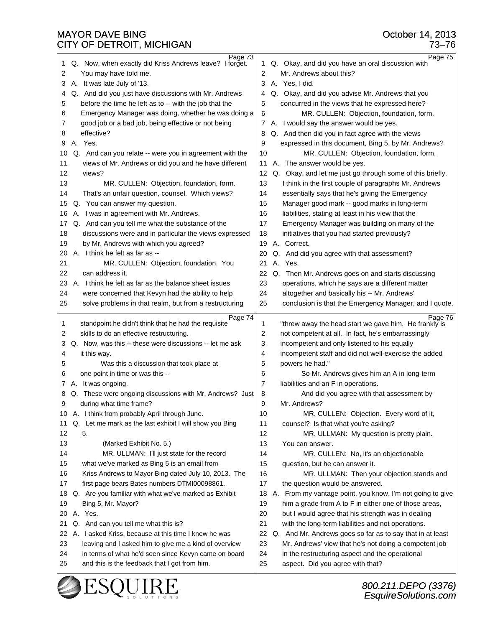| Page 73                                                     | Page 75                                                                                   |
|-------------------------------------------------------------|-------------------------------------------------------------------------------------------|
| Q. Now, when exactly did Kriss Andrews leave? I forget.     | Q. Okay, and did you have an oral discussion with                                         |
| 1                                                           | 1                                                                                         |
| 2                                                           | Mr. Andrews about this?                                                                   |
| You may have told me.                                       | 2                                                                                         |
| A. It was late July of '13.                                 | 3                                                                                         |
| 3                                                           | A. Yes, I did.                                                                            |
| Q. And did you just have discussions with Mr. Andrews       | Q. Okay, and did you advise Mr. Andrews that you                                          |
| 4                                                           | 4                                                                                         |
| before the time he left as to -- with the job that the      | concurred in the views that he expressed here?                                            |
| 5                                                           | 5                                                                                         |
| Emergency Manager was doing, whether he was doing a         | MR. CULLEN: Objection, foundation, form.                                                  |
| 6                                                           | 6                                                                                         |
| good job or a bad job, being effective or not being<br>7    | 7 A. I would say the answer would be yes.                                                 |
| effective?                                                  | Q. And then did you in fact agree with the views                                          |
| 8                                                           | 8                                                                                         |
| A. Yes.                                                     | 9                                                                                         |
| 9                                                           | expressed in this document, Bing 5, by Mr. Andrews?                                       |
| Q. And can you relate -- were you in agreement with the     | 10                                                                                        |
| 10                                                          | MR. CULLEN: Objection, foundation, form.                                                  |
| 11                                                          | 11                                                                                        |
| views of Mr. Andrews or did you and he have different       | A. The answer would be yes.                                                               |
| 12                                                          | Q. Okay, and let me just go through some of this briefly.                                 |
| views?                                                      | 12                                                                                        |
| 13                                                          | 13                                                                                        |
| MR. CULLEN: Objection, foundation, form.                    | I think in the first couple of paragraphs Mr. Andrews                                     |
| 14                                                          | 14                                                                                        |
| That's an unfair question, counsel. Which views?            | essentially says that he's giving the Emergency                                           |
| Q. You can answer my question.                              | Manager good mark -- good marks in long-term                                              |
| 15                                                          | 15                                                                                        |
| A. I was in agreement with Mr. Andrews.                     | 16                                                                                        |
| 16                                                          | liabilities, stating at least in his view that the                                        |
| Q. And can you tell me what the substance of the            | 17                                                                                        |
| 17                                                          | Emergency Manager was building on many of the                                             |
| discussions were and in particular the views expressed      | 18                                                                                        |
| 18                                                          | initiatives that you had started previously?                                              |
| 19<br>by Mr. Andrews with which you agreed?                 | 19<br>А.<br>Correct.                                                                      |
| A. I think he felt as far as --<br>20                       | 20<br>Q.<br>And did you agree with that assessment?                                       |
| 21<br>MR. CULLEN: Objection, foundation. You                | Α.<br>Yes.<br>21                                                                          |
| 22                                                          | 22                                                                                        |
| can address it.                                             | Q. Then Mr. Andrews goes on and starts discussing                                         |
| A. I think he felt as far as the balance sheet issues       | 23                                                                                        |
| 23                                                          | operations, which he says are a different matter                                          |
| 24                                                          | 24                                                                                        |
| were concerned that Kevyn had the ability to help           | altogether and basically his -- Mr. Andrews'                                              |
| 25                                                          | 25                                                                                        |
| solve problems in that realm, but from a restructuring      | conclusion is that the Emergency Manager, and I quote,                                    |
|                                                             |                                                                                           |
|                                                             |                                                                                           |
| Page 74                                                     | Page 76                                                                                   |
| standpoint he didn't think that he had the requisite        | 1                                                                                         |
| 1                                                           | "threw away the head start we gave him. He frankly is                                     |
| skills to do an effective restructuring.                    | 2                                                                                         |
| 2                                                           | not competent at all. In fact, he's embarrassingly                                        |
| 3                                                           | 3                                                                                         |
| Q. Now, was this -- these were discussions -- let me ask    | incompetent and only listened to his equally                                              |
| 4                                                           | 4                                                                                         |
| it this way.                                                | incompetent staff and did not well-exercise the added                                     |
| 5                                                           | 5                                                                                         |
| Was this a discussion that took place at                    | powers he had."                                                                           |
| one point in time or was this --                            | 6                                                                                         |
| 6                                                           | So Mr. Andrews gives him an A in long-term                                                |
| A. It was ongoing.                                          | 7                                                                                         |
| 7.                                                          | liabilities and an F in operations.                                                       |
| Q. These were ongoing discussions with Mr. Andrews? Just    | 8                                                                                         |
| 8                                                           | And did you agree with that assessment by                                                 |
| я                                                           | a                                                                                         |
| during what time frame?                                     | Mr. Andrews?                                                                              |
| A. I think from probably April through June.                | 10                                                                                        |
| 10                                                          | MR. CULLEN: Objection. Every word of it,                                                  |
| Q. Let me mark as the last exhibit I will show you Bing     | 11                                                                                        |
| 11                                                          | counsel? Is that what you're asking?                                                      |
| 12                                                          | 12                                                                                        |
| 5.                                                          | MR. ULLMAN: My question is pretty plain.                                                  |
| 13                                                          | 13                                                                                        |
| (Marked Exhibit No. 5.)                                     | You can answer.                                                                           |
| 14                                                          | 14                                                                                        |
| MR. ULLMAN: I'll just state for the record                  | MR. CULLEN: No, it's an objectionable                                                     |
| 15                                                          | 15                                                                                        |
| what we've marked as Bing 5 is an email from                | question, but he can answer it.                                                           |
| 16                                                          | 16                                                                                        |
| Kriss Andrews to Mayor Bing dated July 10, 2013. The        | MR. ULLMAN: Then your objection stands and                                                |
| 17                                                          | 17                                                                                        |
| first page bears Bates numbers DTMI00098861.                | the question would be answered.                                                           |
| Q. Are you familiar with what we've marked as Exhibit<br>18 | From my vantage point, you know, I'm not going to give<br>18<br>Α.                        |
| 19                                                          | 19                                                                                        |
| Bing 5, Mr. Mayor?                                          | him a grade from A to F in either one of those areas,                                     |
| A. Yes.                                                     | 20                                                                                        |
| 20                                                          | but I would agree that his strength was in dealing                                        |
| 21                                                          | 21                                                                                        |
| Q. And can you tell me what this is?                        | with the long-term liabilities and not operations.                                        |
| 22                                                          | 22                                                                                        |
| A. I asked Kriss, because at this time I knew he was        | Q. And Mr. Andrews goes so far as to say that in at least                                 |
| 23                                                          | 23                                                                                        |
| leaving and I asked him to give me a kind of overview       | Mr. Andrews' view that he's not doing a competent job                                     |
| in terms of what he'd seen since Kevyn came on board<br>24  | 24<br>in the restructuring aspect and the operational<br>aspect. Did you agree with that? |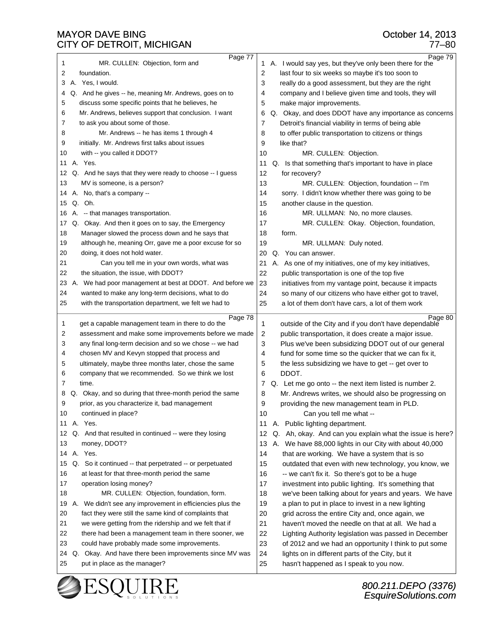| Page 77                                                                                      | Page 79                                                                                                |
|----------------------------------------------------------------------------------------------|--------------------------------------------------------------------------------------------------------|
| MR. CULLEN: Objection, form and<br>1                                                         | 1 A. I would say yes, but they've only been there for the                                              |
| foundation.                                                                                  | 2                                                                                                      |
| 2                                                                                            | last four to six weeks so maybe it's too soon to                                                       |
| A. Yes, I would.                                                                             | really do a good assessment, but they are the right                                                    |
| 3                                                                                            | 3                                                                                                      |
| Q. And he gives -- he, meaning Mr. Andrews, goes on to                                       | company and I believe given time and tools, they will                                                  |
| 4                                                                                            | 4                                                                                                      |
| 5                                                                                            | 5                                                                                                      |
| discuss some specific points that he believes, he                                            | make major improvements.                                                                               |
| Mr. Andrews, believes support that conclusion. I want                                        | Q. Okay, and does DDOT have any importance as concerns                                                 |
| 6                                                                                            | 6                                                                                                      |
| to ask you about some of those.                                                              | Detroit's financial viability in terms of being able                                                   |
| 7                                                                                            | 7                                                                                                      |
| 8                                                                                            | to offer public transportation to citizens or things                                                   |
| Mr. Andrews -- he has items 1 through 4                                                      | 8                                                                                                      |
| 9                                                                                            | 9                                                                                                      |
| initially. Mr. Andrews first talks about issues                                              | like that?                                                                                             |
| 10                                                                                           | 10                                                                                                     |
| with -- you called it DDOT?                                                                  | MR. CULLEN: Objection.                                                                                 |
| A. Yes.                                                                                      | Q. Is that something that's important to have in place                                                 |
| 11                                                                                           | 11                                                                                                     |
| Q. And he says that they were ready to choose -- I guess                                     | 12                                                                                                     |
| 12                                                                                           | for recovery?                                                                                          |
| MV is someone, is a person?                                                                  | 13                                                                                                     |
| 13                                                                                           | MR. CULLEN: Objection, foundation -- I'm                                                               |
| A. No, that's a company --                                                                   | 14                                                                                                     |
| 14                                                                                           | sorry. I didn't know whether there was going to be                                                     |
| Q.<br>Oh.<br>15                                                                              | 15<br>another clause in the question.                                                                  |
| 16                                                                                           | 16                                                                                                     |
| A. -- that manages transportation.<br>Q. Okay. And then it goes on to say, the Emergency     | MR. ULLMAN: No, no more clauses.                                                                       |
| 17                                                                                           | MR. CULLEN: Okay. Objection, foundation,<br>17                                                         |
| Manager slowed the process down and he says that                                             | 18                                                                                                     |
| 18                                                                                           | form.                                                                                                  |
| although he, meaning Orr, gave me a poor excuse for so                                       | 19                                                                                                     |
| 19                                                                                           | MR. ULLMAN: Duly noted.                                                                                |
| doing, it does not hold water.                                                               | Q. You can answer.                                                                                     |
| 20                                                                                           | 20                                                                                                     |
| Can you tell me in your own words, what was                                                  | 21                                                                                                     |
| 21                                                                                           | A. As one of my initiatives, one of my key initiatives,                                                |
| 22                                                                                           | 22                                                                                                     |
| the situation, the issue, with DDOT?                                                         | public transportation is one of the top five                                                           |
| A. We had poor management at best at DDOT. And before we                                     | 23                                                                                                     |
| 23                                                                                           | initiatives from my vantage point, because it impacts                                                  |
| 24                                                                                           | 24                                                                                                     |
| wanted to make any long-term decisions, what to do                                           | so many of our citizens who have either got to travel,                                                 |
| 25                                                                                           | 25                                                                                                     |
| with the transportation department, we felt we had to                                        | a lot of them don't have cars, a lot of them work                                                      |
|                                                                                              |                                                                                                        |
| Page 78                                                                                      | Page 80                                                                                                |
| 1                                                                                            | outside of the City and if you don't have dependable                                                   |
| get a capable management team in there to do the                                             | 1                                                                                                      |
| 2                                                                                            | public transportation, it does create a major issue.                                                   |
| assessment and make some improvements before we made                                         | 2                                                                                                      |
| 3                                                                                            | 3                                                                                                      |
| any final long-term decision and so we chose -- we had                                       | Plus we've been subsidizing DDOT out of our general                                                    |
| chosen MV and Kevyn stopped that process and                                                 | fund for some time so the quicker that we can fix it,                                                  |
| 4                                                                                            | 4                                                                                                      |
| ultimately, maybe three months later, chose the same                                         | 5                                                                                                      |
| 5                                                                                            | the less subsidizing we have to get -- get over to                                                     |
| company that we recommended. So we think we lost                                             | DDOT.                                                                                                  |
| 6                                                                                            | 6                                                                                                      |
| 7                                                                                            | Q. Let me go onto -- the next item listed is number 2.                                                 |
| time.                                                                                        | 7                                                                                                      |
| Okay, and so during that three-month period the same<br>8<br>Q.                              | 8<br>Mr. Andrews writes, we should also be progressing on                                              |
| 9                                                                                            | 9                                                                                                      |
| prior, as you characterize it, bad management                                                | providing the new management team in PLD.                                                              |
| 10                                                                                           | 10                                                                                                     |
| continued in place?                                                                          | Can you tell me what --                                                                                |
| A. Yes.                                                                                      | A. Public lighting department.                                                                         |
| 11                                                                                           | 11                                                                                                     |
| Q. And that resulted in continued -- were they losing<br>12                                  | Ah, okay. And can you explain what the issue is here?<br>12<br>Q.                                      |
| 13<br>money, DDOT?                                                                           | We have 88,000 lights in our City with about 40,000<br>13<br>А.                                        |
| A. Yes.                                                                                      | 14                                                                                                     |
| 14                                                                                           | that are working. We have a system that is so                                                          |
| Q. So it continued -- that perpetrated -- or perpetuated                                     | 15                                                                                                     |
| 15                                                                                           | outdated that even with new technology, you know, we                                                   |
| 16                                                                                           | 16                                                                                                     |
| at least for that three-month period the same                                                | -- we can't fix it. So there's got to be a huge                                                        |
| 17                                                                                           | 17                                                                                                     |
| operation losing money?                                                                      | investment into public lighting. It's something that                                                   |
| 18                                                                                           | 18                                                                                                     |
| MR. CULLEN: Objection, foundation, form.                                                     | we've been talking about for years and years. We have                                                  |
| A. We didn't see any improvement in efficiencies plus the                                    | a plan to put in place to invest in a new lighting                                                     |
| 19                                                                                           | 19                                                                                                     |
| fact they were still the same kind of complaints that                                        | 20                                                                                                     |
| 20                                                                                           | grid across the entire City and, once again, we                                                        |
| 21                                                                                           | 21                                                                                                     |
| we were getting from the ridership and we felt that if                                       | haven't moved the needle on that at all. We had a                                                      |
| 22<br>there had been a management team in there sooner, we                                   | 22                                                                                                     |
| 23<br>could have probably made some improvements.                                            | Lighting Authority legislation was passed in December                                                  |
| 24                                                                                           | 23<br>of 2012 and we had an opportunity I think to put some                                            |
| Q. Okay. And have there been improvements since MV was<br>25<br>put in place as the manager? | 24<br>lights on in different parts of the City, but it<br>25<br>hasn't happened as I speak to you now. |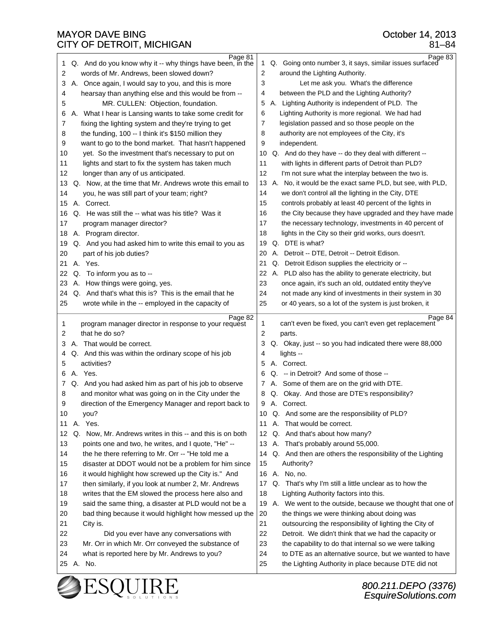| Page 81                                                                                                           | Page 83                                                                                                                   |
|-------------------------------------------------------------------------------------------------------------------|---------------------------------------------------------------------------------------------------------------------------|
| Q. And do you know why it -- why things have been, in the                                                         | Q. Going onto number 3, it says, similar issues surfaced                                                                  |
| 1                                                                                                                 | 1                                                                                                                         |
| 2                                                                                                                 | $\overline{2}$                                                                                                            |
| words of Mr. Andrews, been slowed down?                                                                           | around the Lighting Authority.                                                                                            |
| A. Once again, I would say to you, and this is more                                                               | 3                                                                                                                         |
| 3                                                                                                                 | Let me ask you. What's the difference                                                                                     |
| hearsay than anything else and this would be from --                                                              | between the PLD and the Lighting Authority?                                                                               |
| 4                                                                                                                 | 4                                                                                                                         |
| MR. CULLEN: Objection, foundation.                                                                                | A. Lighting Authority is independent of PLD. The                                                                          |
| 5                                                                                                                 | 5                                                                                                                         |
|                                                                                                                   | 6                                                                                                                         |
| A. What I hear is Lansing wants to take some credit for<br>6                                                      | Lighting Authority is more regional. We had had                                                                           |
| 7                                                                                                                 | 7                                                                                                                         |
| fixing the lighting system and they're trying to get                                                              | legislation passed and so those people on the                                                                             |
| the funding, 100 -- I think it's \$150 million they                                                               | authority are not employees of the City, it's                                                                             |
| 8                                                                                                                 | 8                                                                                                                         |
| want to go to the bond market. That hasn't happened                                                               | 9                                                                                                                         |
| 9                                                                                                                 | independent.                                                                                                              |
| 10                                                                                                                | Q. And do they have -- do they deal with different --                                                                     |
| yet. So the investment that's necessary to put on                                                                 | 10                                                                                                                        |
| 11                                                                                                                | 11                                                                                                                        |
| lights and start to fix the system has taken much                                                                 | with lights in different parts of Detroit than PLD?                                                                       |
| 12                                                                                                                | 12                                                                                                                        |
| longer than any of us anticipated.                                                                                | I'm not sure what the interplay between the two is.                                                                       |
| Q. Now, at the time that Mr. Andrews wrote this email to<br>13                                                    | 13 A. No, it would be the exact same PLD, but see, with PLD,                                                              |
| you, he was still part of your team; right?                                                                       | we don't control all the lighting in the City, DTE                                                                        |
| 14                                                                                                                | 14                                                                                                                        |
| A. Correct.                                                                                                       | 15                                                                                                                        |
| 15                                                                                                                | controls probably at least 40 percent of the lights in                                                                    |
| Q. He was still the -- what was his title? Was it                                                                 | the City because they have upgraded and they have made                                                                    |
| 16                                                                                                                | 16                                                                                                                        |
| 17                                                                                                                | 17                                                                                                                        |
| program manager director?                                                                                         | the necessary technology, investments in 40 percent of                                                                    |
| A. Program director.                                                                                              | 18                                                                                                                        |
| 18                                                                                                                | lights in the City so their grid works, ours doesn't.                                                                     |
| Q. And you had asked him to write this email to you as                                                            | Q. DTE is what?                                                                                                           |
| 19                                                                                                                | 19                                                                                                                        |
| 20                                                                                                                | A. Detroit -- DTE, Detroit -- Detroit Edison.                                                                             |
| part of his job duties?                                                                                           | 20                                                                                                                        |
| A. Yes.                                                                                                           | 21                                                                                                                        |
| 21                                                                                                                | Q. Detroit Edison supplies the electricity or --                                                                          |
| Q. To inform you as to --                                                                                         | 22                                                                                                                        |
| 22                                                                                                                | A. PLD also has the ability to generate electricity, but                                                                  |
| A. How things were going, yes.                                                                                    | 23                                                                                                                        |
| 23                                                                                                                | once again, it's such an old, outdated entity they've                                                                     |
| Q. And that's what this is? This is the email that he                                                             | 24                                                                                                                        |
| 24                                                                                                                | not made any kind of investments in their system in 30                                                                    |
| 25                                                                                                                | 25                                                                                                                        |
| wrote while in the -- employed in the capacity of                                                                 | or 40 years, so a lot of the system is just broken, it                                                                    |
|                                                                                                                   |                                                                                                                           |
|                                                                                                                   |                                                                                                                           |
| Page 82                                                                                                           | Page 84                                                                                                                   |
| program manager director in response to your request                                                              | can't even be fixed, you can't even get replacement                                                                       |
| 1                                                                                                                 | 1                                                                                                                         |
| that he do so?                                                                                                    | $\overline{2}$                                                                                                            |
| 2                                                                                                                 | parts.                                                                                                                    |
| A. That would be correct.                                                                                         | Q. Okay, just -- so you had indicated there were 88,000                                                                   |
| 3                                                                                                                 | 3                                                                                                                         |
| Q. And this was within the ordinary scope of his job                                                              | lights --                                                                                                                 |
| 4                                                                                                                 | 4                                                                                                                         |
| activities?<br>5                                                                                                  | Correct.<br>5<br>А.                                                                                                       |
| A. Yes.<br>6                                                                                                      | -- in Detroit? And some of those --<br>Q.<br>6                                                                            |
| Q. And you had asked him as part of his job to observe                                                            | A. Some of them are on the grid with DTE.                                                                                 |
| 7                                                                                                                 | 7                                                                                                                         |
| and monitor what was going on in the City under the                                                               | Q. Okay. And those are DTE's responsibility?                                                                              |
| 8                                                                                                                 | 8                                                                                                                         |
| a                                                                                                                 | 9                                                                                                                         |
| direction of the Emergency Manager and report back to                                                             | A. Correct.                                                                                                               |
| 10<br>you?                                                                                                        | 10 Q. And some are the responsibility of PLD?                                                                             |
| A. Yes.                                                                                                           | A. That would be correct.                                                                                                 |
| 11                                                                                                                | 11                                                                                                                        |
| Q. Now, Mr. Andrews writes in this -- and this is on both<br>12                                                   | 12 Q. And that's about how many?                                                                                          |
| 13<br>points one and two, he writes, and I quote, "He" --                                                         | 13 A. That's probably around 55,000.                                                                                      |
| 14                                                                                                                | Q. And then are others the responsibility of the Lighting                                                                 |
| the he there referring to Mr. Orr -- "He told me a                                                                | 14                                                                                                                        |
| disaster at DDOT would not be a problem for him since                                                             | Authority?                                                                                                                |
| 15                                                                                                                | 15                                                                                                                        |
| it would highlight how screwed up the City is." And<br>16                                                         | 16 A. No, no.                                                                                                             |
| 17                                                                                                                | Q. That's why I'm still a little unclear as to how the<br>17                                                              |
| then similarly, if you look at number 2, Mr. Andrews<br>writes that the EM slowed the process here also and<br>18 | Lighting Authority factors into this.<br>18                                                                               |
| 19                                                                                                                | A. We went to the outside, because we thought that one of                                                                 |
| said the same thing, a disaster at PLD would not be a                                                             | 19                                                                                                                        |
| 20                                                                                                                |                                                                                                                           |
| bad thing because it would highlight how messed up the                                                            | 20<br>the things we were thinking about doing was<br>21                                                                   |
| 21<br>City is.                                                                                                    | outsourcing the responsibility of lighting the City of                                                                    |
| 22                                                                                                                | 22                                                                                                                        |
| Did you ever have any conversations with                                                                          | Detroit. We didn't think that we had the capacity or                                                                      |
| 23                                                                                                                | 23                                                                                                                        |
| Mr. Orr in which Mr. Orr conveyed the substance of                                                                | the capability to do that internal so we were talking                                                                     |
| 24<br>what is reported here by Mr. Andrews to you?<br>25 A. No.                                                   | 24<br>to DTE as an alternative source, but we wanted to have<br>25<br>the Lighting Authority in place because DTE did not |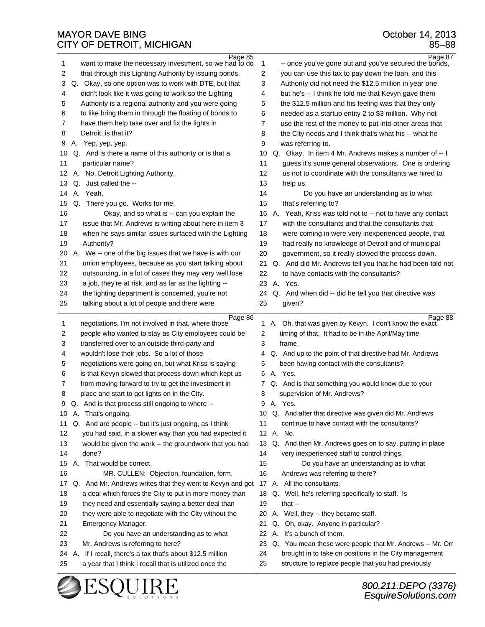| 1        | Page 85<br>want to make the necessary investment, so we had to do                                                   | Page 87<br>-- once you've gone out and you've secured the bonds,<br>1                                                     |
|----------|---------------------------------------------------------------------------------------------------------------------|---------------------------------------------------------------------------------------------------------------------------|
| 2        | that through this Lighting Authority by issuing bonds.                                                              | 2<br>you can use this tax to pay down the loan, and this                                                                  |
| 3        | Q. Okay, so one option was to work with DTE, but that                                                               | 3<br>Authority did not need the \$12.5 million in year one,                                                               |
| 4        | didn't look like it was going to work so the Lighting                                                               | but he's -- I think he told me that Kevyn gave them<br>4                                                                  |
| 5        | Authority is a regional authority and you were going                                                                | 5<br>the \$12.5 million and his feeling was that they only                                                                |
| 6        | to like bring them in through the floating of bonds to                                                              | needed as a startup entity 2 to \$3 million. Why not<br>6                                                                 |
| 7        | have them help take over and fix the lights in                                                                      | use the rest of the money to put into other areas that<br>7                                                               |
| 8        | Detroit; is that it?                                                                                                | 8<br>the City needs and I think that's what his -- what he                                                                |
| 9        | A. Yep, yep, yep.                                                                                                   | 9<br>was referring to.                                                                                                    |
| 10       | Q. And is there a name of this authority or is that a                                                               | Q. Okay. In item 4 Mr. Andrews makes a number of -- I<br>10                                                               |
| 11       | particular name?                                                                                                    | guess it's some general observations. One is ordering<br>11                                                               |
| 12       | A. No, Detroit Lighting Authority.                                                                                  | 12<br>us not to coordinate with the consultants we hired to                                                               |
| 13       | Q. Just called the --                                                                                               | 13<br>help us.                                                                                                            |
| 14       | A. Yeah.                                                                                                            | 14<br>Do you have an understanding as to what                                                                             |
| 15       | Q. There you go. Works for me.                                                                                      | 15<br>that's referring to?                                                                                                |
| 16       | Okay, and so what is -- can you explain the                                                                         | Yeah, Kriss was told not to -- not to have any contact<br>16<br>А.                                                        |
| 17       | issue that Mr. Andrews is writing about here in item 3                                                              | 17<br>with the consultants and that the consultants that                                                                  |
| 18       | when he says similar issues surfaced with the Lighting                                                              | 18<br>were coming in were very inexperienced people, that                                                                 |
| 19       | Authority?                                                                                                          | 19<br>had really no knowledge of Detroit and of municipal                                                                 |
| 20       | А.<br>We -- one of the big issues that we have is with our                                                          | 20<br>government, so it really slowed the process down.                                                                   |
| 21       | union employees, because as you start talking about                                                                 | 21<br>Q. And did Mr. Andrews tell you that he had been told not                                                           |
| 22       |                                                                                                                     | 22<br>to have contacts with the consultants?                                                                              |
|          | outsourcing, in a lot of cases they may very well lose                                                              | 23<br>A. Yes.                                                                                                             |
| 23       | a job, they're at risk, and as far as the lighting --                                                               |                                                                                                                           |
| 24       | the lighting department is concerned, you're not<br>talking about a lot of people and there were                    | Q. And when did -- did he tell you that directive was<br>24<br>25<br>given?                                               |
| 25       |                                                                                                                     |                                                                                                                           |
|          |                                                                                                                     |                                                                                                                           |
|          | Page 86                                                                                                             | Page 88                                                                                                                   |
| 1        | negotiations, I'm not involved in that, where those                                                                 | A. Oh, that was given by Kevyn. I don't know the exact<br>1                                                               |
| 2        | people who wanted to stay as City employees could be                                                                | 2<br>timing of that. It had to be in the April/May time                                                                   |
| 3        | transferred over to an outside third-party and                                                                      | 3<br>frame.                                                                                                               |
| 4        | wouldn't lose their jobs. So a lot of those                                                                         | Q. And up to the point of that directive had Mr. Andrews<br>4                                                             |
| 5        | negotiations were going on, but what Kriss is saying                                                                | been having contact with the consultants?<br>5                                                                            |
| 6        | is that Kevyn slowed that process down which kept us                                                                | A. Yes.<br>6                                                                                                              |
| 7        | from moving forward to try to get the investment in                                                                 | Q. And is that something you would know due to your<br>7                                                                  |
| 8        | place and start to get lights on in the City.                                                                       | supervision of Mr. Andrews?<br>8                                                                                          |
| 9        | Q. And is that process still ongoing to where --                                                                    | 9<br>A. Yes.                                                                                                              |
| 10       | A. That's ongoing.                                                                                                  | Q. And after that directive was given did Mr. Andrews<br>10                                                               |
| 11       | Q. And are people -- but it's just ongoing, as I think                                                              | 11<br>continue to have contact with the consultants?                                                                      |
| 12       | you had said, in a slower way than you had expected it                                                              | 12 A. No.                                                                                                                 |
| 13       | would be given the work -- the groundwork that you had                                                              | Q. And then Mr. Andrews goes on to say, putting in place<br>13                                                            |
| 14       | done?                                                                                                               | 14<br>very inexperienced staff to control things.                                                                         |
| 15       | A. That would be correct.                                                                                           | 15<br>Do you have an understanding as to what                                                                             |
| 16       | MR. CULLEN: Objection, foundation, form.                                                                            | 16<br>Andrews was referring to there?                                                                                     |
| 17       | Q. And Mr. Andrews writes that they went to Kevyn and got                                                           | 17 A. All the consultants.                                                                                                |
| 18       | a deal which forces the City to put in more money than                                                              | Q. Well, he's referring specifically to staff. Is<br>18                                                                   |
| 19       | they need and essentially saying a better deal than                                                                 | 19<br>that $-$                                                                                                            |
| 20       | they were able to negotiate with the City without the                                                               | A. Well, they -- they became staff.<br>20                                                                                 |
| 21       | Emergency Manager.                                                                                                  | Q. Oh, okay. Anyone in particular?<br>21                                                                                  |
| 22       | Do you have an understanding as to what                                                                             | A. It's a bunch of them.<br>22                                                                                            |
| 23       | Mr. Andrews is referring to here?                                                                                   | 23<br>Q. You mean these were people that Mr. Andrews -- Mr. Orr                                                           |
| 24<br>25 | A. If I recall, there's a tax that's about \$12.5 million<br>a year that I think I recall that is utilized once the | brought in to take on positions in the City management<br>24<br>25<br>structure to replace people that you had previously |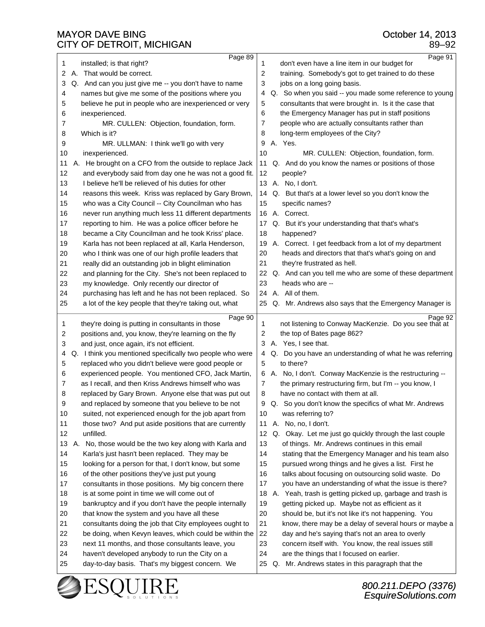|          | Page 89                                                                                           | Page 91                                                                                             |
|----------|---------------------------------------------------------------------------------------------------|-----------------------------------------------------------------------------------------------------|
| 1        | installed; is that right?                                                                         | don't even have a line item in our budget for<br>1                                                  |
| 2<br>А.  | That would be correct.                                                                            | 2<br>training. Somebody's got to get trained to do these                                            |
| 3        | Q. And can you just give me -- you don't have to name                                             | jobs on a long going basis.<br>3                                                                    |
| 4        | names but give me some of the positions where you                                                 | Q. So when you said -- you made some reference to young<br>4                                        |
| 5        | believe he put in people who are inexperienced or very                                            | consultants that were brought in. Is it the case that<br>5                                          |
| 6        | inexperienced.                                                                                    | the Emergency Manager has put in staff positions<br>6                                               |
| 7        | MR. CULLEN: Objection, foundation, form.                                                          | 7<br>people who are actually consultants rather than                                                |
| 8        | Which is it?                                                                                      | long-term employees of the City?<br>8                                                               |
| 9        | MR. ULLMAN: I think we'll go with very                                                            | A. Yes.<br>9                                                                                        |
| 10       | inexperienced.                                                                                    | 10<br>MR. CULLEN: Objection, foundation, form.                                                      |
| 11       | A. He brought on a CFO from the outside to replace Jack                                           | 11<br>Q. And do you know the names or positions of those                                            |
| 12       | and everybody said from day one he was not a good fit.                                            | 12<br>people?                                                                                       |
| 13       | I believe he'll be relieved of his duties for other                                               | 13 A. No, I don't.                                                                                  |
| 14       | reasons this week. Kriss was replaced by Gary Brown,                                              | Q. But that's at a lower level so you don't know the<br>14                                          |
| 15       | who was a City Council -- City Councilman who has                                                 | specific names?<br>15                                                                               |
| 16       | never run anything much less 11 different departments                                             | 16<br>A. Correct.                                                                                   |
| 17       | reporting to him. He was a police officer before he                                               | Q. But it's your understanding that that's what's<br>17                                             |
| 18       | became a City Councilman and he took Kriss' place.                                                | 18<br>happened?                                                                                     |
| 19       | Karla has not been replaced at all, Karla Henderson,                                              | A. Correct. I get feedback from a lot of my department<br>19                                        |
| 20       | who I think was one of our high profile leaders that                                              | 20<br>heads and directors that that's what's going on and                                           |
| 21       | really did an outstanding job in blight elimination                                               | 21<br>they're frustrated as hell.                                                                   |
| 22       | and planning for the City. She's not been replaced to                                             | 22<br>Q. And can you tell me who are some of these department                                       |
| 23       | my knowledge. Only recently our director of                                                       | 23<br>heads who are --                                                                              |
| 24       | purchasing has left and he has not been replaced. So                                              | 24 A. All of them.                                                                                  |
| 25       | a lot of the key people that they're taking out, what                                             | 25 Q. Mr. Andrews also says that the Emergency Manager is                                           |
|          |                                                                                                   |                                                                                                     |
| 1        | Page 90<br>they're doing is putting in consultants in those                                       | Page 92<br>not listening to Conway MacKenzie. Do you see that at<br>1                               |
| 2        | positions and, you know, they're learning on the fly                                              | 2<br>the top of Bates page 862?                                                                     |
| 3        | and just, once again, it's not efficient.                                                         | A. Yes, I see that.<br>3                                                                            |
| 4        | Q. I think you mentioned specifically two people who were                                         | Q. Do you have an understanding of what he was referring<br>4                                       |
| 5        | replaced who you didn't believe were good people or                                               | to there?<br>5                                                                                      |
| 6        | experienced people. You mentioned CFO, Jack Martin,                                               |                                                                                                     |
| 7        |                                                                                                   |                                                                                                     |
|          |                                                                                                   | 6 A. No, I don't. Conway MacKenzie is the restructuring --                                          |
| 8        | as I recall, and then Kriss Andrews himself who was                                               | the primary restructuring firm, but I'm -- you know, I<br>7<br>8                                    |
| q        | replaced by Gary Brown. Anyone else that was put out                                              | have no contact with them at all.<br>Q                                                              |
|          | and replaced by someone that you believe to be not                                                | Q. So you don't know the specifics of what Mr. Andrews                                              |
| 10       | suited, not experienced enough for the job apart from                                             | was referring to?<br>10                                                                             |
| 11       | those two? And put aside positions that are currently<br>unfilled.                                | No, no, I don't.<br>11<br>Α.                                                                        |
| 12       |                                                                                                   | 12 <sub>2</sub><br>Q. Okay. Let me just go quickly through the last couple                          |
| 13       | A. No, those would be the two key along with Karla and                                            | 13<br>of things. Mr. Andrews continues in this email                                                |
| 14       | Karla's just hasn't been replaced. They may be                                                    | 14<br>stating that the Emergency Manager and his team also                                          |
| 15       | looking for a person for that, I don't know, but some                                             | 15<br>pursued wrong things and he gives a list. First he                                            |
| 16       | of the other positions they've just put young                                                     | 16<br>talks about focusing on outsourcing solid waste. Do                                           |
| 17       | consultants in those positions. My big concern there                                              | 17<br>you have an understanding of what the issue is there?                                         |
| 18       | is at some point in time we will come out of                                                      | A. Yeah, trash is getting picked up, garbage and trash is<br>18                                     |
| 19       | bankruptcy and if you don't have the people internally                                            | 19<br>getting picked up. Maybe not as efficient as it                                               |
| 20       | that know the system and you have all these                                                       | 20<br>should be, but it's not like it's not happening. You                                          |
| 21       | consultants doing the job that City employees ought to                                            | 21<br>know, there may be a delay of several hours or maybe a                                        |
| 22       | be doing, when Kevyn leaves, which could be within the                                            | 22<br>day and he's saying that's not an area to overly                                              |
| 23       | next 11 months, and those consultants leave, you                                                  | 23<br>concern itself with. You know, the real issues still<br>24                                    |
| 24<br>25 | haven't developed anybody to run the City on a<br>day-to-day basis. That's my biggest concern. We | are the things that I focused on earlier.<br>Q. Mr. Andrews states in this paragraph that the<br>25 |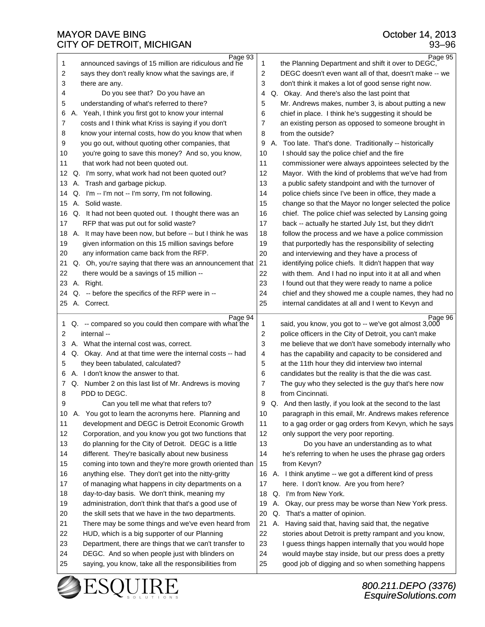| Page 93<br>Page 95<br>announced savings of 15 million are ridiculous and he<br>1<br>1<br>the Planning Department and shift it over to DEGC,<br>2<br>says they don't really know what the savings are, if<br>2<br>DEGC doesn't even want all of that, doesn't make -- we<br>3<br>3<br>don't think it makes a lot of good sense right now.<br>there are any.<br>4<br>Do you see that? Do you have an<br>Q. Okay. And there's also the last point that<br>4<br>5<br>understanding of what's referred to there?<br>5<br>Mr. Andrews makes, number 3, is about putting a new<br>Yeah, I think you first got to know your internal<br>chief in place. I think he's suggesting it should be<br>6<br>6<br>А.<br>costs and I think what Kriss is saying if you don't<br>7<br>7<br>an existing person as opposed to someone brought in<br>know your internal costs, how do you know that when<br>8<br>from the outside?<br>8<br>9<br>you go out, without quoting other companies, that<br>9<br>A. Too late. That's done. Traditionally -- historically<br>you're going to save this money? And so, you know,<br>I should say the police chief and the fire<br>10<br>10<br>that work had not been quoted out.<br>11<br>11<br>commissioner were always appointees selected by the<br>12<br>12<br>Q. I'm sorry, what work had not been quoted out?<br>Mayor. With the kind of problems that we've had from<br>13<br>A. Trash and garbage pickup.<br>a public safety standpoint and with the turnover of<br>13<br>Q. I'm -- I'm not -- I'm sorry, I'm not following.<br>police chiefs since I've been in office, they made a<br>14<br>14<br>A. Solid waste.<br>change so that the Mayor no longer selected the police<br>15<br>15<br>16<br>chief. The police chief was selected by Lansing going<br>Q. It had not been quoted out. I thought there was an<br>16<br>RFP that was put out for solid waste?<br>17<br>back -- actually he started July 1st, but they didn't<br>17<br>18<br>A. It may have been now, but before -- but I think he was<br>follow the process and we have a police commission<br>18<br>19<br>19<br>given information on this 15 million savings before<br>that purportedly has the responsibility of selecting<br>any information came back from the RFP.<br>20<br>and interviewing and they have a process of<br>20<br>21<br>Q. Oh, you're saying that there was an announcement that<br>identifying police chiefs. It didn't happen that way<br>21<br>22<br>with them. And I had no input into it at all and when<br>22<br>there would be a savings of 15 million --<br>23<br>23<br>A. Right.<br>I found out that they were ready to name a police<br>Q. -- before the specifics of the RFP were in --<br>24<br>chief and they showed me a couple names, they had no<br>24<br>A. Correct.<br>25<br>internal candidates at all and I went to Kevyn and<br>25<br>Page 94<br>Page 96<br>Q. -- compared so you could then compare with what the<br>said, you know, you got to -- we've got almost 3,000<br>1<br>1<br>internal --<br>2<br>police officers in the City of Detroit, you can't make<br>2<br>3<br>me believe that we don't have somebody internally who<br>3<br>A. What the internal cost was, correct.<br>Q. Okay. And at that time were the internal costs -- had<br>has the capability and capacity to be considered and<br>4<br>4<br>they been tabulated, calculated?<br>5<br>at the 11th hour they did interview two internal<br>5<br>A. I don't know the answer to that.<br>6<br>candidates but the reality is that the die was cast.<br>6<br>Q. Number 2 on this last list of Mr. Andrews is moving<br>7<br>The guy who they selected is the guy that's here now<br>7<br>PDD to DEGC.<br>8<br>from Cincinnati.<br>8 |
|------------------------------------------------------------------------------------------------------------------------------------------------------------------------------------------------------------------------------------------------------------------------------------------------------------------------------------------------------------------------------------------------------------------------------------------------------------------------------------------------------------------------------------------------------------------------------------------------------------------------------------------------------------------------------------------------------------------------------------------------------------------------------------------------------------------------------------------------------------------------------------------------------------------------------------------------------------------------------------------------------------------------------------------------------------------------------------------------------------------------------------------------------------------------------------------------------------------------------------------------------------------------------------------------------------------------------------------------------------------------------------------------------------------------------------------------------------------------------------------------------------------------------------------------------------------------------------------------------------------------------------------------------------------------------------------------------------------------------------------------------------------------------------------------------------------------------------------------------------------------------------------------------------------------------------------------------------------------------------------------------------------------------------------------------------------------------------------------------------------------------------------------------------------------------------------------------------------------------------------------------------------------------------------------------------------------------------------------------------------------------------------------------------------------------------------------------------------------------------------------------------------------------------------------------------------------------------------------------------------------------------------------------------------------------------------------------------------------------------------------------------------------------------------------------------------------------------------------------------------------------------------------------------------------------------------------------------------------------------------------------------------------------------------------------------------------------------------------------------------------------------------------------------------------------------------------------------------------------------------------------------------------------------------------------------------------------------------------------------------------------------------------------------------------------------------------------------------------------------------------------------------------------------------------------------------------------------------------------------------------------------------------------------------------------------------------------------------------------------------------|
|                                                                                                                                                                                                                                                                                                                                                                                                                                                                                                                                                                                                                                                                                                                                                                                                                                                                                                                                                                                                                                                                                                                                                                                                                                                                                                                                                                                                                                                                                                                                                                                                                                                                                                                                                                                                                                                                                                                                                                                                                                                                                                                                                                                                                                                                                                                                                                                                                                                                                                                                                                                                                                                                                                                                                                                                                                                                                                                                                                                                                                                                                                                                                                                                                                                                                                                                                                                                                                                                                                                                                                                                                                                                                                                                                |
|                                                                                                                                                                                                                                                                                                                                                                                                                                                                                                                                                                                                                                                                                                                                                                                                                                                                                                                                                                                                                                                                                                                                                                                                                                                                                                                                                                                                                                                                                                                                                                                                                                                                                                                                                                                                                                                                                                                                                                                                                                                                                                                                                                                                                                                                                                                                                                                                                                                                                                                                                                                                                                                                                                                                                                                                                                                                                                                                                                                                                                                                                                                                                                                                                                                                                                                                                                                                                                                                                                                                                                                                                                                                                                                                                |
|                                                                                                                                                                                                                                                                                                                                                                                                                                                                                                                                                                                                                                                                                                                                                                                                                                                                                                                                                                                                                                                                                                                                                                                                                                                                                                                                                                                                                                                                                                                                                                                                                                                                                                                                                                                                                                                                                                                                                                                                                                                                                                                                                                                                                                                                                                                                                                                                                                                                                                                                                                                                                                                                                                                                                                                                                                                                                                                                                                                                                                                                                                                                                                                                                                                                                                                                                                                                                                                                                                                                                                                                                                                                                                                                                |
|                                                                                                                                                                                                                                                                                                                                                                                                                                                                                                                                                                                                                                                                                                                                                                                                                                                                                                                                                                                                                                                                                                                                                                                                                                                                                                                                                                                                                                                                                                                                                                                                                                                                                                                                                                                                                                                                                                                                                                                                                                                                                                                                                                                                                                                                                                                                                                                                                                                                                                                                                                                                                                                                                                                                                                                                                                                                                                                                                                                                                                                                                                                                                                                                                                                                                                                                                                                                                                                                                                                                                                                                                                                                                                                                                |
|                                                                                                                                                                                                                                                                                                                                                                                                                                                                                                                                                                                                                                                                                                                                                                                                                                                                                                                                                                                                                                                                                                                                                                                                                                                                                                                                                                                                                                                                                                                                                                                                                                                                                                                                                                                                                                                                                                                                                                                                                                                                                                                                                                                                                                                                                                                                                                                                                                                                                                                                                                                                                                                                                                                                                                                                                                                                                                                                                                                                                                                                                                                                                                                                                                                                                                                                                                                                                                                                                                                                                                                                                                                                                                                                                |
|                                                                                                                                                                                                                                                                                                                                                                                                                                                                                                                                                                                                                                                                                                                                                                                                                                                                                                                                                                                                                                                                                                                                                                                                                                                                                                                                                                                                                                                                                                                                                                                                                                                                                                                                                                                                                                                                                                                                                                                                                                                                                                                                                                                                                                                                                                                                                                                                                                                                                                                                                                                                                                                                                                                                                                                                                                                                                                                                                                                                                                                                                                                                                                                                                                                                                                                                                                                                                                                                                                                                                                                                                                                                                                                                                |
|                                                                                                                                                                                                                                                                                                                                                                                                                                                                                                                                                                                                                                                                                                                                                                                                                                                                                                                                                                                                                                                                                                                                                                                                                                                                                                                                                                                                                                                                                                                                                                                                                                                                                                                                                                                                                                                                                                                                                                                                                                                                                                                                                                                                                                                                                                                                                                                                                                                                                                                                                                                                                                                                                                                                                                                                                                                                                                                                                                                                                                                                                                                                                                                                                                                                                                                                                                                                                                                                                                                                                                                                                                                                                                                                                |
|                                                                                                                                                                                                                                                                                                                                                                                                                                                                                                                                                                                                                                                                                                                                                                                                                                                                                                                                                                                                                                                                                                                                                                                                                                                                                                                                                                                                                                                                                                                                                                                                                                                                                                                                                                                                                                                                                                                                                                                                                                                                                                                                                                                                                                                                                                                                                                                                                                                                                                                                                                                                                                                                                                                                                                                                                                                                                                                                                                                                                                                                                                                                                                                                                                                                                                                                                                                                                                                                                                                                                                                                                                                                                                                                                |
|                                                                                                                                                                                                                                                                                                                                                                                                                                                                                                                                                                                                                                                                                                                                                                                                                                                                                                                                                                                                                                                                                                                                                                                                                                                                                                                                                                                                                                                                                                                                                                                                                                                                                                                                                                                                                                                                                                                                                                                                                                                                                                                                                                                                                                                                                                                                                                                                                                                                                                                                                                                                                                                                                                                                                                                                                                                                                                                                                                                                                                                                                                                                                                                                                                                                                                                                                                                                                                                                                                                                                                                                                                                                                                                                                |
|                                                                                                                                                                                                                                                                                                                                                                                                                                                                                                                                                                                                                                                                                                                                                                                                                                                                                                                                                                                                                                                                                                                                                                                                                                                                                                                                                                                                                                                                                                                                                                                                                                                                                                                                                                                                                                                                                                                                                                                                                                                                                                                                                                                                                                                                                                                                                                                                                                                                                                                                                                                                                                                                                                                                                                                                                                                                                                                                                                                                                                                                                                                                                                                                                                                                                                                                                                                                                                                                                                                                                                                                                                                                                                                                                |
|                                                                                                                                                                                                                                                                                                                                                                                                                                                                                                                                                                                                                                                                                                                                                                                                                                                                                                                                                                                                                                                                                                                                                                                                                                                                                                                                                                                                                                                                                                                                                                                                                                                                                                                                                                                                                                                                                                                                                                                                                                                                                                                                                                                                                                                                                                                                                                                                                                                                                                                                                                                                                                                                                                                                                                                                                                                                                                                                                                                                                                                                                                                                                                                                                                                                                                                                                                                                                                                                                                                                                                                                                                                                                                                                                |
|                                                                                                                                                                                                                                                                                                                                                                                                                                                                                                                                                                                                                                                                                                                                                                                                                                                                                                                                                                                                                                                                                                                                                                                                                                                                                                                                                                                                                                                                                                                                                                                                                                                                                                                                                                                                                                                                                                                                                                                                                                                                                                                                                                                                                                                                                                                                                                                                                                                                                                                                                                                                                                                                                                                                                                                                                                                                                                                                                                                                                                                                                                                                                                                                                                                                                                                                                                                                                                                                                                                                                                                                                                                                                                                                                |
|                                                                                                                                                                                                                                                                                                                                                                                                                                                                                                                                                                                                                                                                                                                                                                                                                                                                                                                                                                                                                                                                                                                                                                                                                                                                                                                                                                                                                                                                                                                                                                                                                                                                                                                                                                                                                                                                                                                                                                                                                                                                                                                                                                                                                                                                                                                                                                                                                                                                                                                                                                                                                                                                                                                                                                                                                                                                                                                                                                                                                                                                                                                                                                                                                                                                                                                                                                                                                                                                                                                                                                                                                                                                                                                                                |
|                                                                                                                                                                                                                                                                                                                                                                                                                                                                                                                                                                                                                                                                                                                                                                                                                                                                                                                                                                                                                                                                                                                                                                                                                                                                                                                                                                                                                                                                                                                                                                                                                                                                                                                                                                                                                                                                                                                                                                                                                                                                                                                                                                                                                                                                                                                                                                                                                                                                                                                                                                                                                                                                                                                                                                                                                                                                                                                                                                                                                                                                                                                                                                                                                                                                                                                                                                                                                                                                                                                                                                                                                                                                                                                                                |
|                                                                                                                                                                                                                                                                                                                                                                                                                                                                                                                                                                                                                                                                                                                                                                                                                                                                                                                                                                                                                                                                                                                                                                                                                                                                                                                                                                                                                                                                                                                                                                                                                                                                                                                                                                                                                                                                                                                                                                                                                                                                                                                                                                                                                                                                                                                                                                                                                                                                                                                                                                                                                                                                                                                                                                                                                                                                                                                                                                                                                                                                                                                                                                                                                                                                                                                                                                                                                                                                                                                                                                                                                                                                                                                                                |
|                                                                                                                                                                                                                                                                                                                                                                                                                                                                                                                                                                                                                                                                                                                                                                                                                                                                                                                                                                                                                                                                                                                                                                                                                                                                                                                                                                                                                                                                                                                                                                                                                                                                                                                                                                                                                                                                                                                                                                                                                                                                                                                                                                                                                                                                                                                                                                                                                                                                                                                                                                                                                                                                                                                                                                                                                                                                                                                                                                                                                                                                                                                                                                                                                                                                                                                                                                                                                                                                                                                                                                                                                                                                                                                                                |
|                                                                                                                                                                                                                                                                                                                                                                                                                                                                                                                                                                                                                                                                                                                                                                                                                                                                                                                                                                                                                                                                                                                                                                                                                                                                                                                                                                                                                                                                                                                                                                                                                                                                                                                                                                                                                                                                                                                                                                                                                                                                                                                                                                                                                                                                                                                                                                                                                                                                                                                                                                                                                                                                                                                                                                                                                                                                                                                                                                                                                                                                                                                                                                                                                                                                                                                                                                                                                                                                                                                                                                                                                                                                                                                                                |
|                                                                                                                                                                                                                                                                                                                                                                                                                                                                                                                                                                                                                                                                                                                                                                                                                                                                                                                                                                                                                                                                                                                                                                                                                                                                                                                                                                                                                                                                                                                                                                                                                                                                                                                                                                                                                                                                                                                                                                                                                                                                                                                                                                                                                                                                                                                                                                                                                                                                                                                                                                                                                                                                                                                                                                                                                                                                                                                                                                                                                                                                                                                                                                                                                                                                                                                                                                                                                                                                                                                                                                                                                                                                                                                                                |
|                                                                                                                                                                                                                                                                                                                                                                                                                                                                                                                                                                                                                                                                                                                                                                                                                                                                                                                                                                                                                                                                                                                                                                                                                                                                                                                                                                                                                                                                                                                                                                                                                                                                                                                                                                                                                                                                                                                                                                                                                                                                                                                                                                                                                                                                                                                                                                                                                                                                                                                                                                                                                                                                                                                                                                                                                                                                                                                                                                                                                                                                                                                                                                                                                                                                                                                                                                                                                                                                                                                                                                                                                                                                                                                                                |
|                                                                                                                                                                                                                                                                                                                                                                                                                                                                                                                                                                                                                                                                                                                                                                                                                                                                                                                                                                                                                                                                                                                                                                                                                                                                                                                                                                                                                                                                                                                                                                                                                                                                                                                                                                                                                                                                                                                                                                                                                                                                                                                                                                                                                                                                                                                                                                                                                                                                                                                                                                                                                                                                                                                                                                                                                                                                                                                                                                                                                                                                                                                                                                                                                                                                                                                                                                                                                                                                                                                                                                                                                                                                                                                                                |
|                                                                                                                                                                                                                                                                                                                                                                                                                                                                                                                                                                                                                                                                                                                                                                                                                                                                                                                                                                                                                                                                                                                                                                                                                                                                                                                                                                                                                                                                                                                                                                                                                                                                                                                                                                                                                                                                                                                                                                                                                                                                                                                                                                                                                                                                                                                                                                                                                                                                                                                                                                                                                                                                                                                                                                                                                                                                                                                                                                                                                                                                                                                                                                                                                                                                                                                                                                                                                                                                                                                                                                                                                                                                                                                                                |
|                                                                                                                                                                                                                                                                                                                                                                                                                                                                                                                                                                                                                                                                                                                                                                                                                                                                                                                                                                                                                                                                                                                                                                                                                                                                                                                                                                                                                                                                                                                                                                                                                                                                                                                                                                                                                                                                                                                                                                                                                                                                                                                                                                                                                                                                                                                                                                                                                                                                                                                                                                                                                                                                                                                                                                                                                                                                                                                                                                                                                                                                                                                                                                                                                                                                                                                                                                                                                                                                                                                                                                                                                                                                                                                                                |
|                                                                                                                                                                                                                                                                                                                                                                                                                                                                                                                                                                                                                                                                                                                                                                                                                                                                                                                                                                                                                                                                                                                                                                                                                                                                                                                                                                                                                                                                                                                                                                                                                                                                                                                                                                                                                                                                                                                                                                                                                                                                                                                                                                                                                                                                                                                                                                                                                                                                                                                                                                                                                                                                                                                                                                                                                                                                                                                                                                                                                                                                                                                                                                                                                                                                                                                                                                                                                                                                                                                                                                                                                                                                                                                                                |
|                                                                                                                                                                                                                                                                                                                                                                                                                                                                                                                                                                                                                                                                                                                                                                                                                                                                                                                                                                                                                                                                                                                                                                                                                                                                                                                                                                                                                                                                                                                                                                                                                                                                                                                                                                                                                                                                                                                                                                                                                                                                                                                                                                                                                                                                                                                                                                                                                                                                                                                                                                                                                                                                                                                                                                                                                                                                                                                                                                                                                                                                                                                                                                                                                                                                                                                                                                                                                                                                                                                                                                                                                                                                                                                                                |
|                                                                                                                                                                                                                                                                                                                                                                                                                                                                                                                                                                                                                                                                                                                                                                                                                                                                                                                                                                                                                                                                                                                                                                                                                                                                                                                                                                                                                                                                                                                                                                                                                                                                                                                                                                                                                                                                                                                                                                                                                                                                                                                                                                                                                                                                                                                                                                                                                                                                                                                                                                                                                                                                                                                                                                                                                                                                                                                                                                                                                                                                                                                                                                                                                                                                                                                                                                                                                                                                                                                                                                                                                                                                                                                                                |
|                                                                                                                                                                                                                                                                                                                                                                                                                                                                                                                                                                                                                                                                                                                                                                                                                                                                                                                                                                                                                                                                                                                                                                                                                                                                                                                                                                                                                                                                                                                                                                                                                                                                                                                                                                                                                                                                                                                                                                                                                                                                                                                                                                                                                                                                                                                                                                                                                                                                                                                                                                                                                                                                                                                                                                                                                                                                                                                                                                                                                                                                                                                                                                                                                                                                                                                                                                                                                                                                                                                                                                                                                                                                                                                                                |
|                                                                                                                                                                                                                                                                                                                                                                                                                                                                                                                                                                                                                                                                                                                                                                                                                                                                                                                                                                                                                                                                                                                                                                                                                                                                                                                                                                                                                                                                                                                                                                                                                                                                                                                                                                                                                                                                                                                                                                                                                                                                                                                                                                                                                                                                                                                                                                                                                                                                                                                                                                                                                                                                                                                                                                                                                                                                                                                                                                                                                                                                                                                                                                                                                                                                                                                                                                                                                                                                                                                                                                                                                                                                                                                                                |
|                                                                                                                                                                                                                                                                                                                                                                                                                                                                                                                                                                                                                                                                                                                                                                                                                                                                                                                                                                                                                                                                                                                                                                                                                                                                                                                                                                                                                                                                                                                                                                                                                                                                                                                                                                                                                                                                                                                                                                                                                                                                                                                                                                                                                                                                                                                                                                                                                                                                                                                                                                                                                                                                                                                                                                                                                                                                                                                                                                                                                                                                                                                                                                                                                                                                                                                                                                                                                                                                                                                                                                                                                                                                                                                                                |
|                                                                                                                                                                                                                                                                                                                                                                                                                                                                                                                                                                                                                                                                                                                                                                                                                                                                                                                                                                                                                                                                                                                                                                                                                                                                                                                                                                                                                                                                                                                                                                                                                                                                                                                                                                                                                                                                                                                                                                                                                                                                                                                                                                                                                                                                                                                                                                                                                                                                                                                                                                                                                                                                                                                                                                                                                                                                                                                                                                                                                                                                                                                                                                                                                                                                                                                                                                                                                                                                                                                                                                                                                                                                                                                                                |
|                                                                                                                                                                                                                                                                                                                                                                                                                                                                                                                                                                                                                                                                                                                                                                                                                                                                                                                                                                                                                                                                                                                                                                                                                                                                                                                                                                                                                                                                                                                                                                                                                                                                                                                                                                                                                                                                                                                                                                                                                                                                                                                                                                                                                                                                                                                                                                                                                                                                                                                                                                                                                                                                                                                                                                                                                                                                                                                                                                                                                                                                                                                                                                                                                                                                                                                                                                                                                                                                                                                                                                                                                                                                                                                                                |
|                                                                                                                                                                                                                                                                                                                                                                                                                                                                                                                                                                                                                                                                                                                                                                                                                                                                                                                                                                                                                                                                                                                                                                                                                                                                                                                                                                                                                                                                                                                                                                                                                                                                                                                                                                                                                                                                                                                                                                                                                                                                                                                                                                                                                                                                                                                                                                                                                                                                                                                                                                                                                                                                                                                                                                                                                                                                                                                                                                                                                                                                                                                                                                                                                                                                                                                                                                                                                                                                                                                                                                                                                                                                                                                                                |
|                                                                                                                                                                                                                                                                                                                                                                                                                                                                                                                                                                                                                                                                                                                                                                                                                                                                                                                                                                                                                                                                                                                                                                                                                                                                                                                                                                                                                                                                                                                                                                                                                                                                                                                                                                                                                                                                                                                                                                                                                                                                                                                                                                                                                                                                                                                                                                                                                                                                                                                                                                                                                                                                                                                                                                                                                                                                                                                                                                                                                                                                                                                                                                                                                                                                                                                                                                                                                                                                                                                                                                                                                                                                                                                                                |
|                                                                                                                                                                                                                                                                                                                                                                                                                                                                                                                                                                                                                                                                                                                                                                                                                                                                                                                                                                                                                                                                                                                                                                                                                                                                                                                                                                                                                                                                                                                                                                                                                                                                                                                                                                                                                                                                                                                                                                                                                                                                                                                                                                                                                                                                                                                                                                                                                                                                                                                                                                                                                                                                                                                                                                                                                                                                                                                                                                                                                                                                                                                                                                                                                                                                                                                                                                                                                                                                                                                                                                                                                                                                                                                                                |
|                                                                                                                                                                                                                                                                                                                                                                                                                                                                                                                                                                                                                                                                                                                                                                                                                                                                                                                                                                                                                                                                                                                                                                                                                                                                                                                                                                                                                                                                                                                                                                                                                                                                                                                                                                                                                                                                                                                                                                                                                                                                                                                                                                                                                                                                                                                                                                                                                                                                                                                                                                                                                                                                                                                                                                                                                                                                                                                                                                                                                                                                                                                                                                                                                                                                                                                                                                                                                                                                                                                                                                                                                                                                                                                                                |
| 9<br>9<br>Can you tell me what that refers to?<br>Q. And then lastly, if you look at the second to the last                                                                                                                                                                                                                                                                                                                                                                                                                                                                                                                                                                                                                                                                                                                                                                                                                                                                                                                                                                                                                                                                                                                                                                                                                                                                                                                                                                                                                                                                                                                                                                                                                                                                                                                                                                                                                                                                                                                                                                                                                                                                                                                                                                                                                                                                                                                                                                                                                                                                                                                                                                                                                                                                                                                                                                                                                                                                                                                                                                                                                                                                                                                                                                                                                                                                                                                                                                                                                                                                                                                                                                                                                                    |
| A. You got to learn the acronyms here. Planning and<br>paragraph in this email, Mr. Andrews makes reference<br>10<br>10                                                                                                                                                                                                                                                                                                                                                                                                                                                                                                                                                                                                                                                                                                                                                                                                                                                                                                                                                                                                                                                                                                                                                                                                                                                                                                                                                                                                                                                                                                                                                                                                                                                                                                                                                                                                                                                                                                                                                                                                                                                                                                                                                                                                                                                                                                                                                                                                                                                                                                                                                                                                                                                                                                                                                                                                                                                                                                                                                                                                                                                                                                                                                                                                                                                                                                                                                                                                                                                                                                                                                                                                                        |
| development and DEGC is Detroit Economic Growth<br>to a gag order or gag orders from Kevyn, which he says<br>11<br>11                                                                                                                                                                                                                                                                                                                                                                                                                                                                                                                                                                                                                                                                                                                                                                                                                                                                                                                                                                                                                                                                                                                                                                                                                                                                                                                                                                                                                                                                                                                                                                                                                                                                                                                                                                                                                                                                                                                                                                                                                                                                                                                                                                                                                                                                                                                                                                                                                                                                                                                                                                                                                                                                                                                                                                                                                                                                                                                                                                                                                                                                                                                                                                                                                                                                                                                                                                                                                                                                                                                                                                                                                          |
|                                                                                                                                                                                                                                                                                                                                                                                                                                                                                                                                                                                                                                                                                                                                                                                                                                                                                                                                                                                                                                                                                                                                                                                                                                                                                                                                                                                                                                                                                                                                                                                                                                                                                                                                                                                                                                                                                                                                                                                                                                                                                                                                                                                                                                                                                                                                                                                                                                                                                                                                                                                                                                                                                                                                                                                                                                                                                                                                                                                                                                                                                                                                                                                                                                                                                                                                                                                                                                                                                                                                                                                                                                                                                                                                                |
| 12<br>Corporation, and you know you got two functions that<br>12<br>only support the very poor reporting.                                                                                                                                                                                                                                                                                                                                                                                                                                                                                                                                                                                                                                                                                                                                                                                                                                                                                                                                                                                                                                                                                                                                                                                                                                                                                                                                                                                                                                                                                                                                                                                                                                                                                                                                                                                                                                                                                                                                                                                                                                                                                                                                                                                                                                                                                                                                                                                                                                                                                                                                                                                                                                                                                                                                                                                                                                                                                                                                                                                                                                                                                                                                                                                                                                                                                                                                                                                                                                                                                                                                                                                                                                      |
| 13<br>13<br>do planning for the City of Detroit. DEGC is a little                                                                                                                                                                                                                                                                                                                                                                                                                                                                                                                                                                                                                                                                                                                                                                                                                                                                                                                                                                                                                                                                                                                                                                                                                                                                                                                                                                                                                                                                                                                                                                                                                                                                                                                                                                                                                                                                                                                                                                                                                                                                                                                                                                                                                                                                                                                                                                                                                                                                                                                                                                                                                                                                                                                                                                                                                                                                                                                                                                                                                                                                                                                                                                                                                                                                                                                                                                                                                                                                                                                                                                                                                                                                              |
| Do you have an understanding as to what<br>14<br>different. They're basically about new business<br>14<br>he's referring to when he uses the phrase gag orders                                                                                                                                                                                                                                                                                                                                                                                                                                                                                                                                                                                                                                                                                                                                                                                                                                                                                                                                                                                                                                                                                                                                                                                                                                                                                                                                                                                                                                                                                                                                                                                                                                                                                                                                                                                                                                                                                                                                                                                                                                                                                                                                                                                                                                                                                                                                                                                                                                                                                                                                                                                                                                                                                                                                                                                                                                                                                                                                                                                                                                                                                                                                                                                                                                                                                                                                                                                                                                                                                                                                                                                 |
| 15<br>coming into town and they're more growth oriented than<br>15<br>from Kevyn?                                                                                                                                                                                                                                                                                                                                                                                                                                                                                                                                                                                                                                                                                                                                                                                                                                                                                                                                                                                                                                                                                                                                                                                                                                                                                                                                                                                                                                                                                                                                                                                                                                                                                                                                                                                                                                                                                                                                                                                                                                                                                                                                                                                                                                                                                                                                                                                                                                                                                                                                                                                                                                                                                                                                                                                                                                                                                                                                                                                                                                                                                                                                                                                                                                                                                                                                                                                                                                                                                                                                                                                                                                                              |
| anything else. They don't get into the nitty-gritty<br>16 A. I think anytime -- we got a different kind of press<br>16                                                                                                                                                                                                                                                                                                                                                                                                                                                                                                                                                                                                                                                                                                                                                                                                                                                                                                                                                                                                                                                                                                                                                                                                                                                                                                                                                                                                                                                                                                                                                                                                                                                                                                                                                                                                                                                                                                                                                                                                                                                                                                                                                                                                                                                                                                                                                                                                                                                                                                                                                                                                                                                                                                                                                                                                                                                                                                                                                                                                                                                                                                                                                                                                                                                                                                                                                                                                                                                                                                                                                                                                                         |
| 17<br>of managing what happens in city departments on a<br>here. I don't know. Are you from here?<br>17                                                                                                                                                                                                                                                                                                                                                                                                                                                                                                                                                                                                                                                                                                                                                                                                                                                                                                                                                                                                                                                                                                                                                                                                                                                                                                                                                                                                                                                                                                                                                                                                                                                                                                                                                                                                                                                                                                                                                                                                                                                                                                                                                                                                                                                                                                                                                                                                                                                                                                                                                                                                                                                                                                                                                                                                                                                                                                                                                                                                                                                                                                                                                                                                                                                                                                                                                                                                                                                                                                                                                                                                                                        |
| 18<br>Q. I'm from New York.<br>day-to-day basis. We don't think, meaning my<br>18                                                                                                                                                                                                                                                                                                                                                                                                                                                                                                                                                                                                                                                                                                                                                                                                                                                                                                                                                                                                                                                                                                                                                                                                                                                                                                                                                                                                                                                                                                                                                                                                                                                                                                                                                                                                                                                                                                                                                                                                                                                                                                                                                                                                                                                                                                                                                                                                                                                                                                                                                                                                                                                                                                                                                                                                                                                                                                                                                                                                                                                                                                                                                                                                                                                                                                                                                                                                                                                                                                                                                                                                                                                              |
| 19<br>administration, don't think that that's a good use of<br>19<br>Okay, our press may be worse than New York press.<br>А.                                                                                                                                                                                                                                                                                                                                                                                                                                                                                                                                                                                                                                                                                                                                                                                                                                                                                                                                                                                                                                                                                                                                                                                                                                                                                                                                                                                                                                                                                                                                                                                                                                                                                                                                                                                                                                                                                                                                                                                                                                                                                                                                                                                                                                                                                                                                                                                                                                                                                                                                                                                                                                                                                                                                                                                                                                                                                                                                                                                                                                                                                                                                                                                                                                                                                                                                                                                                                                                                                                                                                                                                                   |
| That's a matter of opinion.<br>the skill sets that we have in the two departments.<br>20<br>20<br>Q.                                                                                                                                                                                                                                                                                                                                                                                                                                                                                                                                                                                                                                                                                                                                                                                                                                                                                                                                                                                                                                                                                                                                                                                                                                                                                                                                                                                                                                                                                                                                                                                                                                                                                                                                                                                                                                                                                                                                                                                                                                                                                                                                                                                                                                                                                                                                                                                                                                                                                                                                                                                                                                                                                                                                                                                                                                                                                                                                                                                                                                                                                                                                                                                                                                                                                                                                                                                                                                                                                                                                                                                                                                           |
| There may be some things and we've even heard from<br>21<br>21<br>Having said that, having said that, the negative<br>А.                                                                                                                                                                                                                                                                                                                                                                                                                                                                                                                                                                                                                                                                                                                                                                                                                                                                                                                                                                                                                                                                                                                                                                                                                                                                                                                                                                                                                                                                                                                                                                                                                                                                                                                                                                                                                                                                                                                                                                                                                                                                                                                                                                                                                                                                                                                                                                                                                                                                                                                                                                                                                                                                                                                                                                                                                                                                                                                                                                                                                                                                                                                                                                                                                                                                                                                                                                                                                                                                                                                                                                                                                       |
| 22<br>HUD, which is a big supporter of our Planning<br>22<br>stories about Detroit is pretty rampant and you know,                                                                                                                                                                                                                                                                                                                                                                                                                                                                                                                                                                                                                                                                                                                                                                                                                                                                                                                                                                                                                                                                                                                                                                                                                                                                                                                                                                                                                                                                                                                                                                                                                                                                                                                                                                                                                                                                                                                                                                                                                                                                                                                                                                                                                                                                                                                                                                                                                                                                                                                                                                                                                                                                                                                                                                                                                                                                                                                                                                                                                                                                                                                                                                                                                                                                                                                                                                                                                                                                                                                                                                                                                             |
| Department, there are things that we can't transfer to<br>23<br>I guess things happen internally that you would hope<br>23                                                                                                                                                                                                                                                                                                                                                                                                                                                                                                                                                                                                                                                                                                                                                                                                                                                                                                                                                                                                                                                                                                                                                                                                                                                                                                                                                                                                                                                                                                                                                                                                                                                                                                                                                                                                                                                                                                                                                                                                                                                                                                                                                                                                                                                                                                                                                                                                                                                                                                                                                                                                                                                                                                                                                                                                                                                                                                                                                                                                                                                                                                                                                                                                                                                                                                                                                                                                                                                                                                                                                                                                                     |
| DEGC. And so when people just with blinders on<br>24<br>would maybe stay inside, but our press does a pretty<br>24                                                                                                                                                                                                                                                                                                                                                                                                                                                                                                                                                                                                                                                                                                                                                                                                                                                                                                                                                                                                                                                                                                                                                                                                                                                                                                                                                                                                                                                                                                                                                                                                                                                                                                                                                                                                                                                                                                                                                                                                                                                                                                                                                                                                                                                                                                                                                                                                                                                                                                                                                                                                                                                                                                                                                                                                                                                                                                                                                                                                                                                                                                                                                                                                                                                                                                                                                                                                                                                                                                                                                                                                                             |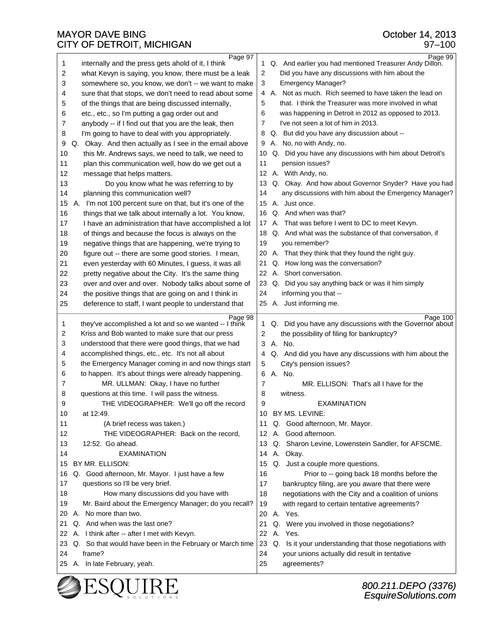| 1        | Page 97<br>internally and the press gets ahold of it, I think | 1.             | Page 99<br>Q. And earlier you had mentioned Treasurer Andy Dillon. |
|----------|---------------------------------------------------------------|----------------|--------------------------------------------------------------------|
| 2        | what Kevyn is saying, you know, there must be a leak          | $\overline{2}$ | Did you have any discussions with him about the                    |
| 3        | somewhere so, you know, we don't -- we want to make           | 3              | <b>Emergency Manager?</b>                                          |
| 4        | sure that that stops, we don't need to read about some        |                | 4 A. Not as much. Rich seemed to have taken the lead on            |
| 5        | of the things that are being discussed internally,            | 5              | that. I think the Treasurer was more involved in what              |
| 6        | etc., etc., so I'm putting a gag order out and                | 6              | was happening in Detroit in 2012 as opposed to 2013.               |
| 7        | anybody -- if I find out that you are the leak, then          | 7              | I've not seen a lot of him in 2013.                                |
| 8        | I'm going to have to deal with you appropriately.             | 8              | Q. But did you have any discussion about --                        |
| 9        | Q. Okay. And then actually as I see in the email above        | 9              | A. No, no with Andy, no.                                           |
| 10       | this Mr. Andrews says, we need to talk, we need to            | 10             | Q. Did you have any discussions with him about Detroit's           |
| 11       | plan this communication well, how do we get out a             | 11             | pension issues?                                                    |
| 12       | message that helps matters.                                   |                | 12 A. With Andy, no.                                               |
| 13       | Do you know what he was referring to by                       | 13             | Q. Okay. And how about Governor Snyder? Have you had               |
| 14       | planning this communication well?                             | 14             | any discussions with him about the Emergency Manager?              |
| 15       | A. I'm not 100 percent sure on that, but it's one of the      | 15             | A. Just once.                                                      |
| 16       | things that we talk about internally a lot. You know,         | 16             | Q. And when was that?                                              |
| 17       | I have an administration that have accomplished a lot         |                | 17 A. That was before I went to DC to meet Kevyn.                  |
| 18       | of things and because the focus is always on the              |                | 18 Q. And what was the substance of that conversation, if          |
| 19       | negative things that are happening, we're trying to           | 19             | you remember?                                                      |
| 20       | figure out -- there are some good stories. I mean,            | 20             | A. That they think that they found the right guy.                  |
| 21       | even yesterday with 60 Minutes, I guess, it was all           | 21             | Q. How long was the conversation?                                  |
| 22       | pretty negative about the City. It's the same thing           |                | 22 A. Short conversation.                                          |
| 23       | over and over and over. Nobody talks about some of            | 23             | Q. Did you say anything back or was it him simply                  |
| 24       | the positive things that are going on and I think in          | 24             | informing you that --                                              |
| 25       | deference to staff, I want people to understand that          |                | 25 A. Just informing me.                                           |
|          |                                                               |                |                                                                    |
|          |                                                               |                |                                                                    |
|          | Page 98                                                       |                | Page 100                                                           |
| 1        | they've accomplished a lot and so we wanted -- I think        | 1.             | Q. Did you have any discussions with the Governor about            |
| 2        | Kriss and Bob wanted to make sure that our press              | 2              | the possibility of filing for bankruptcy?                          |
| 3        | understood that there were good things, that we had           | 3              | A. No.                                                             |
| 4        | accomplished things, etc., etc. It's not all about            | 4              | Q. And did you have any discussions with him about the             |
| 5        | the Emergency Manager coming in and now things start          | 5              | City's pension issues?                                             |
| 6        | to happen. It's about things were already happening.          | 6              | A. No.                                                             |
| 7        | MR. ULLMAN: Okay, I have no further                           | 7              | MR. ELLISON: That's all I have for the                             |
| 8        | questions at this time. I will pass the witness.              | 8              | witness.                                                           |
| 9        | THE VIDEOGRAPHER: We'll go off the record                     | 9              | EXAMINATION                                                        |
| 10       | at 12:49.                                                     | 10             | BY MS. LEVINE:                                                     |
| 11       | (A brief recess was taken.)                                   | 11             | Q. Good afternoon, Mr. Mayor.                                      |
| 12       | THE VIDEOGRAPHER: Back on the record,                         | 12             | A. Good afternoon.                                                 |
| 13       | 12:52. Go ahead.                                              | 13             | Q. Sharon Levine, Lowenstein Sandler, for AFSCME.                  |
| 14       | <b>EXAMINATION</b>                                            | 14             | A. Okay.                                                           |
| 15       | BY MR. ELLISON:                                               | 15             | Q. Just a couple more questions.                                   |
| 16       | Q. Good afternoon, Mr. Mayor. I just have a few               | 16             | Prior to -- going back 18 months before the                        |
| 17       | questions so I'll be very brief.                              | 17             | bankruptcy filing, are you aware that there were                   |
| 18       | How many discussions did you have with                        | 18             | negotiations with the City and a coalition of unions               |
| 19       | Mr. Baird about the Emergency Manager; do you recall?         | 19             | with regard to certain tentative agreements?                       |
| 20       | A. No more than two.                                          | 20             | A. Yes.                                                            |
| 21       | Q. And when was the last one?                                 | 21             | Q. Were you involved in those negotiations?                        |
| 22       | A. I think after -- after I met with Kevyn.                   | 22             | A. Yes.                                                            |
| 23       | Q. So that would have been in the February or March time      | 23             | Q. Is it your understanding that those negotiations with           |
| 24<br>25 | frame?<br>A. In late February, yeah.                          | 24<br>25       | your unions actually did result in tentative<br>agreements?        |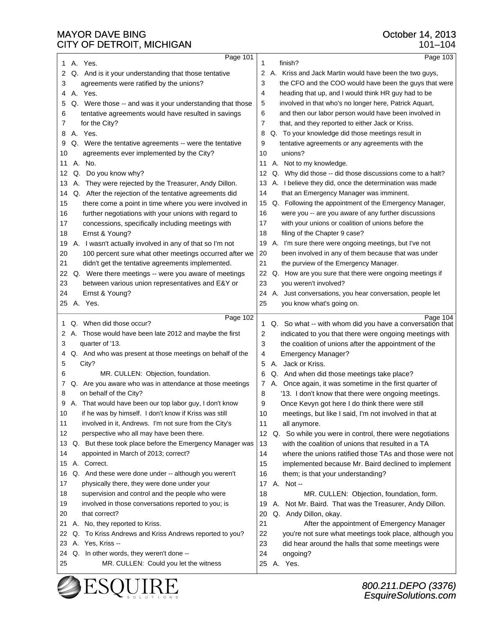| Page 101<br>Page 103<br>A. Yes.<br>finish?<br>1<br>1<br>Q. And is it your understanding that those tentative<br>2<br>A. Kriss and Jack Martin would have been the two guys,<br>2<br>3<br>agreements were ratified by the unions?<br>the CFO and the COO would have been the guys that were<br>3<br>A. Yes.<br>heading that up, and I would think HR guy had to be<br>4<br>4<br>Q. Were those -- and was it your understanding that those<br>5<br>involved in that who's no longer here, Patrick Aquart,<br>5<br>tentative agreements would have resulted in savings<br>6<br>and then our labor person would have been involved in<br>6<br>7<br>that, and they reported to either Jack or Kriss.<br>7<br>for the City?<br>A. Yes.<br>Q. To your knowledge did those meetings result in<br>8<br>8<br>9<br>tentative agreements or any agreements with the<br>Q. Were the tentative agreements -- were the tentative<br>9<br>unions?<br>10<br>agreements ever implemented by the City?<br>10<br>No.<br>A. Not to my knowledge.<br>11<br>А.<br>11<br>Q. Do you know why?<br>Q. Why did those -- did those discussions come to a halt?<br>12<br>12<br>A. They were rejected by the Treasurer, Andy Dillon.<br>A. I believe they did, once the determination was made<br>13<br>13<br>Q. After the rejection of the tentative agreements did<br>that an Emergency Manager was imminent.<br>14<br>14<br>15<br>there come a point in time where you were involved in<br>Q. Following the appointment of the Emergency Manager,<br>15<br>further negotiations with your unions with regard to<br>16<br>were you -- are you aware of any further discussions<br>16<br>17<br>concessions, specifically including meetings with<br>17<br>with your unions or coalition of unions before the<br>Ernst & Young?<br>18<br>18<br>filing of the Chapter 9 case?<br>A. I wasn't actually involved in any of that so I'm not<br>A. I'm sure there were ongoing meetings, but I've not<br>19<br>19<br>20<br>20<br>100 percent sure what other meetings occurred after we<br>been involved in any of them because that was under<br>21<br>21<br>didn't get the tentative agreements implemented.<br>the purview of the Emergency Manager.<br>Q. How are you sure that there were ongoing meetings if<br>22<br>Q. Were there meetings -- were you aware of meetings<br>22<br>23<br>between various union representatives and E&Y or<br>23<br>you weren't involved?<br>A. Just conversations, you hear conversation, people let<br>24<br>Ernst & Young?<br>24<br>A. Yes.<br>25<br>you know what's going on.<br>25<br>Page 104<br>Page 102<br>Q. When did those occur?<br>Q. So what -- with whom did you have a conversation that<br>1<br>1<br>A. Those would have been late 2012 and maybe the first<br>2<br>indicated to you that there were ongoing meetings with<br>2<br>3<br>the coalition of unions after the appointment of the<br>3<br>quarter of '13.<br>Q. And who was present at those meetings on behalf of the<br><b>Emergency Manager?</b><br>4<br>4<br>City?<br>5<br>Jack or Kriss.<br>5<br>А.<br>MR. CULLEN: Objection, foundation.<br>Q. And when did those meetings take place?<br>6<br>6<br>Q. Are you aware who was in attendance at those meetings<br>A. Once again, it was sometime in the first quarter of<br>7<br>7<br>on behalf of the City?<br>8<br>'13. I don't know that there were ongoing meetings.<br>8<br>9<br>A. That would have been our top labor guy. I don't know<br>9<br>Once Kevyn got here I do think there were still<br>if he was by himself. I don't know if Kriss was still<br>10<br>meetings, but like I said, I'm not involved in that at<br>10<br>11<br>involved in it, Andrews. I'm not sure from the City's<br>11<br>all anymore.<br>perspective who all may have been there.<br>12<br>12<br>Q. So while you were in control, there were negotiations<br>Q. But these took place before the Emergency Manager was<br>13<br>with the coalition of unions that resulted in a TA<br>13<br>14<br>appointed in March of 2013; correct?<br>14<br>where the unions ratified those TAs and those were not<br>A. Correct.<br>15<br>implemented because Mr. Baird declined to implement<br>15<br>Q. And these were done under -- although you weren't<br>16<br>16<br>them; is that your understanding?<br>physically there, they were done under your<br>17 A. Not --<br>17<br>supervision and control and the people who were<br>MR. CULLEN: Objection, foundation, form.<br>18<br>18 |
|-------------------------------------------------------------------------------------------------------------------------------------------------------------------------------------------------------------------------------------------------------------------------------------------------------------------------------------------------------------------------------------------------------------------------------------------------------------------------------------------------------------------------------------------------------------------------------------------------------------------------------------------------------------------------------------------------------------------------------------------------------------------------------------------------------------------------------------------------------------------------------------------------------------------------------------------------------------------------------------------------------------------------------------------------------------------------------------------------------------------------------------------------------------------------------------------------------------------------------------------------------------------------------------------------------------------------------------------------------------------------------------------------------------------------------------------------------------------------------------------------------------------------------------------------------------------------------------------------------------------------------------------------------------------------------------------------------------------------------------------------------------------------------------------------------------------------------------------------------------------------------------------------------------------------------------------------------------------------------------------------------------------------------------------------------------------------------------------------------------------------------------------------------------------------------------------------------------------------------------------------------------------------------------------------------------------------------------------------------------------------------------------------------------------------------------------------------------------------------------------------------------------------------------------------------------------------------------------------------------------------------------------------------------------------------------------------------------------------------------------------------------------------------------------------------------------------------------------------------------------------------------------------------------------------------------------------------------------------------------------------------------------------------------------------------------------------------------------------------------------------------------------------------------------------------------------------------------------------------------------------------------------------------------------------------------------------------------------------------------------------------------------------------------------------------------------------------------------------------------------------------------------------------------------------------------------------------------------------------------------------------------------------------------------------------------------------------------------------------------------------------------------------------------------------------------------------------------------------------------------------------------------------------------------------------------------------------------------------------------------------------------------------------------------------------------------------------------------------------------------------------------------------------------------------------------------------------------------------------------------------------------------------------------------------------------------------------------------------------------------------------------------------------------------------------------------------------------------------------------------------------|
|                                                                                                                                                                                                                                                                                                                                                                                                                                                                                                                                                                                                                                                                                                                                                                                                                                                                                                                                                                                                                                                                                                                                                                                                                                                                                                                                                                                                                                                                                                                                                                                                                                                                                                                                                                                                                                                                                                                                                                                                                                                                                                                                                                                                                                                                                                                                                                                                                                                                                                                                                                                                                                                                                                                                                                                                                                                                                                                                                                                                                                                                                                                                                                                                                                                                                                                                                                                                                                                                                                                                                                                                                                                                                                                                                                                                                                                                                                                                                                                                                                                                                                                                                                                                                                                                                                                                                                                                                                                                                                       |
|                                                                                                                                                                                                                                                                                                                                                                                                                                                                                                                                                                                                                                                                                                                                                                                                                                                                                                                                                                                                                                                                                                                                                                                                                                                                                                                                                                                                                                                                                                                                                                                                                                                                                                                                                                                                                                                                                                                                                                                                                                                                                                                                                                                                                                                                                                                                                                                                                                                                                                                                                                                                                                                                                                                                                                                                                                                                                                                                                                                                                                                                                                                                                                                                                                                                                                                                                                                                                                                                                                                                                                                                                                                                                                                                                                                                                                                                                                                                                                                                                                                                                                                                                                                                                                                                                                                                                                                                                                                                                                       |
|                                                                                                                                                                                                                                                                                                                                                                                                                                                                                                                                                                                                                                                                                                                                                                                                                                                                                                                                                                                                                                                                                                                                                                                                                                                                                                                                                                                                                                                                                                                                                                                                                                                                                                                                                                                                                                                                                                                                                                                                                                                                                                                                                                                                                                                                                                                                                                                                                                                                                                                                                                                                                                                                                                                                                                                                                                                                                                                                                                                                                                                                                                                                                                                                                                                                                                                                                                                                                                                                                                                                                                                                                                                                                                                                                                                                                                                                                                                                                                                                                                                                                                                                                                                                                                                                                                                                                                                                                                                                                                       |
|                                                                                                                                                                                                                                                                                                                                                                                                                                                                                                                                                                                                                                                                                                                                                                                                                                                                                                                                                                                                                                                                                                                                                                                                                                                                                                                                                                                                                                                                                                                                                                                                                                                                                                                                                                                                                                                                                                                                                                                                                                                                                                                                                                                                                                                                                                                                                                                                                                                                                                                                                                                                                                                                                                                                                                                                                                                                                                                                                                                                                                                                                                                                                                                                                                                                                                                                                                                                                                                                                                                                                                                                                                                                                                                                                                                                                                                                                                                                                                                                                                                                                                                                                                                                                                                                                                                                                                                                                                                                                                       |
|                                                                                                                                                                                                                                                                                                                                                                                                                                                                                                                                                                                                                                                                                                                                                                                                                                                                                                                                                                                                                                                                                                                                                                                                                                                                                                                                                                                                                                                                                                                                                                                                                                                                                                                                                                                                                                                                                                                                                                                                                                                                                                                                                                                                                                                                                                                                                                                                                                                                                                                                                                                                                                                                                                                                                                                                                                                                                                                                                                                                                                                                                                                                                                                                                                                                                                                                                                                                                                                                                                                                                                                                                                                                                                                                                                                                                                                                                                                                                                                                                                                                                                                                                                                                                                                                                                                                                                                                                                                                                                       |
|                                                                                                                                                                                                                                                                                                                                                                                                                                                                                                                                                                                                                                                                                                                                                                                                                                                                                                                                                                                                                                                                                                                                                                                                                                                                                                                                                                                                                                                                                                                                                                                                                                                                                                                                                                                                                                                                                                                                                                                                                                                                                                                                                                                                                                                                                                                                                                                                                                                                                                                                                                                                                                                                                                                                                                                                                                                                                                                                                                                                                                                                                                                                                                                                                                                                                                                                                                                                                                                                                                                                                                                                                                                                                                                                                                                                                                                                                                                                                                                                                                                                                                                                                                                                                                                                                                                                                                                                                                                                                                       |
|                                                                                                                                                                                                                                                                                                                                                                                                                                                                                                                                                                                                                                                                                                                                                                                                                                                                                                                                                                                                                                                                                                                                                                                                                                                                                                                                                                                                                                                                                                                                                                                                                                                                                                                                                                                                                                                                                                                                                                                                                                                                                                                                                                                                                                                                                                                                                                                                                                                                                                                                                                                                                                                                                                                                                                                                                                                                                                                                                                                                                                                                                                                                                                                                                                                                                                                                                                                                                                                                                                                                                                                                                                                                                                                                                                                                                                                                                                                                                                                                                                                                                                                                                                                                                                                                                                                                                                                                                                                                                                       |
|                                                                                                                                                                                                                                                                                                                                                                                                                                                                                                                                                                                                                                                                                                                                                                                                                                                                                                                                                                                                                                                                                                                                                                                                                                                                                                                                                                                                                                                                                                                                                                                                                                                                                                                                                                                                                                                                                                                                                                                                                                                                                                                                                                                                                                                                                                                                                                                                                                                                                                                                                                                                                                                                                                                                                                                                                                                                                                                                                                                                                                                                                                                                                                                                                                                                                                                                                                                                                                                                                                                                                                                                                                                                                                                                                                                                                                                                                                                                                                                                                                                                                                                                                                                                                                                                                                                                                                                                                                                                                                       |
|                                                                                                                                                                                                                                                                                                                                                                                                                                                                                                                                                                                                                                                                                                                                                                                                                                                                                                                                                                                                                                                                                                                                                                                                                                                                                                                                                                                                                                                                                                                                                                                                                                                                                                                                                                                                                                                                                                                                                                                                                                                                                                                                                                                                                                                                                                                                                                                                                                                                                                                                                                                                                                                                                                                                                                                                                                                                                                                                                                                                                                                                                                                                                                                                                                                                                                                                                                                                                                                                                                                                                                                                                                                                                                                                                                                                                                                                                                                                                                                                                                                                                                                                                                                                                                                                                                                                                                                                                                                                                                       |
|                                                                                                                                                                                                                                                                                                                                                                                                                                                                                                                                                                                                                                                                                                                                                                                                                                                                                                                                                                                                                                                                                                                                                                                                                                                                                                                                                                                                                                                                                                                                                                                                                                                                                                                                                                                                                                                                                                                                                                                                                                                                                                                                                                                                                                                                                                                                                                                                                                                                                                                                                                                                                                                                                                                                                                                                                                                                                                                                                                                                                                                                                                                                                                                                                                                                                                                                                                                                                                                                                                                                                                                                                                                                                                                                                                                                                                                                                                                                                                                                                                                                                                                                                                                                                                                                                                                                                                                                                                                                                                       |
|                                                                                                                                                                                                                                                                                                                                                                                                                                                                                                                                                                                                                                                                                                                                                                                                                                                                                                                                                                                                                                                                                                                                                                                                                                                                                                                                                                                                                                                                                                                                                                                                                                                                                                                                                                                                                                                                                                                                                                                                                                                                                                                                                                                                                                                                                                                                                                                                                                                                                                                                                                                                                                                                                                                                                                                                                                                                                                                                                                                                                                                                                                                                                                                                                                                                                                                                                                                                                                                                                                                                                                                                                                                                                                                                                                                                                                                                                                                                                                                                                                                                                                                                                                                                                                                                                                                                                                                                                                                                                                       |
|                                                                                                                                                                                                                                                                                                                                                                                                                                                                                                                                                                                                                                                                                                                                                                                                                                                                                                                                                                                                                                                                                                                                                                                                                                                                                                                                                                                                                                                                                                                                                                                                                                                                                                                                                                                                                                                                                                                                                                                                                                                                                                                                                                                                                                                                                                                                                                                                                                                                                                                                                                                                                                                                                                                                                                                                                                                                                                                                                                                                                                                                                                                                                                                                                                                                                                                                                                                                                                                                                                                                                                                                                                                                                                                                                                                                                                                                                                                                                                                                                                                                                                                                                                                                                                                                                                                                                                                                                                                                                                       |
|                                                                                                                                                                                                                                                                                                                                                                                                                                                                                                                                                                                                                                                                                                                                                                                                                                                                                                                                                                                                                                                                                                                                                                                                                                                                                                                                                                                                                                                                                                                                                                                                                                                                                                                                                                                                                                                                                                                                                                                                                                                                                                                                                                                                                                                                                                                                                                                                                                                                                                                                                                                                                                                                                                                                                                                                                                                                                                                                                                                                                                                                                                                                                                                                                                                                                                                                                                                                                                                                                                                                                                                                                                                                                                                                                                                                                                                                                                                                                                                                                                                                                                                                                                                                                                                                                                                                                                                                                                                                                                       |
|                                                                                                                                                                                                                                                                                                                                                                                                                                                                                                                                                                                                                                                                                                                                                                                                                                                                                                                                                                                                                                                                                                                                                                                                                                                                                                                                                                                                                                                                                                                                                                                                                                                                                                                                                                                                                                                                                                                                                                                                                                                                                                                                                                                                                                                                                                                                                                                                                                                                                                                                                                                                                                                                                                                                                                                                                                                                                                                                                                                                                                                                                                                                                                                                                                                                                                                                                                                                                                                                                                                                                                                                                                                                                                                                                                                                                                                                                                                                                                                                                                                                                                                                                                                                                                                                                                                                                                                                                                                                                                       |
|                                                                                                                                                                                                                                                                                                                                                                                                                                                                                                                                                                                                                                                                                                                                                                                                                                                                                                                                                                                                                                                                                                                                                                                                                                                                                                                                                                                                                                                                                                                                                                                                                                                                                                                                                                                                                                                                                                                                                                                                                                                                                                                                                                                                                                                                                                                                                                                                                                                                                                                                                                                                                                                                                                                                                                                                                                                                                                                                                                                                                                                                                                                                                                                                                                                                                                                                                                                                                                                                                                                                                                                                                                                                                                                                                                                                                                                                                                                                                                                                                                                                                                                                                                                                                                                                                                                                                                                                                                                                                                       |
|                                                                                                                                                                                                                                                                                                                                                                                                                                                                                                                                                                                                                                                                                                                                                                                                                                                                                                                                                                                                                                                                                                                                                                                                                                                                                                                                                                                                                                                                                                                                                                                                                                                                                                                                                                                                                                                                                                                                                                                                                                                                                                                                                                                                                                                                                                                                                                                                                                                                                                                                                                                                                                                                                                                                                                                                                                                                                                                                                                                                                                                                                                                                                                                                                                                                                                                                                                                                                                                                                                                                                                                                                                                                                                                                                                                                                                                                                                                                                                                                                                                                                                                                                                                                                                                                                                                                                                                                                                                                                                       |
|                                                                                                                                                                                                                                                                                                                                                                                                                                                                                                                                                                                                                                                                                                                                                                                                                                                                                                                                                                                                                                                                                                                                                                                                                                                                                                                                                                                                                                                                                                                                                                                                                                                                                                                                                                                                                                                                                                                                                                                                                                                                                                                                                                                                                                                                                                                                                                                                                                                                                                                                                                                                                                                                                                                                                                                                                                                                                                                                                                                                                                                                                                                                                                                                                                                                                                                                                                                                                                                                                                                                                                                                                                                                                                                                                                                                                                                                                                                                                                                                                                                                                                                                                                                                                                                                                                                                                                                                                                                                                                       |
|                                                                                                                                                                                                                                                                                                                                                                                                                                                                                                                                                                                                                                                                                                                                                                                                                                                                                                                                                                                                                                                                                                                                                                                                                                                                                                                                                                                                                                                                                                                                                                                                                                                                                                                                                                                                                                                                                                                                                                                                                                                                                                                                                                                                                                                                                                                                                                                                                                                                                                                                                                                                                                                                                                                                                                                                                                                                                                                                                                                                                                                                                                                                                                                                                                                                                                                                                                                                                                                                                                                                                                                                                                                                                                                                                                                                                                                                                                                                                                                                                                                                                                                                                                                                                                                                                                                                                                                                                                                                                                       |
|                                                                                                                                                                                                                                                                                                                                                                                                                                                                                                                                                                                                                                                                                                                                                                                                                                                                                                                                                                                                                                                                                                                                                                                                                                                                                                                                                                                                                                                                                                                                                                                                                                                                                                                                                                                                                                                                                                                                                                                                                                                                                                                                                                                                                                                                                                                                                                                                                                                                                                                                                                                                                                                                                                                                                                                                                                                                                                                                                                                                                                                                                                                                                                                                                                                                                                                                                                                                                                                                                                                                                                                                                                                                                                                                                                                                                                                                                                                                                                                                                                                                                                                                                                                                                                                                                                                                                                                                                                                                                                       |
|                                                                                                                                                                                                                                                                                                                                                                                                                                                                                                                                                                                                                                                                                                                                                                                                                                                                                                                                                                                                                                                                                                                                                                                                                                                                                                                                                                                                                                                                                                                                                                                                                                                                                                                                                                                                                                                                                                                                                                                                                                                                                                                                                                                                                                                                                                                                                                                                                                                                                                                                                                                                                                                                                                                                                                                                                                                                                                                                                                                                                                                                                                                                                                                                                                                                                                                                                                                                                                                                                                                                                                                                                                                                                                                                                                                                                                                                                                                                                                                                                                                                                                                                                                                                                                                                                                                                                                                                                                                                                                       |
|                                                                                                                                                                                                                                                                                                                                                                                                                                                                                                                                                                                                                                                                                                                                                                                                                                                                                                                                                                                                                                                                                                                                                                                                                                                                                                                                                                                                                                                                                                                                                                                                                                                                                                                                                                                                                                                                                                                                                                                                                                                                                                                                                                                                                                                                                                                                                                                                                                                                                                                                                                                                                                                                                                                                                                                                                                                                                                                                                                                                                                                                                                                                                                                                                                                                                                                                                                                                                                                                                                                                                                                                                                                                                                                                                                                                                                                                                                                                                                                                                                                                                                                                                                                                                                                                                                                                                                                                                                                                                                       |
|                                                                                                                                                                                                                                                                                                                                                                                                                                                                                                                                                                                                                                                                                                                                                                                                                                                                                                                                                                                                                                                                                                                                                                                                                                                                                                                                                                                                                                                                                                                                                                                                                                                                                                                                                                                                                                                                                                                                                                                                                                                                                                                                                                                                                                                                                                                                                                                                                                                                                                                                                                                                                                                                                                                                                                                                                                                                                                                                                                                                                                                                                                                                                                                                                                                                                                                                                                                                                                                                                                                                                                                                                                                                                                                                                                                                                                                                                                                                                                                                                                                                                                                                                                                                                                                                                                                                                                                                                                                                                                       |
|                                                                                                                                                                                                                                                                                                                                                                                                                                                                                                                                                                                                                                                                                                                                                                                                                                                                                                                                                                                                                                                                                                                                                                                                                                                                                                                                                                                                                                                                                                                                                                                                                                                                                                                                                                                                                                                                                                                                                                                                                                                                                                                                                                                                                                                                                                                                                                                                                                                                                                                                                                                                                                                                                                                                                                                                                                                                                                                                                                                                                                                                                                                                                                                                                                                                                                                                                                                                                                                                                                                                                                                                                                                                                                                                                                                                                                                                                                                                                                                                                                                                                                                                                                                                                                                                                                                                                                                                                                                                                                       |
|                                                                                                                                                                                                                                                                                                                                                                                                                                                                                                                                                                                                                                                                                                                                                                                                                                                                                                                                                                                                                                                                                                                                                                                                                                                                                                                                                                                                                                                                                                                                                                                                                                                                                                                                                                                                                                                                                                                                                                                                                                                                                                                                                                                                                                                                                                                                                                                                                                                                                                                                                                                                                                                                                                                                                                                                                                                                                                                                                                                                                                                                                                                                                                                                                                                                                                                                                                                                                                                                                                                                                                                                                                                                                                                                                                                                                                                                                                                                                                                                                                                                                                                                                                                                                                                                                                                                                                                                                                                                                                       |
|                                                                                                                                                                                                                                                                                                                                                                                                                                                                                                                                                                                                                                                                                                                                                                                                                                                                                                                                                                                                                                                                                                                                                                                                                                                                                                                                                                                                                                                                                                                                                                                                                                                                                                                                                                                                                                                                                                                                                                                                                                                                                                                                                                                                                                                                                                                                                                                                                                                                                                                                                                                                                                                                                                                                                                                                                                                                                                                                                                                                                                                                                                                                                                                                                                                                                                                                                                                                                                                                                                                                                                                                                                                                                                                                                                                                                                                                                                                                                                                                                                                                                                                                                                                                                                                                                                                                                                                                                                                                                                       |
|                                                                                                                                                                                                                                                                                                                                                                                                                                                                                                                                                                                                                                                                                                                                                                                                                                                                                                                                                                                                                                                                                                                                                                                                                                                                                                                                                                                                                                                                                                                                                                                                                                                                                                                                                                                                                                                                                                                                                                                                                                                                                                                                                                                                                                                                                                                                                                                                                                                                                                                                                                                                                                                                                                                                                                                                                                                                                                                                                                                                                                                                                                                                                                                                                                                                                                                                                                                                                                                                                                                                                                                                                                                                                                                                                                                                                                                                                                                                                                                                                                                                                                                                                                                                                                                                                                                                                                                                                                                                                                       |
|                                                                                                                                                                                                                                                                                                                                                                                                                                                                                                                                                                                                                                                                                                                                                                                                                                                                                                                                                                                                                                                                                                                                                                                                                                                                                                                                                                                                                                                                                                                                                                                                                                                                                                                                                                                                                                                                                                                                                                                                                                                                                                                                                                                                                                                                                                                                                                                                                                                                                                                                                                                                                                                                                                                                                                                                                                                                                                                                                                                                                                                                                                                                                                                                                                                                                                                                                                                                                                                                                                                                                                                                                                                                                                                                                                                                                                                                                                                                                                                                                                                                                                                                                                                                                                                                                                                                                                                                                                                                                                       |
|                                                                                                                                                                                                                                                                                                                                                                                                                                                                                                                                                                                                                                                                                                                                                                                                                                                                                                                                                                                                                                                                                                                                                                                                                                                                                                                                                                                                                                                                                                                                                                                                                                                                                                                                                                                                                                                                                                                                                                                                                                                                                                                                                                                                                                                                                                                                                                                                                                                                                                                                                                                                                                                                                                                                                                                                                                                                                                                                                                                                                                                                                                                                                                                                                                                                                                                                                                                                                                                                                                                                                                                                                                                                                                                                                                                                                                                                                                                                                                                                                                                                                                                                                                                                                                                                                                                                                                                                                                                                                                       |
|                                                                                                                                                                                                                                                                                                                                                                                                                                                                                                                                                                                                                                                                                                                                                                                                                                                                                                                                                                                                                                                                                                                                                                                                                                                                                                                                                                                                                                                                                                                                                                                                                                                                                                                                                                                                                                                                                                                                                                                                                                                                                                                                                                                                                                                                                                                                                                                                                                                                                                                                                                                                                                                                                                                                                                                                                                                                                                                                                                                                                                                                                                                                                                                                                                                                                                                                                                                                                                                                                                                                                                                                                                                                                                                                                                                                                                                                                                                                                                                                                                                                                                                                                                                                                                                                                                                                                                                                                                                                                                       |
|                                                                                                                                                                                                                                                                                                                                                                                                                                                                                                                                                                                                                                                                                                                                                                                                                                                                                                                                                                                                                                                                                                                                                                                                                                                                                                                                                                                                                                                                                                                                                                                                                                                                                                                                                                                                                                                                                                                                                                                                                                                                                                                                                                                                                                                                                                                                                                                                                                                                                                                                                                                                                                                                                                                                                                                                                                                                                                                                                                                                                                                                                                                                                                                                                                                                                                                                                                                                                                                                                                                                                                                                                                                                                                                                                                                                                                                                                                                                                                                                                                                                                                                                                                                                                                                                                                                                                                                                                                                                                                       |
|                                                                                                                                                                                                                                                                                                                                                                                                                                                                                                                                                                                                                                                                                                                                                                                                                                                                                                                                                                                                                                                                                                                                                                                                                                                                                                                                                                                                                                                                                                                                                                                                                                                                                                                                                                                                                                                                                                                                                                                                                                                                                                                                                                                                                                                                                                                                                                                                                                                                                                                                                                                                                                                                                                                                                                                                                                                                                                                                                                                                                                                                                                                                                                                                                                                                                                                                                                                                                                                                                                                                                                                                                                                                                                                                                                                                                                                                                                                                                                                                                                                                                                                                                                                                                                                                                                                                                                                                                                                                                                       |
|                                                                                                                                                                                                                                                                                                                                                                                                                                                                                                                                                                                                                                                                                                                                                                                                                                                                                                                                                                                                                                                                                                                                                                                                                                                                                                                                                                                                                                                                                                                                                                                                                                                                                                                                                                                                                                                                                                                                                                                                                                                                                                                                                                                                                                                                                                                                                                                                                                                                                                                                                                                                                                                                                                                                                                                                                                                                                                                                                                                                                                                                                                                                                                                                                                                                                                                                                                                                                                                                                                                                                                                                                                                                                                                                                                                                                                                                                                                                                                                                                                                                                                                                                                                                                                                                                                                                                                                                                                                                                                       |
|                                                                                                                                                                                                                                                                                                                                                                                                                                                                                                                                                                                                                                                                                                                                                                                                                                                                                                                                                                                                                                                                                                                                                                                                                                                                                                                                                                                                                                                                                                                                                                                                                                                                                                                                                                                                                                                                                                                                                                                                                                                                                                                                                                                                                                                                                                                                                                                                                                                                                                                                                                                                                                                                                                                                                                                                                                                                                                                                                                                                                                                                                                                                                                                                                                                                                                                                                                                                                                                                                                                                                                                                                                                                                                                                                                                                                                                                                                                                                                                                                                                                                                                                                                                                                                                                                                                                                                                                                                                                                                       |
|                                                                                                                                                                                                                                                                                                                                                                                                                                                                                                                                                                                                                                                                                                                                                                                                                                                                                                                                                                                                                                                                                                                                                                                                                                                                                                                                                                                                                                                                                                                                                                                                                                                                                                                                                                                                                                                                                                                                                                                                                                                                                                                                                                                                                                                                                                                                                                                                                                                                                                                                                                                                                                                                                                                                                                                                                                                                                                                                                                                                                                                                                                                                                                                                                                                                                                                                                                                                                                                                                                                                                                                                                                                                                                                                                                                                                                                                                                                                                                                                                                                                                                                                                                                                                                                                                                                                                                                                                                                                                                       |
|                                                                                                                                                                                                                                                                                                                                                                                                                                                                                                                                                                                                                                                                                                                                                                                                                                                                                                                                                                                                                                                                                                                                                                                                                                                                                                                                                                                                                                                                                                                                                                                                                                                                                                                                                                                                                                                                                                                                                                                                                                                                                                                                                                                                                                                                                                                                                                                                                                                                                                                                                                                                                                                                                                                                                                                                                                                                                                                                                                                                                                                                                                                                                                                                                                                                                                                                                                                                                                                                                                                                                                                                                                                                                                                                                                                                                                                                                                                                                                                                                                                                                                                                                                                                                                                                                                                                                                                                                                                                                                       |
|                                                                                                                                                                                                                                                                                                                                                                                                                                                                                                                                                                                                                                                                                                                                                                                                                                                                                                                                                                                                                                                                                                                                                                                                                                                                                                                                                                                                                                                                                                                                                                                                                                                                                                                                                                                                                                                                                                                                                                                                                                                                                                                                                                                                                                                                                                                                                                                                                                                                                                                                                                                                                                                                                                                                                                                                                                                                                                                                                                                                                                                                                                                                                                                                                                                                                                                                                                                                                                                                                                                                                                                                                                                                                                                                                                                                                                                                                                                                                                                                                                                                                                                                                                                                                                                                                                                                                                                                                                                                                                       |
|                                                                                                                                                                                                                                                                                                                                                                                                                                                                                                                                                                                                                                                                                                                                                                                                                                                                                                                                                                                                                                                                                                                                                                                                                                                                                                                                                                                                                                                                                                                                                                                                                                                                                                                                                                                                                                                                                                                                                                                                                                                                                                                                                                                                                                                                                                                                                                                                                                                                                                                                                                                                                                                                                                                                                                                                                                                                                                                                                                                                                                                                                                                                                                                                                                                                                                                                                                                                                                                                                                                                                                                                                                                                                                                                                                                                                                                                                                                                                                                                                                                                                                                                                                                                                                                                                                                                                                                                                                                                                                       |
|                                                                                                                                                                                                                                                                                                                                                                                                                                                                                                                                                                                                                                                                                                                                                                                                                                                                                                                                                                                                                                                                                                                                                                                                                                                                                                                                                                                                                                                                                                                                                                                                                                                                                                                                                                                                                                                                                                                                                                                                                                                                                                                                                                                                                                                                                                                                                                                                                                                                                                                                                                                                                                                                                                                                                                                                                                                                                                                                                                                                                                                                                                                                                                                                                                                                                                                                                                                                                                                                                                                                                                                                                                                                                                                                                                                                                                                                                                                                                                                                                                                                                                                                                                                                                                                                                                                                                                                                                                                                                                       |
|                                                                                                                                                                                                                                                                                                                                                                                                                                                                                                                                                                                                                                                                                                                                                                                                                                                                                                                                                                                                                                                                                                                                                                                                                                                                                                                                                                                                                                                                                                                                                                                                                                                                                                                                                                                                                                                                                                                                                                                                                                                                                                                                                                                                                                                                                                                                                                                                                                                                                                                                                                                                                                                                                                                                                                                                                                                                                                                                                                                                                                                                                                                                                                                                                                                                                                                                                                                                                                                                                                                                                                                                                                                                                                                                                                                                                                                                                                                                                                                                                                                                                                                                                                                                                                                                                                                                                                                                                                                                                                       |
|                                                                                                                                                                                                                                                                                                                                                                                                                                                                                                                                                                                                                                                                                                                                                                                                                                                                                                                                                                                                                                                                                                                                                                                                                                                                                                                                                                                                                                                                                                                                                                                                                                                                                                                                                                                                                                                                                                                                                                                                                                                                                                                                                                                                                                                                                                                                                                                                                                                                                                                                                                                                                                                                                                                                                                                                                                                                                                                                                                                                                                                                                                                                                                                                                                                                                                                                                                                                                                                                                                                                                                                                                                                                                                                                                                                                                                                                                                                                                                                                                                                                                                                                                                                                                                                                                                                                                                                                                                                                                                       |
|                                                                                                                                                                                                                                                                                                                                                                                                                                                                                                                                                                                                                                                                                                                                                                                                                                                                                                                                                                                                                                                                                                                                                                                                                                                                                                                                                                                                                                                                                                                                                                                                                                                                                                                                                                                                                                                                                                                                                                                                                                                                                                                                                                                                                                                                                                                                                                                                                                                                                                                                                                                                                                                                                                                                                                                                                                                                                                                                                                                                                                                                                                                                                                                                                                                                                                                                                                                                                                                                                                                                                                                                                                                                                                                                                                                                                                                                                                                                                                                                                                                                                                                                                                                                                                                                                                                                                                                                                                                                                                       |
|                                                                                                                                                                                                                                                                                                                                                                                                                                                                                                                                                                                                                                                                                                                                                                                                                                                                                                                                                                                                                                                                                                                                                                                                                                                                                                                                                                                                                                                                                                                                                                                                                                                                                                                                                                                                                                                                                                                                                                                                                                                                                                                                                                                                                                                                                                                                                                                                                                                                                                                                                                                                                                                                                                                                                                                                                                                                                                                                                                                                                                                                                                                                                                                                                                                                                                                                                                                                                                                                                                                                                                                                                                                                                                                                                                                                                                                                                                                                                                                                                                                                                                                                                                                                                                                                                                                                                                                                                                                                                                       |
|                                                                                                                                                                                                                                                                                                                                                                                                                                                                                                                                                                                                                                                                                                                                                                                                                                                                                                                                                                                                                                                                                                                                                                                                                                                                                                                                                                                                                                                                                                                                                                                                                                                                                                                                                                                                                                                                                                                                                                                                                                                                                                                                                                                                                                                                                                                                                                                                                                                                                                                                                                                                                                                                                                                                                                                                                                                                                                                                                                                                                                                                                                                                                                                                                                                                                                                                                                                                                                                                                                                                                                                                                                                                                                                                                                                                                                                                                                                                                                                                                                                                                                                                                                                                                                                                                                                                                                                                                                                                                                       |
| Not Mr. Baird. That was the Treasurer, Andy Dillon.<br>19<br>involved in those conversations reported to you; is<br>19<br>А.                                                                                                                                                                                                                                                                                                                                                                                                                                                                                                                                                                                                                                                                                                                                                                                                                                                                                                                                                                                                                                                                                                                                                                                                                                                                                                                                                                                                                                                                                                                                                                                                                                                                                                                                                                                                                                                                                                                                                                                                                                                                                                                                                                                                                                                                                                                                                                                                                                                                                                                                                                                                                                                                                                                                                                                                                                                                                                                                                                                                                                                                                                                                                                                                                                                                                                                                                                                                                                                                                                                                                                                                                                                                                                                                                                                                                                                                                                                                                                                                                                                                                                                                                                                                                                                                                                                                                                          |
| 20<br>that correct?<br>Q. Andy Dillon, okay.<br>20                                                                                                                                                                                                                                                                                                                                                                                                                                                                                                                                                                                                                                                                                                                                                                                                                                                                                                                                                                                                                                                                                                                                                                                                                                                                                                                                                                                                                                                                                                                                                                                                                                                                                                                                                                                                                                                                                                                                                                                                                                                                                                                                                                                                                                                                                                                                                                                                                                                                                                                                                                                                                                                                                                                                                                                                                                                                                                                                                                                                                                                                                                                                                                                                                                                                                                                                                                                                                                                                                                                                                                                                                                                                                                                                                                                                                                                                                                                                                                                                                                                                                                                                                                                                                                                                                                                                                                                                                                                    |
| 21<br>A. No, they reported to Kriss.<br>21<br>After the appointment of Emergency Manager                                                                                                                                                                                                                                                                                                                                                                                                                                                                                                                                                                                                                                                                                                                                                                                                                                                                                                                                                                                                                                                                                                                                                                                                                                                                                                                                                                                                                                                                                                                                                                                                                                                                                                                                                                                                                                                                                                                                                                                                                                                                                                                                                                                                                                                                                                                                                                                                                                                                                                                                                                                                                                                                                                                                                                                                                                                                                                                                                                                                                                                                                                                                                                                                                                                                                                                                                                                                                                                                                                                                                                                                                                                                                                                                                                                                                                                                                                                                                                                                                                                                                                                                                                                                                                                                                                                                                                                                              |
| To Kriss Andrews and Kriss Andrews reported to you?<br>22<br>22<br>you're not sure what meetings took place, although you<br>Q.                                                                                                                                                                                                                                                                                                                                                                                                                                                                                                                                                                                                                                                                                                                                                                                                                                                                                                                                                                                                                                                                                                                                                                                                                                                                                                                                                                                                                                                                                                                                                                                                                                                                                                                                                                                                                                                                                                                                                                                                                                                                                                                                                                                                                                                                                                                                                                                                                                                                                                                                                                                                                                                                                                                                                                                                                                                                                                                                                                                                                                                                                                                                                                                                                                                                                                                                                                                                                                                                                                                                                                                                                                                                                                                                                                                                                                                                                                                                                                                                                                                                                                                                                                                                                                                                                                                                                                       |
| Yes, Kriss --<br>23<br>23<br>А.<br>did hear around the halls that some meetings were                                                                                                                                                                                                                                                                                                                                                                                                                                                                                                                                                                                                                                                                                                                                                                                                                                                                                                                                                                                                                                                                                                                                                                                                                                                                                                                                                                                                                                                                                                                                                                                                                                                                                                                                                                                                                                                                                                                                                                                                                                                                                                                                                                                                                                                                                                                                                                                                                                                                                                                                                                                                                                                                                                                                                                                                                                                                                                                                                                                                                                                                                                                                                                                                                                                                                                                                                                                                                                                                                                                                                                                                                                                                                                                                                                                                                                                                                                                                                                                                                                                                                                                                                                                                                                                                                                                                                                                                                  |
|                                                                                                                                                                                                                                                                                                                                                                                                                                                                                                                                                                                                                                                                                                                                                                                                                                                                                                                                                                                                                                                                                                                                                                                                                                                                                                                                                                                                                                                                                                                                                                                                                                                                                                                                                                                                                                                                                                                                                                                                                                                                                                                                                                                                                                                                                                                                                                                                                                                                                                                                                                                                                                                                                                                                                                                                                                                                                                                                                                                                                                                                                                                                                                                                                                                                                                                                                                                                                                                                                                                                                                                                                                                                                                                                                                                                                                                                                                                                                                                                                                                                                                                                                                                                                                                                                                                                                                                                                                                                                                       |
| Q.<br>In other words, they weren't done --<br>24<br>ongoing?<br>24                                                                                                                                                                                                                                                                                                                                                                                                                                                                                                                                                                                                                                                                                                                                                                                                                                                                                                                                                                                                                                                                                                                                                                                                                                                                                                                                                                                                                                                                                                                                                                                                                                                                                                                                                                                                                                                                                                                                                                                                                                                                                                                                                                                                                                                                                                                                                                                                                                                                                                                                                                                                                                                                                                                                                                                                                                                                                                                                                                                                                                                                                                                                                                                                                                                                                                                                                                                                                                                                                                                                                                                                                                                                                                                                                                                                                                                                                                                                                                                                                                                                                                                                                                                                                                                                                                                                                                                                                                    |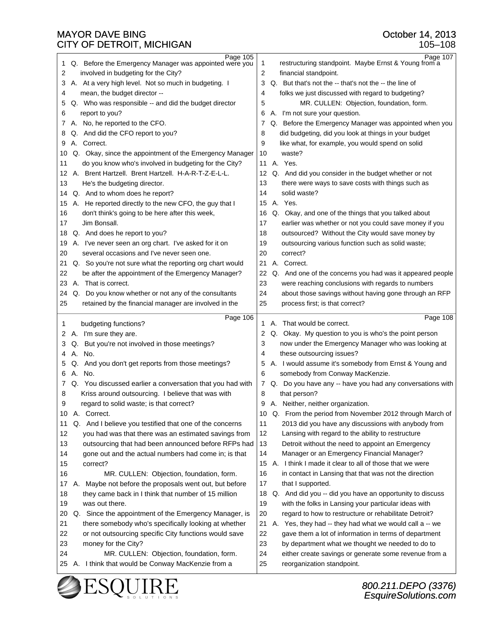| 1  |    | Page 105<br>Q. Before the Emergency Manager was appointed were you | $\mathbf{1}$ |    | Page 107<br>restructuring standpoint. Maybe Ernst & Young from a |
|----|----|--------------------------------------------------------------------|--------------|----|------------------------------------------------------------------|
| 2  |    | involved in budgeting for the City?                                | 2            |    | financial standpoint.                                            |
| 3  |    | A. At a very high level. Not so much in budgeting. I               | 3            |    | Q. But that's not the -- that's not the -- the line of           |
| 4  |    | mean, the budget director --                                       | 4            |    | folks we just discussed with regard to budgeting?                |
| 5  |    | Q. Who was responsible -- and did the budget director              | 5            |    | MR. CULLEN: Objection, foundation, form.                         |
| 6  |    | report to you?                                                     | 6            |    | A. I'm not sure your question.                                   |
| 7  |    | A. No, he reported to the CFO.                                     | 7            |    | Q. Before the Emergency Manager was appointed when you           |
| 8  |    | Q. And did the CFO report to you?                                  | 8            |    | did budgeting, did you look at things in your budget             |
| 9  |    | A. Correct.                                                        | 9            |    | like what, for example, you would spend on solid                 |
| 10 |    | Q. Okay, since the appointment of the Emergency Manager            | 10           |    | waste?                                                           |
| 11 |    | do you know who's involved in budgeting for the City?              | 11           |    | A. Yes.                                                          |
| 12 |    | A. Brent Hartzell. Brent Hartzell. H-A-R-T-Z-E-L-L.                | 12           |    | Q. And did you consider in the budget whether or not             |
| 13 |    | He's the budgeting director.                                       | 13           |    | there were ways to save costs with things such as                |
| 14 |    | Q. And to whom does he report?                                     | 14           |    | solid waste?                                                     |
| 15 |    | A. He reported directly to the new CFO, the guy that I             | 15           |    | A. Yes.                                                          |
| 16 |    | don't think's going to be here after this week,                    | 16           |    | Q. Okay, and one of the things that you talked about             |
| 17 |    | Jim Bonsall.                                                       | 17           |    | earlier was whether or not you could save money if you           |
| 18 |    | Q. And does he report to you?                                      | 18           |    | outsourced? Without the City would save money by                 |
| 19 |    | A. I've never seen an org chart. I've asked for it on              | 19           |    | outsourcing various function such as solid waste;                |
| 20 |    | several occasions and I've never seen one.                         | 20           |    | correct?                                                         |
| 21 |    | Q. So you're not sure what the reporting org chart would           | 21           |    | A. Correct.                                                      |
| 22 |    | be after the appointment of the Emergency Manager?                 | 22           |    | Q. And one of the concerns you had was it appeared people        |
| 23 |    | A. That is correct.                                                | 23           |    | were reaching conclusions with regards to numbers                |
| 24 |    | Q. Do you know whether or not any of the consultants               | 24           |    | about those savings without having gone through an RFP           |
| 25 |    | retained by the financial manager are involved in the              | 25           |    | process first; is that correct?                                  |
|    |    | Page 106                                                           |              |    | Page 108                                                         |
| 1  |    | budgeting functions?                                               | 1            |    | A. That would be correct.                                        |
|    |    | 2 A. I'm sure they are.                                            | 2            |    | Q. Okay. My question to you is who's the point person            |
| 3  | Q. | But you're not involved in those meetings?                         | 3            |    | now under the Emergency Manager who was looking at               |
| 4  |    | A. No.                                                             | 4            |    | these outsourcing issues?                                        |
| 5  |    |                                                                    |              |    |                                                                  |
| 6  |    | Q. And you don't get reports from those meetings?                  | 5            |    | A. I would assume it's somebody from Ernst & Young and           |
|    |    | A. No.                                                             | 6            |    | somebody from Conway MacKenzie.                                  |
| 7  |    | Q. You discussed earlier a conversation that you had with          | $\mathbf{7}$ |    | Q. Do you have any -- have you had any conversations with        |
| 8  |    | Kriss around outsourcing. I believe that was with                  | 8            |    | that person?                                                     |
| 9  |    | regard to solid waste; is that correct?                            |              |    | 9 A. Neither, neither organization.                              |
| 10 |    | A. Correct.                                                        |              |    | 10 Q. From the period from November 2012 through March of        |
| 11 |    | Q. And I believe you testified that one of the concerns            | 11           |    | 2013 did you have any discussions with anybody from              |
| 12 |    | you had was that there was an estimated savings from               | 12           |    | Lansing with regard to the ability to restructure                |
| 13 |    | outsourcing that had been announced before RFPs had                | 13           |    | Detroit without the need to appoint an Emergency                 |
| 14 |    | gone out and the actual numbers had come in; is that               | 14           |    | Manager or an Emergency Financial Manager?                       |
| 15 |    | correct?                                                           |              |    | 15 A. I think I made it clear to all of those that we were       |
| 16 |    | MR. CULLEN: Objection, foundation, form.                           | 16           |    | in contact in Lansing that that was not the direction            |
| 17 | А. | Maybe not before the proposals went out, but before                | 17           |    | that I supported.                                                |
| 18 |    | they came back in I think that number of 15 million                | 18           |    | Q. And did you -- did you have an opportunity to discuss         |
| 19 |    | was out there.                                                     | 19           |    | with the folks in Lansing your particular ideas with             |
| 20 |    | Q. Since the appointment of the Emergency Manager, is              | 20           |    | regard to how to restructure or rehabilitate Detroit?            |
| 21 |    | there somebody who's specifically looking at whether               | 21           | А. | Yes, they had -- they had what we would call a -- we             |
| 22 |    | or not outsourcing specific City functions would save              | 22           |    | gave them a lot of information in terms of department            |
| 23 |    | money for the City?                                                | 23           |    | by department what we thought we needed to do to                 |
| 24 |    | MR. CULLEN: Objection, foundation, form.                           | 24           |    | either create savings or generate some revenue from a            |
| 25 |    | A. I think that would be Conway MacKenzie from a                   | 25           |    | reorganization standpoint.                                       |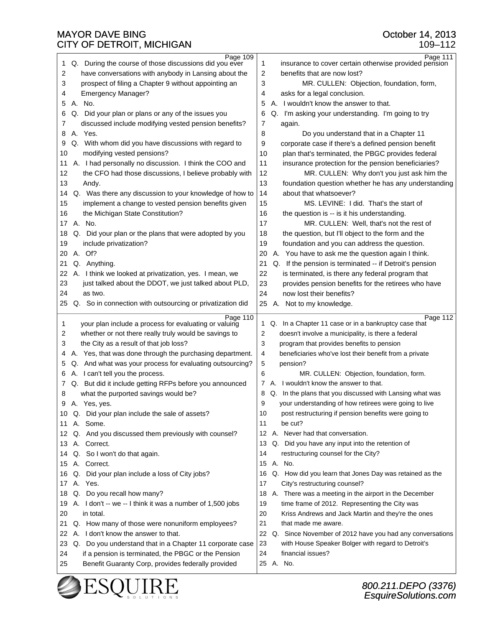109–112

| Page 109                                                  | Page 111                                                    |
|-----------------------------------------------------------|-------------------------------------------------------------|
| Q. During the course of those discussions did you ever    | 1                                                           |
| 1                                                         | insurance to cover certain otherwise provided pension       |
| 2                                                         | 2                                                           |
| have conversations with anybody in Lansing about the      | benefits that are now lost?                                 |
| 3                                                         | 3                                                           |
| prospect of filing a Chapter 9 without appointing an      | MR. CULLEN: Objection, foundation, form,                    |
|                                                           |                                                             |
| <b>Emergency Manager?</b>                                 | asks for a legal conclusion.                                |
| 4                                                         | 4                                                           |
| A. No.                                                    | A. I wouldn't know the answer to that.                      |
| 5                                                         | 5                                                           |
| 6                                                         | Q. I'm asking your understanding. I'm going to try          |
| Q. Did your plan or plans or any of the issues you        | 6                                                           |
| discussed include modifying vested pension benefits?      | 7                                                           |
| 7                                                         | again.                                                      |
| A. Yes.                                                   | 8                                                           |
| 8                                                         | Do you understand that in a Chapter 11                      |
| Q. With whom did you have discussions with regard to      | 9                                                           |
| 9                                                         | corporate case if there's a defined pension benefit         |
| modifying vested pensions?                                | 10                                                          |
| 10                                                        | plan that's terminated, the PBGC provides federal           |
| A. I had personally no discussion. I think the COO and    | 11                                                          |
| 11                                                        | insurance protection for the pension beneficiaries?         |
| 12                                                        | 12                                                          |
| the CFO had those discussions, I believe probably with    | MR. CULLEN: Why don't you just ask him the                  |
| 13                                                        | 13<br>foundation question whether he has any understanding  |
| Andy.                                                     |                                                             |
| Q. Was there any discussion to your knowledge of how to   | 14                                                          |
| 14                                                        | about that whatsoever?                                      |
| 15                                                        | MS. LEVINE: I did. That's the start of                      |
| implement a change to vested pension benefits given       | 15                                                          |
| 16                                                        | 16                                                          |
| the Michigan State Constitution?                          | the question is -- is it his understanding.                 |
| A. No.                                                    | 17                                                          |
| 17                                                        | MR. CULLEN: Well, that's not the rest of                    |
| Q. Did your plan or the plans that were adopted by you    | 18                                                          |
| 18                                                        | the question, but I'll object to the form and the           |
| 19                                                        | 19                                                          |
| include privatization?                                    | foundation and you can address the question.                |
| A. Of?                                                    | A. You have to ask me the question again I think.           |
| 20                                                        | 20                                                          |
| Q. Anything.                                              | 21                                                          |
| 21                                                        | Q. If the pension is terminated -- if Detroit's pension     |
| 22                                                        | 22                                                          |
| A. I think we looked at privatization, yes. I mean, we    | is terminated, is there any federal program that            |
| 23                                                        | 23                                                          |
| just talked about the DDOT, we just talked about PLD,     | provides pension benefits for the retirees who have         |
| 24                                                        | 24                                                          |
| as two.                                                   | now lost their benefits?                                    |
| 25                                                        | 25<br>A. Not to my knowledge.                               |
|                                                           |                                                             |
| Q. So in connection with outsourcing or privatization did |                                                             |
| Page 110                                                  | Page $112$                                                  |
| your plan include a process for evaluating or valuing     | Q. In a Chapter 11 case or in a bankruptcy case that        |
| 1                                                         | $\mathbf{1}$                                                |
| whether or not there really truly would be savings to     | doesn't involve a municipality, is there a federal          |
| 2                                                         | 2                                                           |
| 3                                                         | 3                                                           |
| the City as a result of that job loss?                    | program that provides benefits to pension                   |
| A. Yes, that was done through the purchasing department.  | 4                                                           |
| 4                                                         | beneficiaries who've lost their benefit from a private      |
| Q. And what was your process for evaluating outsourcing?  | 5                                                           |
| 5                                                         | pension?                                                    |
| A. I can't tell you the process.                          | 6                                                           |
| 6                                                         | MR. CULLEN: Objection, foundation, form.                    |
| Q. But did it include getting RFPs before you announced   | A. I wouldn't know the answer to that.                      |
| 7                                                         | 7                                                           |
| what the purported savings would be?                      | Q. In the plans that you discussed with Lansing what was    |
| 8                                                         | 8                                                           |
| 9                                                         | 9                                                           |
| A. Yes, yes.                                              | your understanding of how retirees were going to live       |
| 10 Q. Did your plan include the sale of assets?           | post restructuring if pension benefits were going to<br>10  |
| 11 A. Some.                                               | 11<br>be cut?                                               |
| 12 Q. And you discussed them previously with counsel?     | 12 A. Never had that conversation.                          |
| A. Correct.<br>13                                         |                                                             |
|                                                           | 13 Q. Did you have any input into the retention of          |
| Q. So I won't do that again.                              | 14                                                          |
| 14                                                        | restructuring counsel for the City?                         |
| A. Correct.<br>15                                         | 15 A. No.                                                   |
| Q. Did your plan include a loss of City jobs?             | Q. How did you learn that Jones Day was retained as the     |
| 16                                                        | 16                                                          |
| A. Yes.                                                   | City's restructuring counsel?                               |
| 17                                                        | 17                                                          |
| Q. Do you recall how many?<br>18                          | 18 A. There was a meeting in the airport in the December    |
| A. I don't -- we -- I think it was a number of 1,500 jobs | 19                                                          |
| 19                                                        | time frame of 2012. Representing the City was               |
| 20                                                        | 20                                                          |
| in total.                                                 | Kriss Andrews and Jack Martin and they're the ones          |
| Q. How many of those were nonuniform employees?           | 21                                                          |
| 21                                                        | that made me aware.                                         |
| A. I don't know the answer to that.<br>22                 | 22 Q. Since November of 2012 have you had any conversations |
| 23                                                        | 23                                                          |
| Q. Do you understand that in a Chapter 11 corporate case  | with House Speaker Bolger with regard to Detroit's          |
| if a pension is terminated, the PBGC or the Pension       | financial issues?                                           |
| 24                                                        | 24                                                          |
| Benefit Guaranty Corp, provides federally provided<br>25  | 25 A. No.                                                   |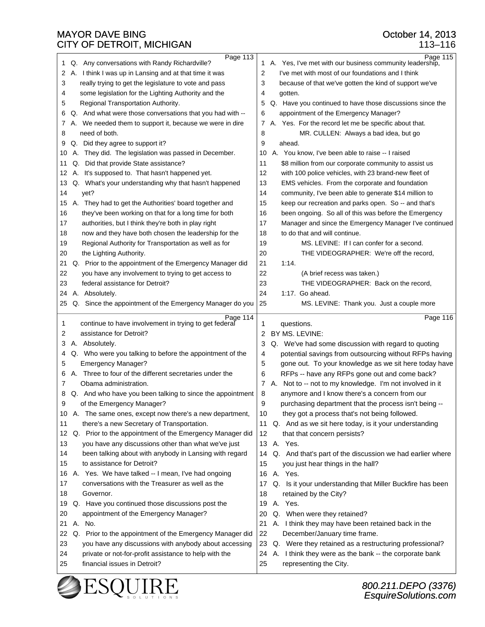25 financial issues in Detroit?

EsquireSolutions.com

|    | CITY OF DETROIT, MICHIGAN                                         |    | 113-116                                                    |
|----|-------------------------------------------------------------------|----|------------------------------------------------------------|
|    | Page 113<br>Q. Any conversations with Randy Richardville?         |    | Page $115$                                                 |
| 1  |                                                                   |    | 1 A. Yes, I've met with our business community leadership, |
| 2  | A. I think I was up in Lansing and at that time it was            | 2  | I've met with most of our foundations and I think          |
| 3  | really trying to get the legislature to vote and pass             | 3  | because of that we've gotten the kind of support we've     |
| 4  | some legislation for the Lighting Authority and the               | 4  | gotten.                                                    |
| 5  | Regional Transportation Authority.                                | 5  | Q. Have you continued to have those discussions since the  |
| 6  | Q. And what were those conversations that you had with --         | 6  | appointment of the Emergency Manager?                      |
| 7  | A. We needed them to support it, because we were in dire          | 7  | A. Yes. For the record let me be specific about that.      |
| 8  | need of both.                                                     | 8  | MR. CULLEN: Always a bad idea, but go                      |
| 9  | Q. Did they agree to support it?                                  | 9  | ahead.                                                     |
| 10 | A. They did. The legislation was passed in December.              | 10 | A. You know, I've been able to raise -- I raised           |
| 11 | Q. Did that provide State assistance?                             | 11 | \$8 million from our corporate community to assist us      |
| 12 | A. It's supposed to. That hasn't happened yet.                    | 12 | with 100 police vehicles, with 23 brand-new fleet of       |
| 13 | Q. What's your understanding why that hasn't happened             | 13 | EMS vehicles. From the corporate and foundation            |
| 14 | yet?                                                              | 14 | community, I've been able to generate \$14 million to      |
|    | 15 A. They had to get the Authorities' board together and         | 15 | keep our recreation and parks open. So -- and that's       |
| 16 | they've been working on that for a long time for both             | 16 | been ongoing. So all of this was before the Emergency      |
| 17 | authorities, but I think they're both in play right               | 17 | Manager and since the Emergency Manager I've continued     |
| 18 | now and they have both chosen the leadership for the              | 18 | to do that and will continue.                              |
| 19 | Regional Authority for Transportation as well as for              | 19 | MS. LEVINE: If I can confer for a second.                  |
| 20 | the Lighting Authority.                                           | 20 | THE VIDEOGRAPHER: We're off the record,                    |
| 21 | Q. Prior to the appointment of the Emergency Manager did          | 21 | 1:14.                                                      |
| 22 | you have any involvement to trying to get access to               | 22 | (A brief recess was taken.)                                |
| 23 | federal assistance for Detroit?                                   | 23 | THE VIDEOGRAPHER: Back on the record,                      |
| 24 | A. Absolutely.                                                    | 24 | 1:17. Go ahead.                                            |
| 25 | Q. Since the appointment of the Emergency Manager do you          | 25 | MS. LEVINE: Thank you. Just a couple more                  |
| 1  | Page 114<br>continue to have involvement in trying to get federal | 1  | Page 116                                                   |
| 2  | assistance for Detroit?                                           | 2  | questions.<br>BY MS. LEVINE:                               |
| 3  | A. Absolutely.                                                    | 3  | Q. We've had some discussion with regard to quoting        |
| 4  | Q. Who were you talking to before the appointment of the          | 4  | potential savings from outsourcing without RFPs having     |
| 5  | <b>Emergency Manager?</b>                                         | 5  | gone out. To your knowledge as we sit here today have      |
| 6  | A. Three to four of the different secretaries under the           | 6  | RFPs -- have any RFPs gone out and come back?              |
| 7  | Obama administration.                                             |    | 7 A. Not to -- not to my knowledge. I'm not involved in it |
| 8  | Q. And who have you been talking to since the appointment         | 8  | anymore and I know there's a concern from our              |
| 9  | of the Emergency Manager?                                         | 9  | purchasing department that the process isn't being --      |
| 10 | A. The same ones, except now there's a new department,            | 10 | they got a process that's not being followed.              |
| 11 | there's a new Secretary of Transportation.                        | 11 | Q. And as we sit here today, is it your understanding      |
| 12 | Q. Prior to the appointment of the Emergency Manager did          | 12 | that that concern persists?                                |
| 13 | you have any discussions other than what we've just               | 13 | A. Yes.                                                    |
| 14 | been talking about with anybody in Lansing with regard            | 14 | Q. And that's part of the discussion we had earlier where  |
| 15 | to assistance for Detroit?                                        | 15 | you just hear things in the hall?                          |
| 16 | A. Yes. We have talked -- I mean, I've had ongoing                | 16 | A. Yes.                                                    |
| 17 | conversations with the Treasurer as well as the                   | 17 | Q. Is it your understanding that Miller Buckfire has been  |
| 18 | Governor.                                                         | 18 | retained by the City?                                      |
| 19 | Q. Have you continued those discussions post the                  | 19 | A. Yes.                                                    |
| 20 | appointment of the Emergency Manager?                             | 20 | Q. When were they retained?                                |
| 21 | A. No.                                                            | 21 | A. I think they may have been retained back in the         |
| 22 | Q. Prior to the appointment of the Emergency Manager did          | 22 | December/January time frame.                               |
| 23 | you have any discussions with anybody about accessing             | 23 | Q. Were they retained as a restructuring professional?     |
| 24 | private or not-for-profit assistance to help with the             |    | 24 A. I think they were as the bank -- the corporate bank  |
|    |                                                                   |    |                                                            |

25 representing the City.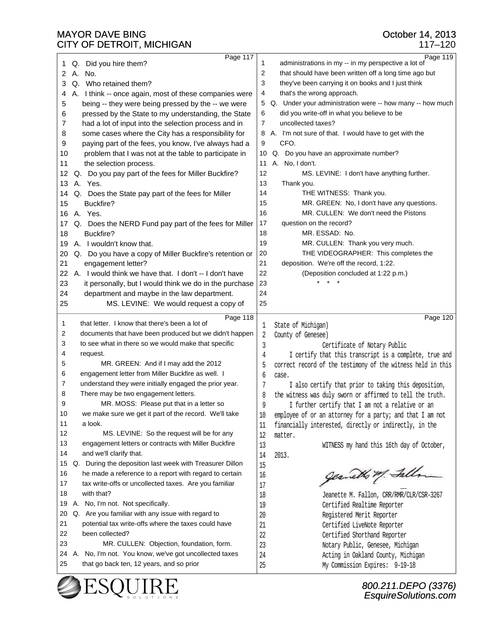|                                                                 | $117 - 120$                                                  |
|-----------------------------------------------------------------|--------------------------------------------------------------|
| Page 117                                                        | Page 119                                                     |
| Q. Did you hire them?                                           | administrations in my -- in my perspective a lot of          |
| 1                                                               | 1                                                            |
| A. No.                                                          | that should have been written off a long time ago but        |
| 2                                                               | 2                                                            |
| Q. Who retained them?                                           | they've been carrying it on books and I just think           |
| 3                                                               | 3                                                            |
| A. I think -- once again, most of these companies were          | 4                                                            |
| 4                                                               | that's the wrong approach.                                   |
| 5                                                               | Q. Under your administration were -- how many -- how much    |
| being -- they were being pressed by the -- we were              | 5                                                            |
| pressed by the State to my understanding, the State             | did you write-off in what you believe to be                  |
| 6                                                               | 6                                                            |
| had a lot of input into the selection process and in            | uncollected taxes?                                           |
| 7                                                               | 7                                                            |
| some cases where the City has a responsibility for              | A. I'm not sure of that. I would have to get with the        |
| 8                                                               | 8                                                            |
| paying part of the fees, you know, I've always had a            | 9                                                            |
| 9                                                               | CFO.                                                         |
| 10                                                              | Q. Do you have an approximate number?                        |
| problem that I was not at the table to participate in           | 10                                                           |
| 11                                                              | A. No, I don't.                                              |
| the selection process.                                          | 11                                                           |
| Q. Do you pay part of the fees for Miller Buckfire?             | 12                                                           |
| 12                                                              | MS. LEVINE: I don't have anything further.                   |
| A. Yes.                                                         | 13                                                           |
| 13                                                              | Thank you.                                                   |
| Q. Does the State pay part of the fees for Miller               | THE WITNESS: Thank you.                                      |
| 14                                                              | 14                                                           |
| Buckfire?                                                       | MR. GREEN: No, I don't have any questions.                   |
| 15                                                              | 15                                                           |
| A. Yes.                                                         | 16                                                           |
| 16                                                              | MR. CULLEN: We don't need the Pistons                        |
| Q. Does the NERD Fund pay part of the fees for Miller           | 17                                                           |
| 17                                                              | question on the record?                                      |
| Buckfire?                                                       | 18                                                           |
| 18                                                              | MR. ESSAD: No.                                               |
| A. I wouldn't know that.                                        | 19                                                           |
| 19                                                              | MR. CULLEN: Thank you very much.                             |
| 20                                                              | 20                                                           |
| Q. Do you have a copy of Miller Buckfire's retention or         | THE VIDEOGRAPHER: This completes the                         |
| 21                                                              | 21                                                           |
| engagement letter?                                              | deposition. We're off the record, 1:22.                      |
| 22                                                              | 22                                                           |
| A. I would think we have that. I don't -- I don't have          | (Deposition concluded at 1:22 p.m.)                          |
| 23<br>it personally, but I would think we do in the purchase    | 23                                                           |
| 24<br>department and maybe in the law department.               | 24                                                           |
| 25<br>MS. LEVINE: We would request a copy of                    | 25                                                           |
|                                                                 |                                                              |
| Page 118<br>that letter. I know that there's been a lot of<br>1 | Page 120<br>1 State of Michigan)                             |
| documents that have been produced but we didn't happen<br>2     | 2 County of Genesee)                                         |
| to see what in there so we would make that specific             | 3                                                            |
| 3                                                               | Certificate of Notary Public                                 |
| 4                                                               | I certify that this transcript is a complete, true and       |
| request.                                                        | 4                                                            |
| 5<br>MR. GREEN: And if I may add the 2012                       | correct record of the testimony of the witness held in this  |
| engagement letter from Miller Buckfire as well. I<br>6          |                                                              |
| 7                                                               | 6                                                            |
| understand they were initially engaged the prior year.          | case.                                                        |
| 8                                                               | I also certify that prior to taking this deposition,         |
| There may be two engagement letters.                            | 7                                                            |
| 9<br>MR. MOSS: Please put that in a letter so                   | 8 the witness was duly sworn or affirmed to tell the truth.  |
|                                                                 |                                                              |
|                                                                 | I further certify that I am not a relative or an<br>9        |
| we make sure we get it part of the record. We'll take<br>10     | 10 employee of or an attorney for a party; and that I am not |
| 11<br>a look.                                                   | 11 financially interested, directly or indirectly, in the    |
| 12<br>MS. LEVINE: So the request will be for any                | 12 matter.                                                   |
| 13                                                              | 13                                                           |
| engagement letters or contracts with Miller Buckfire            | WITNESS my hand this 16th day of October,                    |
| 14<br>and we'll clarify that.                                   | 14 2013.                                                     |
| Q. During the deposition last week with Treasurer Dillon<br>15  | 15                                                           |
| he made a reference to a report with regard to certain<br>16    | 16                                                           |
| tax write-offs or uncollected taxes. Are you familiar<br>17     | 17                                                           |
| with that?                                                      | Jeanette M. Fallon, CRR/RMR/CLR/CSR-3267                     |
| 18                                                              | 18                                                           |
| A. No, I'm not. Not specifically.                               | Certified Realtime Reporter                                  |
| 19                                                              | 19                                                           |
| Q. Are you familiar with any issue with regard to               | Registered Merit Reporter                                    |
| 20                                                              | 20                                                           |
| 21                                                              | 21                                                           |
| potential tax write-offs where the taxes could have             | Certified LiveNote Reporter                                  |
| 22                                                              | 22                                                           |
| been collected?                                                 | <b>Certified Shorthand Reporter</b>                          |
| 23                                                              | Notary Public, Genesee, Michigan                             |
| MR. CULLEN: Objection, foundation, form.                        | 23                                                           |
| A. No, I'm not. You know, we've got uncollected taxes           | Acting in Oakland County, Michigan                           |
| 24                                                              | 24                                                           |
| 25                                                              | My Commission Expires: 9-19-18                               |
| that go back ten, 12 years, and so prior                        | 25                                                           |